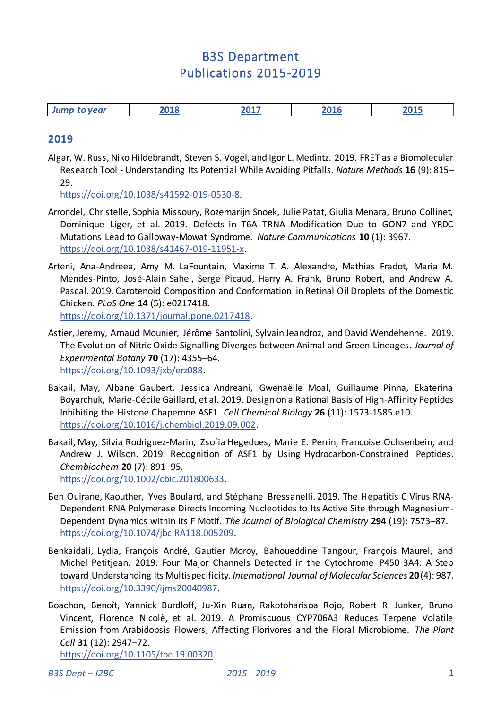# B3S Department Publications 2015-2019

| ንስ16<br>.<br>904 F<br>101 C<br>to year<br>.J.J.U<br><i><b>JUILL</b></i> |
|-------------------------------------------------------------------------|
|-------------------------------------------------------------------------|

#### **2019**

Algar, W. Russ, Niko Hildebrandt, Steven S. Vogel, and Igor L. Medintz. 2019. FRET as a Biomolecular Research Tool - Understanding Its Potential While Avoiding Pitfalls. *Nature Methods* **16** (9): 815– 29.

[https://doi.org/10.1038/s41592-019-0530-8.](https://doi.org/10.1038/s41592-019-0530-8) 

- Arrondel, Christelle, Sophia Missoury, Rozemarijn Snoek, Julie Patat, Giulia Menara, Bruno Collinet, Dominique Liger, et al. 2019. Defects in T6A TRNA Modification Due to GON7 and YRDC Mutations Lead to Galloway-Mowat Syndrome. *Nature Communications* **10** (1): 3967. [https://doi.org/10.1038/s41467-019-11951-x.](https://doi.org/10.1038/s41467-019-11951-x)
- Arteni, Ana-Andreea, Amy M. LaFountain, Maxime T. A. Alexandre, Mathias Fradot, Maria M. Mendes-Pinto, José-Alain Sahel, Serge Picaud, Harry A. Frank, Bruno Robert, and Andrew A. Pascal. 2019. Carotenoid Composition and Conformation in Retinal Oil Droplets of the Domestic Chicken. *PLoS One* **14** (5): e0217418. [https://doi.org/10.1371/journal.pone.0217418.](https://doi.org/10.1371/journal.pone.0217418)
- Astier, Jeremy, Arnaud Mounier, Jérôme Santolini, Sylvain Jeandroz, and David Wendehenne. 2019. The Evolution of Nitric Oxide Signalling Diverges between Animal and Green Lineages. *Journal of Experimental Botany* **70** (17): 4355–64. [https://doi.org/10.1093/jxb/erz088.](https://doi.org/10.1093/jxb/erz088)
- Bakail, May, Albane Gaubert, Jessica Andreani, Gwenaëlle Moal, Guillaume Pinna, Ekaterina Boyarchuk, Marie-Cécile Gaillard, et al. 2019. Design on a Rational Basis of High-Affinity Peptides Inhibiting the Histone Chaperone ASF1. *Cell Chemical Biology* **26** (11): 1573-1585.e10. [https://doi.org/10.1016/j.chembiol.2019.09.002.](https://doi.org/10.1016/j.chembiol.2019.09.002)
- Bakail, May, Silvia Rodriguez-Marin, Zsofia Hegedues, Marie E. Perrin, Francoise Ochsenbein, and Andrew J. Wilson. 2019. Recognition of ASF1 by Using Hydrocarbon-Constrained Peptides. *Chembiochem* **20** (7): 891–95. [https://doi.org/10.1002/cbic.201800633.](https://doi.org/10.1002/cbic.201800633)
- Ben Ouirane, Kaouther, Yves Boulard, and Stéphane Bressanelli. 2019. The Hepatitis C Virus RNA-Dependent RNA Polymerase Directs Incoming Nucleotides to Its Active Site through Magnesium-Dependent Dynamics within Its F Motif. *The Journal of Biological Chemistry* **294** (19): 7573–87. [https://doi.org/10.1074/jbc.RA118.005209.](https://doi.org/10.1074/jbc.RA118.005209)
- Benkaidali, Lydia, François André, Gautier Moroy, Bahoueddine Tangour, François Maurel, and Michel Petitjean. 2019. Four Major Channels Detected in the Cytochrome P450 3A4: A Step toward Understanding Its Multispecificity. *International Journal of Molecular Sciences* **20** (4): 987. [https://doi.org/10.3390/ijms20040987.](https://doi.org/10.3390/ijms20040987)
- Boachon, Benoît, Yannick Burdloff, Ju-Xin Ruan, Rakotoharisoa Rojo, Robert R. Junker, Bruno Vincent, Florence Nicolè, et al. 2019. A Promiscuous CYP706A3 Reduces Terpene Volatile Emission from Arabidopsis Flowers, Affecting Florivores and the Floral Microbiome. *The Plant Cell* **31** (12): 2947–72.

[https://doi.org/10.1105/tpc.19.00320.](https://doi.org/10.1105/tpc.19.00320)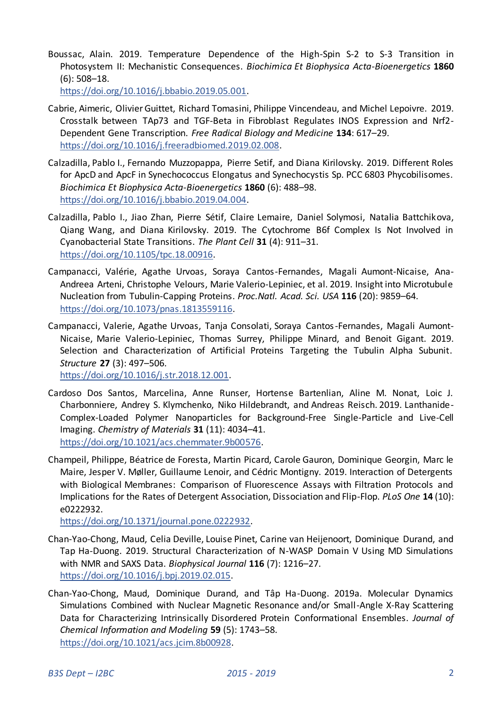Boussac, Alain. 2019. Temperature Dependence of the High-Spin S-2 to S-3 Transition in Photosystem II: Mechanistic Consequences. *Biochimica Et Biophysica Acta-Bioenergetics* **1860** (6): 508–18.

[https://doi.org/10.1016/j.bbabio.2019.05.001.](https://doi.org/10.1016/j.bbabio.2019.05.001) 

- Cabrie, Aimeric, Olivier Guittet, Richard Tomasini, Philippe Vincendeau, and Michel Lepoivre. 2019. Crosstalk between TAp73 and TGF-Beta in Fibroblast Regulates INOS Expression and Nrf2- Dependent Gene Transcription. *Free Radical Biology and Medicine* **134**: 617–29. [https://doi.org/10.1016/j.freeradbiomed.2019.02.008.](https://doi.org/10.1016/j.freeradbiomed.2019.02.008)
- Calzadilla, Pablo I., Fernando Muzzopappa, Pierre Setif, and Diana Kirilovsky. 2019. Different Roles for ApcD and ApcF in Synechococcus Elongatus and Synechocystis Sp. PCC 6803 Phycobilisomes. *Biochimica Et Biophysica Acta-Bioenergetics* **1860** (6): 488–98. [https://doi.org/10.1016/j.bbabio.2019.04.004.](https://doi.org/10.1016/j.bbabio.2019.04.004)
- Calzadilla, Pablo I., Jiao Zhan, Pierre Sétif, Claire Lemaire, Daniel Solymosi, Natalia Battchikova, Qiang Wang, and Diana Kirilovsky. 2019. The Cytochrome B6f Complex Is Not Involved in Cyanobacterial State Transitions. *The Plant Cell* **31** (4): 911–31. [https://doi.org/10.1105/tpc.18.00916.](https://doi.org/10.1105/tpc.18.00916)
- Campanacci, Valérie, Agathe Urvoas, Soraya Cantos-Fernandes, Magali Aumont-Nicaise, Ana-Andreea Arteni, Christophe Velours, Marie Valerio-Lepiniec, et al. 2019. Insight into Microtubule Nucleation from Tubulin-Capping Proteins. *Proc.Natl. Acad. Sci. USA* **116** (20): 9859–64. [https://doi.org/10.1073/pnas.1813559116.](https://doi.org/10.1073/pnas.1813559116)
- Campanacci, Valerie, Agathe Urvoas, Tanja Consolati, Soraya Cantos -Fernandes, Magali Aumont-Nicaise, Marie Valerio-Lepiniec, Thomas Surrey, Philippe Minard, and Benoit Gigant. 2019. Selection and Characterization of Artificial Proteins Targeting the Tubulin Alpha Subunit. *Structure* **27** (3): 497–506.

[https://doi.org/10.1016/j.str.2018.12.001.](https://doi.org/10.1016/j.str.2018.12.001) 

- Cardoso Dos Santos, Marcelina, Anne Runser, Hortense Bartenlian, Aline M. Nonat, Loic J. Charbonniere, Andrey S. Klymchenko, Niko Hildebrandt, and Andreas Reisch. 2019. Lanthanide-Complex-Loaded Polymer Nanoparticles for Background-Free Single-Particle and Live-Cell Imaging. *Chemistry of Materials* **31** (11): 4034–41. [https://doi.org/10.1021/acs.chemmater.9b00576.](https://doi.org/10.1021/acs.chemmater.9b00576)
- Champeil, Philippe, Béatrice de Foresta, Martin Picard, Carole Gauron, Dominique Georgin, Marc le Maire, Jesper V. Møller, Guillaume Lenoir, and Cédric Montigny. 2019. Interaction of Detergents with Biological Membranes: Comparison of Fluorescence Assays with Filtration Protocols and Implications for the Rates of Detergent Association, Dissociation and Flip-Flop. *PLoS One* **14** (10): e0222932.

[https://doi.org/10.1371/journal.pone.0222932.](https://doi.org/10.1371/journal.pone.0222932) 

- Chan-Yao-Chong, Maud, Celia Deville, Louise Pinet, Carine van Heijenoort, Dominique Durand, and Tap Ha-Duong. 2019. Structural Characterization of N-WASP Domain V Using MD Simulations with NMR and SAXS Data. *Biophysical Journal* **116** (7): 1216–27. [https://doi.org/10.1016/j.bpj.2019.02.015.](https://doi.org/10.1016/j.bpj.2019.02.015)
- Chan-Yao-Chong, Maud, Dominique Durand, and Tâp Ha-Duong. 2019a. Molecular Dynamics Simulations Combined with Nuclear Magnetic Resonance and/or Small-Angle X-Ray Scattering Data for Characterizing Intrinsically Disordered Protein Conformational Ensembles. *Journal of Chemical Information and Modeling* **59** (5): 1743–58. [https://doi.org/10.1021/acs.jcim.8b00928.](https://doi.org/10.1021/acs.jcim.8b00928)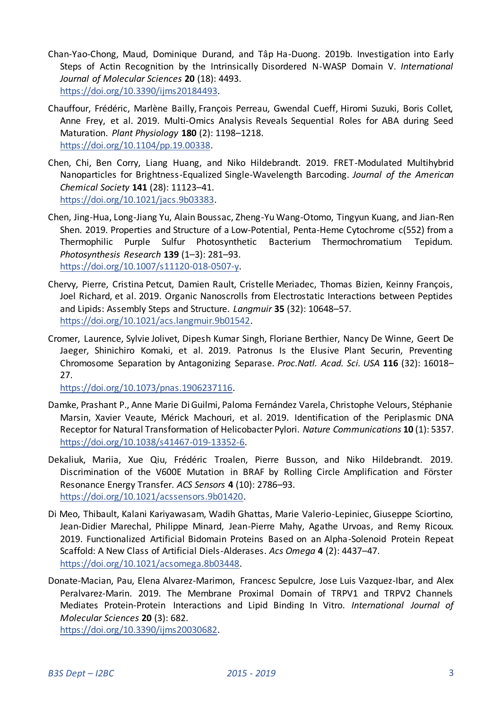- Chan-Yao-Chong, Maud, Dominique Durand, and Tâp Ha-Duong. 2019b. Investigation into Early Steps of Actin Recognition by the Intrinsically Disordered N-WASP Domain V. *International Journal of Molecular Sciences* **20** (18): 4493. [https://doi.org/10.3390/ijms20184493.](https://doi.org/10.3390/ijms20184493)
- Chauffour, Frédéric, Marlène Bailly, François Perreau, Gwendal Cueff, Hiromi Suzuki, Boris Collet, Anne Frey, et al. 2019. Multi-Omics Analysis Reveals Sequential Roles for ABA during Seed Maturation. *Plant Physiology* **180** (2): 1198–1218. [https://doi.org/10.1104/pp.19.00338.](https://doi.org/10.1104/pp.19.00338)
- Chen, Chi, Ben Corry, Liang Huang, and Niko Hildebrandt. 2019. FRET-Modulated Multihybrid Nanoparticles for Brightness-Equalized Single-Wavelength Barcoding. *Journal of the American Chemical Society* **141** (28): 11123–41. [https://doi.org/10.1021/jacs.9b03383.](https://doi.org/10.1021/jacs.9b03383)
- Chen, Jing-Hua, Long-Jiang Yu, Alain Boussac, Zheng-Yu Wang-Otomo, Tingyun Kuang, and Jian-Ren Shen. 2019. Properties and Structure of a Low-Potential, Penta-Heme Cytochrome c(552) from a Thermophilic Purple Sulfur Photosynthetic Bacterium Thermochromatium Tepidum. *Photosynthesis Research* **139** (1–3): 281–93. [https://doi.org/10.1007/s11120-018-0507-y.](https://doi.org/10.1007/s11120-018-0507-y)
- Chervy, Pierre, Cristina Petcut, Damien Rault, Cristelle Meriadec, Thomas Bizien, Keinny François, Joel Richard, et al. 2019. Organic Nanoscrolls from Electrostatic Interactions between Peptides and Lipids: Assembly Steps and Structure. *Langmuir* **35** (32): 10648–57. [https://doi.org/10.1021/acs.langmuir.9b01542.](https://doi.org/10.1021/acs.langmuir.9b01542)
- Cromer, Laurence, Sylvie Jolivet, Dipesh Kumar Singh, Floriane Berthier, Nancy De Winne, Geert De Jaeger, Shinichiro Komaki, et al. 2019. Patronus Is the Elusive Plant Securin, Preventing Chromosome Separation by Antagonizing Separase. *Proc.Natl. Acad. Sci. USA* **116** (32): 16018– 27.

[https://doi.org/10.1073/pnas.1906237116.](https://doi.org/10.1073/pnas.1906237116) 

- Damke, Prashant P., Anne Marie Di Guilmi, Paloma Fernández Varela, Christophe Velours, Stéphanie Marsin, Xavier Veaute, Mérick Machouri, et al. 2019. Identification of the Periplasmic DNA Receptor for Natural Transformation of Helicobacter Pylori. *Nature Communications* **10** (1): 5357. [https://doi.org/10.1038/s41467-019-13352-6.](https://doi.org/10.1038/s41467-019-13352-6)
- Dekaliuk, Mariia, Xue Qiu, Frédéric Troalen, Pierre Busson, and Niko Hildebrandt. 2019. Discrimination of the V600E Mutation in BRAF by Rolling Circle Amplification and Förster Resonance Energy Transfer. *ACS Sensors* **4** (10): 2786–93. [https://doi.org/10.1021/acssensors.9b01420.](https://doi.org/10.1021/acssensors.9b01420)
- Di Meo, Thibault, Kalani Kariyawasam, Wadih Ghattas, Marie Valerio-Lepiniec, Giuseppe Sciortino, Jean-Didier Marechal, Philippe Minard, Jean-Pierre Mahy, Agathe Urvoas, and Remy Ricoux. 2019. Functionalized Artificial Bidomain Proteins Based on an Alpha-Solenoid Protein Repeat Scaffold: A New Class of Artificial Diels-Alderases. *Acs Omega* **4** (2): 4437–47. [https://doi.org/10.1021/acsomega.8b03448.](https://doi.org/10.1021/acsomega.8b03448)
- Donate-Macian, Pau, Elena Alvarez-Marimon, Francesc Sepulcre, Jose Luis Vazquez-Ibar, and Alex Peralvarez-Marin. 2019. The Membrane Proximal Domain of TRPV1 and TRPV2 Channels Mediates Protein-Protein Interactions and Lipid Binding In Vitro. *International Journal of Molecular Sciences* **20** (3): 682.

[https://doi.org/10.3390/ijms20030682.](https://doi.org/10.3390/ijms20030682)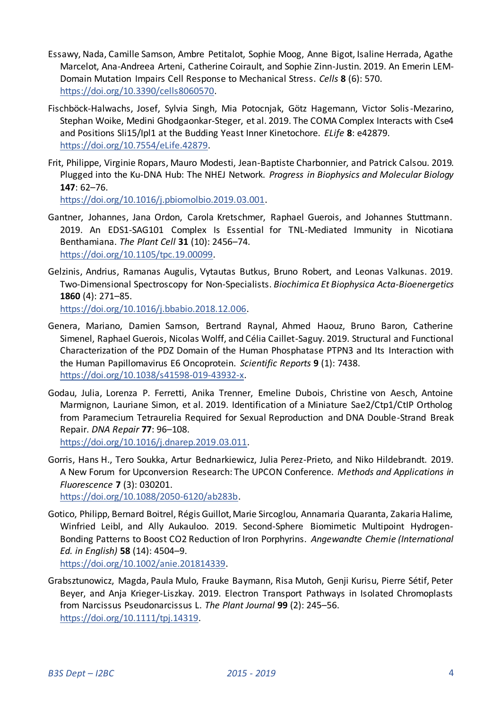- Essawy, Nada, Camille Samson, Ambre Petitalot, Sophie Moog, Anne Bigot, Isaline Herrada, Agathe Marcelot, Ana-Andreea Arteni, Catherine Coirault, and Sophie Zinn-Justin. 2019. An Emerin LEM-Domain Mutation Impairs Cell Response to Mechanical Stress. *Cells* **8** (6): 570. [https://doi.org/10.3390/cells8060570.](https://doi.org/10.3390/cells8060570)
- Fischböck-Halwachs, Josef, Sylvia Singh, Mia Potocnjak, Götz Hagemann, Victor Solis -Mezarino, Stephan Woike, Medini Ghodgaonkar-Steger, et al. 2019. The COMA Complex Interacts with Cse4 and Positions Sli15/Ipl1 at the Budding Yeast Inner Kinetochore. *ELife* **8**: e42879. [https://doi.org/10.7554/eLife.42879.](https://doi.org/10.7554/eLife.42879)
- Frit, Philippe, Virginie Ropars, Mauro Modesti, Jean-Baptiste Charbonnier, and Patrick Calsou. 2019. Plugged into the Ku-DNA Hub: The NHEJ Network. *Progress in Biophysics and Molecular Biology* **147**: 62–76.

[https://doi.org/10.1016/j.pbiomolbio.2019.03.001.](https://doi.org/10.1016/j.pbiomolbio.2019.03.001) 

- Gantner, Johannes, Jana Ordon, Carola Kretschmer, Raphael Guerois, and Johannes Stuttmann. 2019. An EDS1-SAG101 Complex Is Essential for TNL-Mediated Immunity in Nicotiana Benthamiana. *The Plant Cell* **31** (10): 2456–74. [https://doi.org/10.1105/tpc.19.00099.](https://doi.org/10.1105/tpc.19.00099)
- Gelzinis, Andrius, Ramanas Augulis, Vytautas Butkus, Bruno Robert, and Leonas Valkunas. 2019. Two-Dimensional Spectroscopy for Non-Specialists. *Biochimica Et Biophysica Acta-Bioenergetics* **1860** (4): 271–85. [https://doi.org/10.1016/j.bbabio.2018.12.006.](https://doi.org/10.1016/j.bbabio.2018.12.006)
- Genera, Mariano, Damien Samson, Bertrand Raynal, Ahmed Haouz, Bruno Baron, Catherine Simenel, Raphael Guerois, Nicolas Wolff, and Célia Caillet-Saguy. 2019. Structural and Functional Characterization of the PDZ Domain of the Human Phosphatase PTPN3 and Its Interaction with the Human Papillomavirus E6 Oncoprotein. *Scientific Reports* **9** (1): 7438. [https://doi.org/10.1038/s41598-019-43932-x.](https://doi.org/10.1038/s41598-019-43932-x)
- Godau, Julia, Lorenza P. Ferretti, Anika Trenner, Emeline Dubois, Christine von Aesch, Antoine Marmignon, Lauriane Simon, et al. 2019. Identification of a Miniature Sae2/Ctp1/CtIP Ortholog from Paramecium Tetraurelia Required for Sexual Reproduction and DNA Double-Strand Break Repair. *DNA Repair* **77**: 96–108.

[https://doi.org/10.1016/j.dnarep.2019.03.011.](https://doi.org/10.1016/j.dnarep.2019.03.011) 

Gorris, Hans H., Tero Soukka, Artur Bednarkiewicz, Julia Perez-Prieto, and Niko Hildebrandt. 2019. A New Forum for Upconversion Research: The UPCON Conference. *Methods and Applications in Fluorescence* **7** (3): 030201.

[https://doi.org/10.1088/2050-6120/ab283b.](https://doi.org/10.1088/2050-6120/ab283b) 

- Gotico, Philipp, Bernard Boitrel, Régis Guillot, Marie Sircoglou, Annamaria Quaranta, Zakaria Halime, Winfried Leibl, and Ally Aukauloo. 2019. Second-Sphere Biomimetic Multipoint Hydrogen-Bonding Patterns to Boost CO2 Reduction of Iron Porphyrins. *Angewandte Chemie (International Ed. in English)* **58** (14): 4504–9. [https://doi.org/10.1002/anie.201814339.](https://doi.org/10.1002/anie.201814339)
- Grabsztunowicz, Magda, Paula Mulo, Frauke Baymann, Risa Mutoh, Genji Kurisu, Pierre Sétif, Peter Beyer, and Anja Krieger-Liszkay. 2019. Electron Transport Pathways in Isolated Chromoplasts from Narcissus Pseudonarcissus L. *The Plant Journal* **99** (2): 245–56. [https://doi.org/10.1111/tpj.14319.](https://doi.org/10.1111/tpj.14319)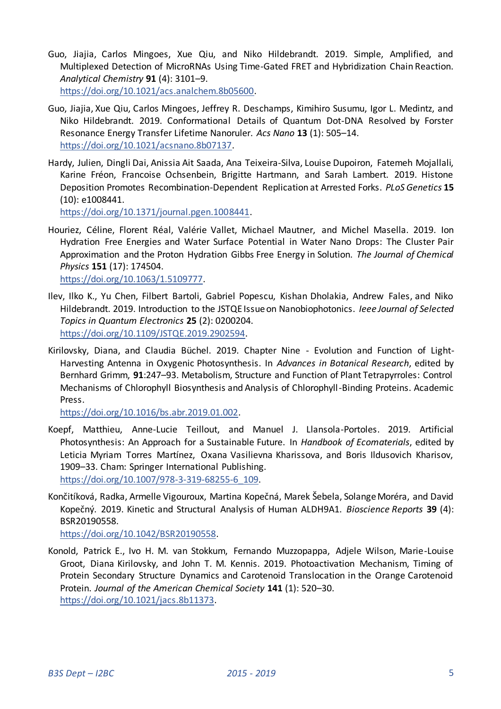- Guo, Jiajia, Carlos Mingoes, Xue Qiu, and Niko Hildebrandt. 2019. Simple, Amplified, and Multiplexed Detection of MicroRNAs Using Time-Gated FRET and Hybridization Chain Reaction. *Analytical Chemistry* **91** (4): 3101–9. [https://doi.org/10.1021/acs.analchem.8b05600.](https://doi.org/10.1021/acs.analchem.8b05600)
- Guo, Jiajia, Xue Qiu, Carlos Mingoes, Jeffrey R. Deschamps, Kimihiro Susumu, Igor L. Medintz, and Niko Hildebrandt. 2019. Conformational Details of Quantum Dot-DNA Resolved by Forster Resonance Energy Transfer Lifetime Nanoruler. *Acs Nano* **13** (1): 505–14. [https://doi.org/10.1021/acsnano.8b07137.](https://doi.org/10.1021/acsnano.8b07137)
- Hardy, Julien, Dingli Dai, Anissia Ait Saada, Ana Teixeira-Silva, Louise Dupoiron, Fatemeh Mojallali, Karine Fréon, Francoise Ochsenbein, Brigitte Hartmann, and Sarah Lambert. 2019. Histone Deposition Promotes Recombination-Dependent Replication at Arrested Forks. *PLoS Genetics* **15** (10): e1008441.

[https://doi.org/10.1371/journal.pgen.1008441.](https://doi.org/10.1371/journal.pgen.1008441) 

Houriez, Céline, Florent Réal, Valérie Vallet, Michael Mautner, and Michel Masella. 2019. Ion Hydration Free Energies and Water Surface Potential in Water Nano Drops: The Cluster Pair Approximation and the Proton Hydration Gibbs Free Energy in Solution. *The Journal of Chemical Physics* **151** (17): 174504. [https://doi.org/10.1063/1.5109777.](https://doi.org/10.1063/1.5109777) 

- Ilev, Ilko K., Yu Chen, Filbert Bartoli, Gabriel Popescu, Kishan Dholakia, Andrew Fales, and Niko Hildebrandt. 2019. Introduction to the JSTQE Issue on Nanobiophotonics. *Ieee Journal of Selected Topics in Quantum Electronics* **25** (2): 0200204. [https://doi.org/10.1109/JSTQE.2019.2902594.](https://doi.org/10.1109/JSTQE.2019.2902594)
- Kirilovsky, Diana, and Claudia Büchel. 2019. Chapter Nine Evolution and Function of Light-Harvesting Antenna in Oxygenic Photosynthesis. In *Advances in Botanical Research*, edited by Bernhard Grimm, **91**:247–93. Metabolism, Structure and Function of Plant Tetrapyrroles: Control Mechanisms of Chlorophyll Biosynthesis and Analysis of Chlorophyll-Binding Proteins. Academic Press.

[https://doi.org/10.1016/bs.abr.2019.01.002.](https://doi.org/10.1016/bs.abr.2019.01.002) 

- Koepf, Matthieu, Anne-Lucie Teillout, and Manuel J. Llansola-Portoles. 2019. Artificial Photosynthesis: An Approach for a Sustainable Future. In *Handbook of Ecomaterials*, edited by Leticia Myriam Torres Martínez, Oxana Vasilievna Kharissova, and Boris Ildusovich Kharisov, 1909–33. Cham: Springer International Publishing. [https://doi.org/10.1007/978-3-319-68255-6\\_109.](https://doi.org/10.1007/978-3-319-68255-6_109)
- Končitíková, Radka, Armelle Vigouroux, Martina Kopečná, Marek Šebela, Solange Moréra, and David Kopečný. 2019. Kinetic and Structural Analysis of Human ALDH9A1. *Bioscience Reports* **39** (4): BSR20190558.

[https://doi.org/10.1042/BSR20190558.](https://doi.org/10.1042/BSR20190558) 

Konold, Patrick E., Ivo H. M. van Stokkum, Fernando Muzzopappa, Adjele Wilson, Marie-Louise Groot, Diana Kirilovsky, and John T. M. Kennis. 2019. Photoactivation Mechanism, Timing of Protein Secondary Structure Dynamics and Carotenoid Translocation in the Orange Carotenoid Protein. *Journal of the American Chemical Society* **141** (1): 520–30. [https://doi.org/10.1021/jacs.8b11373.](https://doi.org/10.1021/jacs.8b11373)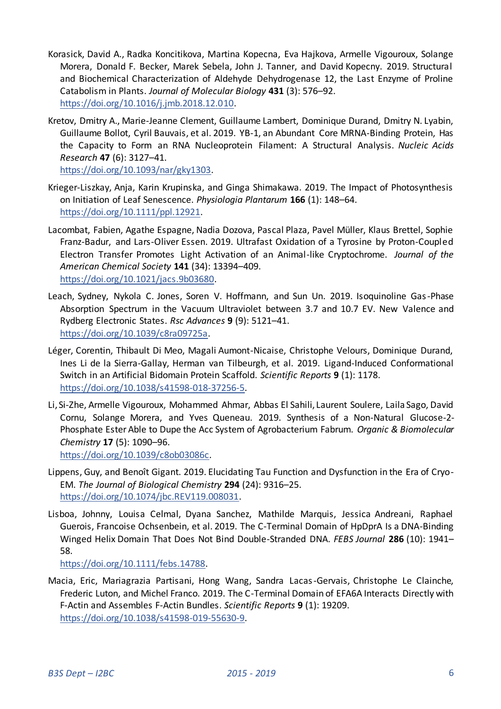- Korasick, David A., Radka Koncitikova, Martina Kopecna, Eva Hajkova, Armelle Vigouroux, Solange Morera, Donald F. Becker, Marek Sebela, John J. Tanner, and David Kopecny. 2019. Structural and Biochemical Characterization of Aldehyde Dehydrogenase 12, the Last Enzyme of Proline Catabolism in Plants. *Journal of Molecular Biology* **431** (3): 576–92. [https://doi.org/10.1016/j.jmb.2018.12.010.](https://doi.org/10.1016/j.jmb.2018.12.010)
- Kretov, Dmitry A., Marie-Jeanne Clement, Guillaume Lambert, Dominique Durand, Dmitry N. Lyabin, Guillaume Bollot, Cyril Bauvais, et al. 2019. YB-1, an Abundant Core MRNA-Binding Protein, Has the Capacity to Form an RNA Nucleoprotein Filament: A Structural Analysis. *Nucleic Acids Research* **47** (6): 3127–41.

[https://doi.org/10.1093/nar/gky1303.](https://doi.org/10.1093/nar/gky1303) 

- Krieger-Liszkay, Anja, Karin Krupinska, and Ginga Shimakawa. 2019. The Impact of Photosynthesis on Initiation of Leaf Senescence. *Physiologia Plantarum* **166** (1): 148–64. [https://doi.org/10.1111/ppl.12921.](https://doi.org/10.1111/ppl.12921)
- Lacombat, Fabien, Agathe Espagne, Nadia Dozova, Pascal Plaza, Pavel Müller, Klaus Brettel, Sophie Franz-Badur, and Lars-Oliver Essen. 2019. Ultrafast Oxidation of a Tyrosine by Proton-Coupled Electron Transfer Promotes Light Activation of an Animal-like Cryptochrome. *Journal of the American Chemical Society* **141** (34): 13394–409. [https://doi.org/10.1021/jacs.9b03680.](https://doi.org/10.1021/jacs.9b03680)
- Leach, Sydney, Nykola C. Jones, Soren V. Hoffmann, and Sun Un. 2019. Isoquinoline Gas -Phase Absorption Spectrum in the Vacuum Ultraviolet between 3.7 and 10.7 EV. New Valence and Rydberg Electronic States. *Rsc Advances* **9** (9): 5121–41. [https://doi.org/10.1039/c8ra09725a.](https://doi.org/10.1039/c8ra09725a)
- Léger, Corentin, Thibault Di Meo, Magali Aumont-Nicaise, Christophe Velours, Dominique Durand, Ines Li de la Sierra-Gallay, Herman van Tilbeurgh, et al. 2019. Ligand-Induced Conformational Switch in an Artificial Bidomain Protein Scaffold. *Scientific Reports* **9** (1): 1178. [https://doi.org/10.1038/s41598-018-37256-5.](https://doi.org/10.1038/s41598-018-37256-5)
- Li, Si-Zhe, Armelle Vigouroux, Mohammed Ahmar, Abbas El Sahili, Laurent Soulere, Laila Sago, David Cornu, Solange Morera, and Yves Queneau. 2019. Synthesis of a Non-Natural Glucose-2- Phosphate Ester Able to Dupe the Acc System of Agrobacterium Fabrum. *Organic & Biomolecular Chemistry* **17** (5): 1090–96.

[https://doi.org/10.1039/c8ob03086c.](https://doi.org/10.1039/c8ob03086c) 

- Lippens, Guy, and Benoît Gigant. 2019. Elucidating Tau Function and Dysfunction in the Era of Cryo-EM. *The Journal of Biological Chemistry* **294** (24): 9316–25. [https://doi.org/10.1074/jbc.REV119.008031.](https://doi.org/10.1074/jbc.REV119.008031)
- Lisboa, Johnny, Louisa Celmal, Dyana Sanchez, Mathilde Marquis, Jessica Andreani, Raphael Guerois, Francoise Ochsenbein, et al. 2019. The C-Terminal Domain of HpDprA Is a DNA-Binding Winged Helix Domain That Does Not Bind Double-Stranded DNA. *FEBS Journal* **286** (10): 1941– 58.

[https://doi.org/10.1111/febs.14788.](https://doi.org/10.1111/febs.14788) 

Macia, Eric, Mariagrazia Partisani, Hong Wang, Sandra Lacas -Gervais, Christophe Le Clainche, Frederic Luton, and Michel Franco. 2019. The C-Terminal Domain of EFA6A Interacts Directly with F-Actin and Assembles F-Actin Bundles. *Scientific Reports* **9** (1): 19209. [https://doi.org/10.1038/s41598-019-55630-9.](https://doi.org/10.1038/s41598-019-55630-9)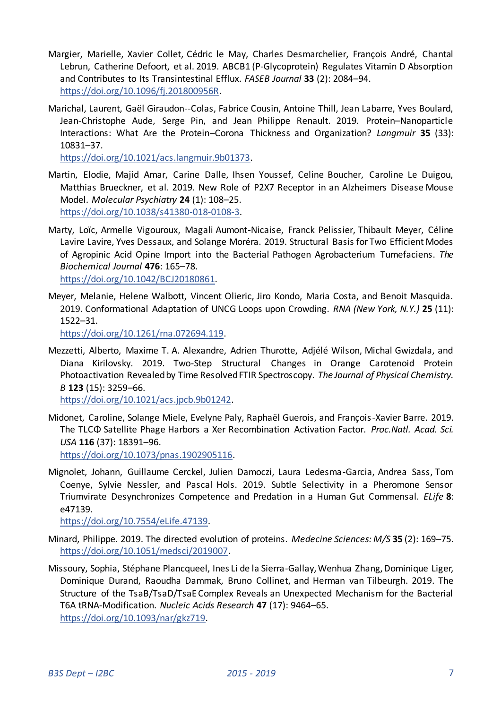- Margier, Marielle, Xavier Collet, Cédric le May, Charles Desmarchelier, François André, Chantal Lebrun, Catherine Defoort, et al. 2019. ABCB1 (P-Glycoprotein) Regulates Vitamin D Absorption and Contributes to Its Transintestinal Efflux. *FASEB Journal* **33** (2): 2084–94. [https://doi.org/10.1096/fj.201800956R.](https://doi.org/10.1096/fj.201800956R)
- Marichal, Laurent, Gaël Giraudon--Colas, Fabrice Cousin, Antoine Thill, Jean Labarre, Yves Boulard, Jean-Christophe Aude, Serge Pin, and Jean Philippe Renault. 2019. Protein–Nanoparticle Interactions: What Are the Protein–Corona Thickness and Organization? *Langmuir* **35** (33): 10831–37.

[https://doi.org/10.1021/acs.langmuir.9b01373.](https://doi.org/10.1021/acs.langmuir.9b01373) 

- Martin, Elodie, Majid Amar, Carine Dalle, Ihsen Youssef, Celine Boucher, Caroline Le Duigou, Matthias Brueckner, et al. 2019. New Role of P2X7 Receptor in an Alzheimers Disease Mouse Model. *Molecular Psychiatry* **24** (1): 108–25. [https://doi.org/10.1038/s41380-018-0108-3.](https://doi.org/10.1038/s41380-018-0108-3)
- Marty, Loïc, Armelle Vigouroux, Magali Aumont-Nicaise, Franck Pelissier, Thibault Meyer, Céline Lavire Lavire, Yves Dessaux, and Solange Moréra. 2019. Structural Basis for Two Efficient Modes of Agropinic Acid Opine Import into the Bacterial Pathogen Agrobacterium Tumefaciens. *The Biochemical Journal* **476**: 165–78. [https://doi.org/10.1042/BCJ20180861.](https://doi.org/10.1042/BCJ20180861)
- Meyer, Melanie, Helene Walbott, Vincent Olieric, Jiro Kondo, Maria Costa, and Benoit Masquida. 2019. Conformational Adaptation of UNCG Loops upon Crowding. *RNA (New York, N.Y.)* **25** (11): 1522–31.

[https://doi.org/10.1261/rna.072694.119.](https://doi.org/10.1261/rna.072694.119) 

Mezzetti, Alberto, Maxime T. A. Alexandre, Adrien Thurotte, Adjélé Wilson, Michal Gwizdala, and Diana Kirilovsky. 2019. Two-Step Structural Changes in Orange Carotenoid Protein Photoactivation Revealed by Time Resolved FTIR Spectroscopy. *The Journal of Physical Chemistry. B* **123** (15): 3259–66.

[https://doi.org/10.1021/acs.jpcb.9b01242.](https://doi.org/10.1021/acs.jpcb.9b01242) 

Midonet, Caroline, Solange Miele, Evelyne Paly, Raphaël Guerois, and François -Xavier Barre. 2019. The TLCΦ Satellite Phage Harbors a Xer Recombination Activation Factor. *Proc.Natl. Acad. Sci. USA* **116** (37): 18391–96.

[https://doi.org/10.1073/pnas.1902905116.](https://doi.org/10.1073/pnas.1902905116) 

Mignolet, Johann, Guillaume Cerckel, Julien Damoczi, Laura Ledesma-Garcia, Andrea Sass, Tom Coenye, Sylvie Nessler, and Pascal Hols. 2019. Subtle Selectivity in a Pheromone Sensor Triumvirate Desynchronizes Competence and Predation in a Human Gut Commensal. *ELife* **8**: e47139.

[https://doi.org/10.7554/eLife.47139.](https://doi.org/10.7554/eLife.47139) 

- Minard, Philippe. 2019. The directed evolution of proteins. *Medecine Sciences: M/S* **35** (2): 169–75. [https://doi.org/10.1051/medsci/2019007.](https://doi.org/10.1051/medsci/2019007)
- Missoury, Sophia, Stéphane Plancqueel, Ines Li de la Sierra-Gallay, Wenhua Zhang, Dominique Liger, Dominique Durand, Raoudha Dammak, Bruno Collinet, and Herman van Tilbeurgh. 2019. The Structure of the TsaB/TsaD/TsaE Complex Reveals an Unexpected Mechanism for the Bacterial T6A tRNA-Modification. *Nucleic Acids Research* **47** (17): 9464–65. [https://doi.org/10.1093/nar/gkz719.](https://doi.org/10.1093/nar/gkz719)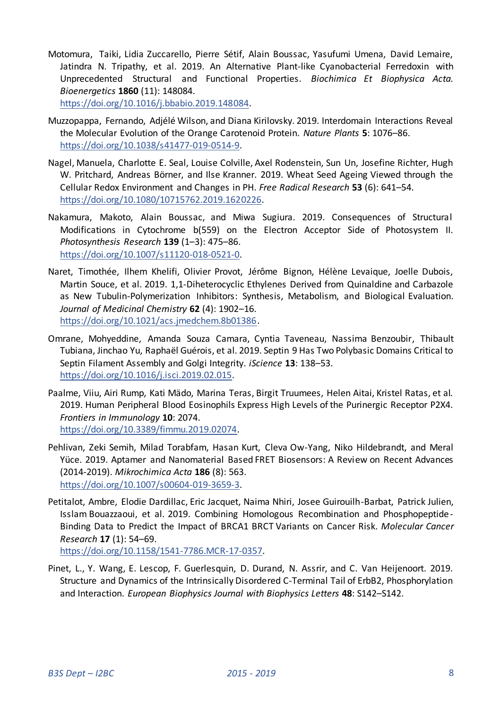Motomura, Taiki, Lidia Zuccarello, Pierre Sétif, Alain Boussac, Yasufumi Umena, David Lemaire, Jatindra N. Tripathy, et al. 2019. An Alternative Plant-like Cyanobacterial Ferredoxin with Unprecedented Structural and Functional Properties. *Biochimica Et Biophysica Acta. Bioenergetics* **1860** (11): 148084.

[https://doi.org/10.1016/j.bbabio.2019.148084.](https://doi.org/10.1016/j.bbabio.2019.148084) 

- Muzzopappa, Fernando, Adjélé Wilson, and Diana Kirilovsky. 2019. Interdomain Interactions Reveal the Molecular Evolution of the Orange Carotenoid Protein. *Nature Plants* **5**: 1076–86. [https://doi.org/10.1038/s41477-019-0514-9.](https://doi.org/10.1038/s41477-019-0514-9)
- Nagel, Manuela, Charlotte E. Seal, Louise Colville, Axel Rodenstein, Sun Un, Josefine Richter, Hugh W. Pritchard, Andreas Börner, and Ilse Kranner. 2019. Wheat Seed Ageing Viewed through the Cellular Redox Environment and Changes in PH. *Free Radical Research* **53** (6): 641–54. [https://doi.org/10.1080/10715762.2019.1620226.](https://doi.org/10.1080/10715762.2019.1620226)
- Nakamura, Makoto, Alain Boussac, and Miwa Sugiura. 2019. Consequences of Structural Modifications in Cytochrome b(559) on the Electron Acceptor Side of Photosystem II. *Photosynthesis Research* **139** (1–3): 475–86. [https://doi.org/10.1007/s11120-018-0521-0.](https://doi.org/10.1007/s11120-018-0521-0)
- Naret, Timothée, Ilhem Khelifi, Olivier Provot, Jérôme Bignon, Hélène Levaique, Joelle Dubois, Martin Souce, et al. 2019. 1,1-Diheterocyclic Ethylenes Derived from Quinaldine and Carbazole as New Tubulin-Polymerization Inhibitors: Synthesis, Metabolism, and Biological Evaluation. *Journal of Medicinal Chemistry* **62** (4): 1902–16. [https://doi.org/10.1021/acs.jmedchem.8b01386.](https://doi.org/10.1021/acs.jmedchem.8b01386)
- Omrane, Mohyeddine, Amanda Souza Camara, Cyntia Taveneau, Nassima Benzoubir, Thibault Tubiana, Jinchao Yu, Raphaël Guérois, et al. 2019. Septin 9 Has Two Polybasic Domains Critical to Septin Filament Assembly and Golgi Integrity. *iScience* **13**: 138–53. [https://doi.org/10.1016/j.isci.2019.02.015.](https://doi.org/10.1016/j.isci.2019.02.015)
- Paalme, Viiu, Airi Rump, Kati Mädo, Marina Teras, Birgit Truumees, Helen Aitai, Kristel Ratas, et al. 2019. Human Peripheral Blood Eosinophils Express High Levels of the Purinergic Receptor P2X4. *Frontiers in Immunology* **10**: 2074. [https://doi.org/10.3389/fimmu.2019.02074.](https://doi.org/10.3389/fimmu.2019.02074)
- Pehlivan, Zeki Semih, Milad Torabfam, Hasan Kurt, Cleva Ow-Yang, Niko Hildebrandt, and Meral Yüce. 2019. Aptamer and Nanomaterial Based FRET Biosensors: A Review on Recent Advances (2014-2019). *Mikrochimica Acta* **186** (8): 563. [https://doi.org/10.1007/s00604-019-3659-3.](https://doi.org/10.1007/s00604-019-3659-3)
- Petitalot, Ambre, Elodie Dardillac, Eric Jacquet, Naima Nhiri, Josee Guirouilh-Barbat, Patrick Julien, Isslam Bouazzaoui, et al. 2019. Combining Homologous Recombination and Phosphopeptide - Binding Data to Predict the Impact of BRCA1 BRCT Variants on Cancer Risk. *Molecular Cancer Research* **17** (1): 54–69.

[https://doi.org/10.1158/1541-7786.MCR-17-0357.](https://doi.org/10.1158/1541-7786.MCR-17-0357) 

Pinet, L., Y. Wang, E. Lescop, F. Guerlesquin, D. Durand, N. Assrir, and C. Van Heijenoort. 2019. Structure and Dynamics of the Intrinsically Disordered C-Terminal Tail of ErbB2, Phosphorylation and Interaction. *European Biophysics Journal with Biophysics Letters* **48**: S142–S142.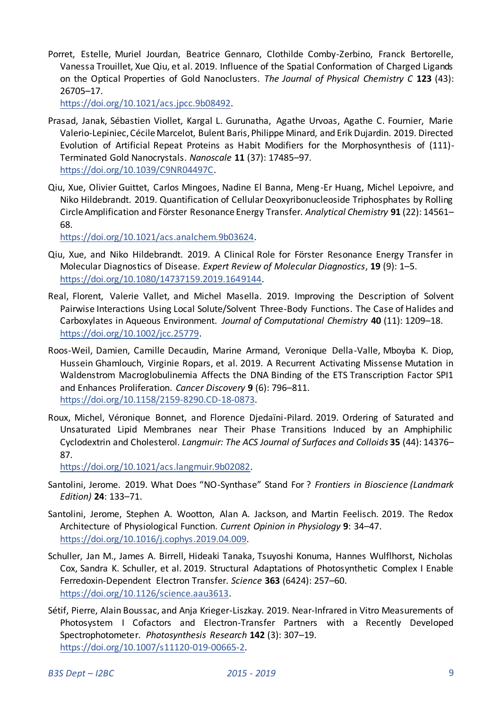Porret, Estelle, Muriel Jourdan, Beatrice Gennaro, Clothilde Comby-Zerbino, Franck Bertorelle, Vanessa Trouillet, Xue Qiu, et al. 2019. Influence of the Spatial Conformation of Charged Ligands on the Optical Properties of Gold Nanoclusters. *The Journal of Physical Chemistry C* **123** (43): 26705–17.

[https://doi.org/10.1021/acs.jpcc.9b08492.](https://doi.org/10.1021/acs.jpcc.9b08492) 

- Prasad, Janak, Sébastien Viollet, Kargal L. Gurunatha, Agathe Urvoas, Agathe C. Fournier, Marie Valerio-Lepiniec, Cécile Marcelot, Bulent Baris, Philippe Minard, and Erik Dujardin. 2019. Directed Evolution of Artificial Repeat Proteins as Habit Modifiers for the Morphosynthesis of (111)- Terminated Gold Nanocrystals. *Nanoscale* **11** (37): 17485–97. [https://doi.org/10.1039/C9NR04497C.](https://doi.org/10.1039/C9NR04497C)
- Qiu, Xue, Olivier Guittet, Carlos Mingoes, Nadine El Banna, Meng-Er Huang, Michel Lepoivre, and Niko Hildebrandt. 2019. Quantification of Cellular Deoxyribonucleoside Triphosphates by Rolling Circle Amplification and Förster Resonance Energy Transfer. *Analytical Chemistry* **91** (22): 14561– 68.

[https://doi.org/10.1021/acs.analchem.9b03624.](https://doi.org/10.1021/acs.analchem.9b03624) 

- Qiu, Xue, and Niko Hildebrandt. 2019. A Clinical Role for Förster Resonance Energy Transfer in Molecular Diagnostics of Disease. *Expert Review of Molecular Diagnostics*, **19** (9): 1–5. [https://doi.org/10.1080/14737159.2019.1649144.](https://doi.org/10.1080/14737159.2019.1649144)
- Real, Florent, Valerie Vallet, and Michel Masella. 2019. Improving the Description of Solvent Pairwise Interactions Using Local Solute/Solvent Three-Body Functions. The Case of Halides and Carboxylates in Aqueous Environment. *Journal of Computational Chemistry* **40** (11): 1209–18. [https://doi.org/10.1002/jcc.25779.](https://doi.org/10.1002/jcc.25779)
- Roos-Weil, Damien, Camille Decaudin, Marine Armand, Veronique Della-Valle, Mboyba K. Diop, Hussein Ghamlouch, Virginie Ropars, et al. 2019. A Recurrent Activating Missense Mutation in Waldenstrom Macroglobulinemia Affects the DNA Binding of the ETS Transcription Factor SPI1 and Enhances Proliferation. *Cancer Discovery* **9** (6): 796–811. [https://doi.org/10.1158/2159-8290.CD-18-0873.](https://doi.org/10.1158/2159-8290.CD-18-0873)
- Roux, Michel, Véronique Bonnet, and Florence Djedaïni-Pilard. 2019. Ordering of Saturated and Unsaturated Lipid Membranes near Their Phase Transitions Induced by an Amphiphilic Cyclodextrin and Cholesterol. *Langmuir: The ACS Journal of Surfaces and Colloids* **35** (44): 14376– 87.

[https://doi.org/10.1021/acs.langmuir.9b02082.](https://doi.org/10.1021/acs.langmuir.9b02082) 

- Santolini, Jerome. 2019. What Does "NO-Synthase" Stand For ? *Frontiers in Bioscience (Landmark Edition)* **24**: 133–71.
- Santolini, Jerome, Stephen A. Wootton, Alan A. Jackson, and Martin Feelisch. 2019. The Redox Architecture of Physiological Function. *Current Opinion in Physiology* **9**: 34–47. [https://doi.org/10.1016/j.cophys.2019.04.009.](https://doi.org/10.1016/j.cophys.2019.04.009)
- Schuller, Jan M., James A. Birrell, Hideaki Tanaka, Tsuyoshi Konuma, Hannes Wulflhorst, Nicholas Cox, Sandra K. Schuller, et al. 2019. Structural Adaptations of Photosynthetic Complex I Enable Ferredoxin-Dependent Electron Transfer. *Science* **363** (6424): 257–60. [https://doi.org/10.1126/science.aau3613.](https://doi.org/10.1126/science.aau3613)
- Sétif, Pierre, Alain Boussac, and Anja Krieger-Liszkay. 2019. Near-Infrared in Vitro Measurements of Photosystem I Cofactors and Electron-Transfer Partners with a Recently Developed Spectrophotometer. *Photosynthesis Research* **142** (3): 307–19. [https://doi.org/10.1007/s11120-019-00665-2.](https://doi.org/10.1007/s11120-019-00665-2)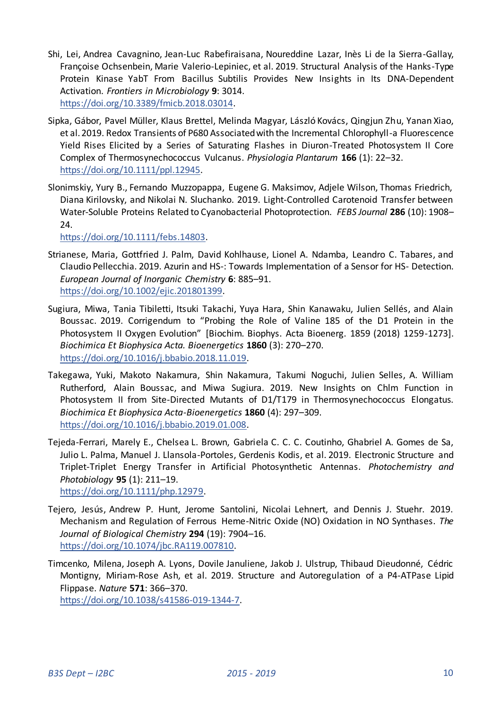- Shi, Lei, Andrea Cavagnino, Jean-Luc Rabefiraisana, Noureddine Lazar, Inès Li de la Sierra-Gallay, Françoise Ochsenbein, Marie Valerio-Lepiniec, et al. 2019. Structural Analysis of the Hanks-Type Protein Kinase YabT From Bacillus Subtilis Provides New Insights in Its DNA-Dependent Activation. *Frontiers in Microbiology* **9**: 3014. [https://doi.org/10.3389/fmicb.2018.03014.](https://doi.org/10.3389/fmicb.2018.03014)
- Sipka, Gábor, Pavel Müller, Klaus Brettel, Melinda Magyar, László Kovács, Qingjun Zhu, Yanan Xiao, et al. 2019. Redox Transients of P680 Associated with the Incremental Chlorophyll-a Fluorescence Yield Rises Elicited by a Series of Saturating Flashes in Diuron-Treated Photosystem II Core Complex of Thermosynechococcus Vulcanus. *Physiologia Plantarum* **166** (1): 22–32. [https://doi.org/10.1111/ppl.12945.](https://doi.org/10.1111/ppl.12945)
- Slonimskiy, Yury B., Fernando Muzzopappa, Eugene G. Maksimov, Adjele Wilson, Thomas Friedrich, Diana Kirilovsky, and Nikolai N. Sluchanko. 2019. Light-Controlled Carotenoid Transfer between Water-Soluble Proteins Related to Cyanobacterial Photoprotection. *FEBS Journal* **286** (10): 1908– 24.

[https://doi.org/10.1111/febs.14803.](https://doi.org/10.1111/febs.14803) 

- Strianese, Maria, Gottfried J. Palm, David Kohlhause, Lionel A. Ndamba, Leandro C. Tabares, and Claudio Pellecchia. 2019. Azurin and HS-: Towards Implementation of a Sensor for HS- Detection. *European Journal of Inorganic Chemistry* **6**: 885–91. [https://doi.org/10.1002/ejic.201801399.](https://doi.org/10.1002/ejic.201801399)
- Sugiura, Miwa, Tania Tibiletti, Itsuki Takachi, Yuya Hara, Shin Kanawaku, Julien Sellés, and Alain Boussac. 2019. Corrigendum to "Probing the Role of Valine 185 of the D1 Protein in the Photosystem II Oxygen Evolution" [Biochim. Biophys. Acta Bioenerg. 1859 (2018) 1259-1273]. *Biochimica Et Biophysica Acta. Bioenergetics* **1860** (3): 270–270. [https://doi.org/10.1016/j.bbabio.2018.11.019.](https://doi.org/10.1016/j.bbabio.2018.11.019)
- Takegawa, Yuki, Makoto Nakamura, Shin Nakamura, Takumi Noguchi, Julien Selles, A. William Rutherford, Alain Boussac, and Miwa Sugiura. 2019. New Insights on Chlm Function in Photosystem II from Site-Directed Mutants of D1/T179 in Thermosynechococcus Elongatus. *Biochimica Et Biophysica Acta-Bioenergetics* **1860** (4): 297–309. [https://doi.org/10.1016/j.bbabio.2019.01.008.](https://doi.org/10.1016/j.bbabio.2019.01.008)
- Tejeda-Ferrari, Marely E., Chelsea L. Brown, Gabriela C. C. C. Coutinho, Ghabriel A. Gomes de Sa, Julio L. Palma, Manuel J. Llansola-Portoles, Gerdenis Kodis, et al. 2019. Electronic Structure and Triplet-Triplet Energy Transfer in Artificial Photosynthetic Antennas. *Photochemistry and Photobiology* **95** (1): 211–19. [https://doi.org/10.1111/php.12979.](https://doi.org/10.1111/php.12979)
- Tejero, Jesús, Andrew P. Hunt, Jerome Santolini, Nicolai Lehnert, and Dennis J. Stuehr. 2019. Mechanism and Regulation of Ferrous Heme-Nitric Oxide (NO) Oxidation in NO Synthases. *The Journal of Biological Chemistry* **294** (19): 7904–16. [https://doi.org/10.1074/jbc.RA119.007810.](https://doi.org/10.1074/jbc.RA119.007810)
- Timcenko, Milena, Joseph A. Lyons, Dovile Januliene, Jakob J. Ulstrup, Thibaud Dieudonné, Cédric Montigny, Miriam-Rose Ash, et al. 2019. Structure and Autoregulation of a P4-ATPase Lipid Flippase. *Nature* **571**: 366–370. [https://doi.org/10.1038/s41586-019-1344-7.](https://doi.org/10.1038/s41586-019-1344-7)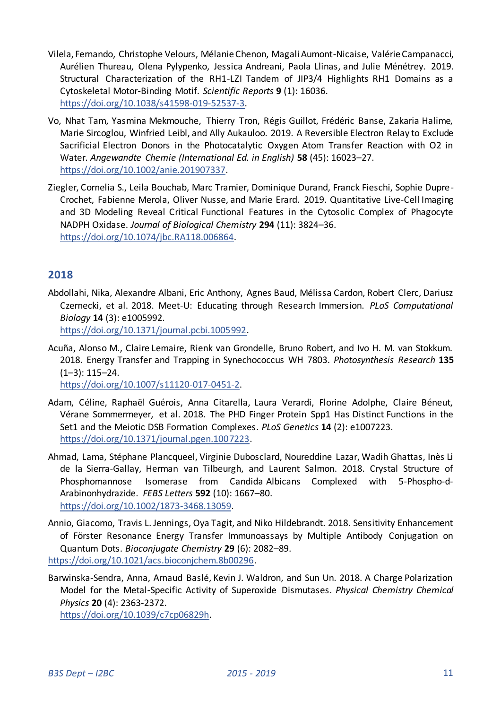- Vilela, Fernando, Christophe Velours, Mélanie Chenon, Magali Aumont-Nicaise, Valérie Campanacci, Aurélien Thureau, Olena Pylypenko, Jessica Andreani, Paola Llinas, and Julie Ménétrey. 2019. Structural Characterization of the RH1-LZI Tandem of JIP3/4 Highlights RH1 Domains as a Cytoskeletal Motor-Binding Motif. *Scientific Reports* **9** (1): 16036. [https://doi.org/10.1038/s41598-019-52537-3.](https://doi.org/10.1038/s41598-019-52537-3)
- Vo, Nhat Tam, Yasmina Mekmouche, Thierry Tron, Régis Guillot, Frédéric Banse, Zakaria Halime, Marie Sircoglou, Winfried Leibl, and Ally Aukauloo. 2019. A Reversible Electron Relay to Exclude Sacrificial Electron Donors in the Photocatalytic Oxygen Atom Transfer Reaction with O2 in Water. *Angewandte Chemie (International Ed. in English)* **58** (45): 16023–27. [https://doi.org/10.1002/anie.201907337.](https://doi.org/10.1002/anie.201907337)
- Ziegler, Cornelia S., Leila Bouchab, Marc Tramier, Dominique Durand, Franck Fieschi, Sophie Dupre-Crochet, Fabienne Merola, Oliver Nusse, and Marie Erard. 2019. Quantitative Live-Cell Imaging and 3D Modeling Reveal Critical Functional Features in the Cytosolic Complex of Phagocyte NADPH Oxidase. *Journal of Biological Chemistry* **294** (11): 3824–36. [https://doi.org/10.1074/jbc.RA118.006864.](https://doi.org/10.1074/jbc.RA118.006864)

# <span id="page-10-0"></span>**2018**

Abdollahi, Nika, Alexandre Albani, Eric Anthony, Agnes Baud, Mélissa Cardon, Robert Clerc, Dariusz Czernecki, et al. 2018. Meet-U: Educating through Research Immersion. *PLoS Computational Biology* **14** (3): e1005992.

[https://doi.org/10.1371/journal.pcbi.1005992.](https://doi.org/10.1371/journal.pcbi.1005992) 

Acuña, Alonso M., Claire Lemaire, Rienk van Grondelle, Bruno Robert, and Ivo H. M. van Stokkum. 2018. Energy Transfer and Trapping in Synechococcus WH 7803. *Photosynthesis Research* **135** (1–3): 115–24.

[https://doi.org/10.1007/s11120-017-0451-2.](https://doi.org/10.1007/s11120-017-0451-2) 

- Adam, Céline, Raphaël Guérois, Anna Citarella, Laura Verardi, Florine Adolphe, Claire Béneut, Vérane Sommermeyer, et al. 2018. The PHD Finger Protein Spp1 Has Distinct Functions in the Set1 and the Meiotic DSB Formation Complexes. *PLoS Genetics* **14** (2): e1007223. [https://doi.org/10.1371/journal.pgen.1007223.](https://doi.org/10.1371/journal.pgen.1007223)
- Ahmad, Lama, Stéphane Plancqueel, Virginie Dubosclard, Noureddine Lazar, Wadih Ghattas, Inès Li de la Sierra-Gallay, Herman van Tilbeurgh, and Laurent Salmon. 2018. Crystal Structure of Phosphomannose Isomerase from Candida Albicans Complexed with 5-Phospho-d-Arabinonhydrazide. *FEBS Letters* **592** (10): 1667–80. [https://doi.org/10.1002/1873-3468.13059.](https://doi.org/10.1002/1873-3468.13059)
- Annio, Giacomo, Travis L. Jennings, Oya Tagit, and Niko Hildebrandt. 2018. Sensitivity Enhancement of Förster Resonance Energy Transfer Immunoassays by Multiple Antibody Conjugation on Quantum Dots. *Bioconjugate Chemistry* **29** (6): 2082–89. [https://doi.org/10.1021/acs.bioconjchem.8b00296.](https://doi.org/10.1021/acs.bioconjchem.8b00296)
- Barwinska-Sendra, Anna, Arnaud Baslé, Kevin J. Waldron, and Sun Un. 2018. A Charge Polarization Model for the Metal-Specific Activity of Superoxide Dismutases. *Physical Chemistry Chemical Physics* **20** (4): 2363-2372.

[https://doi.org/10.1039/c7cp06829h.](https://doi.org/10.1039/c7cp06829h)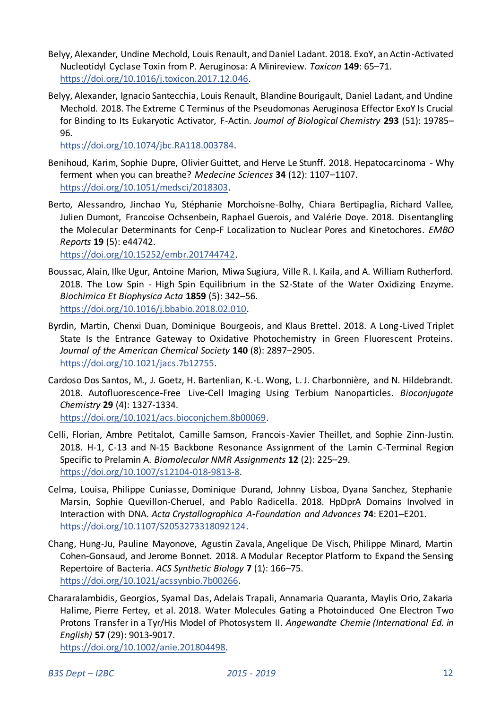- Belyy, Alexander, Undine Mechold, Louis Renault, and Daniel Ladant. 2018. ExoY, an Actin-Activated Nucleotidyl Cyclase Toxin from P. Aeruginosa: A Minireview. *Toxicon* **149**: 65–71. [https://doi.org/10.1016/j.toxicon.2017.12.046.](https://doi.org/10.1016/j.toxicon.2017.12.046)
- Belyy, Alexander, Ignacio Santecchia, Louis Renault, Blandine Bourigault, Daniel Ladant, and Undine Mechold. 2018. The Extreme C Terminus of the Pseudomonas Aeruginosa Effector ExoY Is Crucial for Binding to Its Eukaryotic Activator, F-Actin. *Journal of Biological Chemistry* **293** (51): 19785– 96.

[https://doi.org/10.1074/jbc.RA118.003784.](https://doi.org/10.1074/jbc.RA118.003784) 

- Benihoud, Karim, Sophie Dupre, Olivier Guittet, and Herve Le Stunff. 2018. Hepatocarcinoma Why ferment when you can breathe? *Medecine Sciences* **34** (12): 1107–1107. [https://doi.org/10.1051/medsci/2018303.](https://doi.org/10.1051/medsci/2018303)
- Berto, Alessandro, Jinchao Yu, Stéphanie Morchoisne-Bolhy, Chiara Bertipaglia, Richard Vallee, Julien Dumont, Francoise Ochsenbein, Raphael Guerois, and Valérie Doye. 2018. Disentangling the Molecular Determinants for Cenp-F Localization to Nuclear Pores and Kinetochores. *EMBO Reports* **19** (5): e44742.

[https://doi.org/10.15252/embr.201744742.](https://doi.org/10.15252/embr.201744742) 

- Boussac, Alain, Ilke Ugur, Antoine Marion, Miwa Sugiura, Ville R. I. Kaila, and A. William Rutherford. 2018. The Low Spin - High Spin Equilibrium in the S2-State of the Water Oxidizing Enzyme. *Biochimica Et Biophysica Acta* **1859** (5): 342–56. [https://doi.org/10.1016/j.bbabio.2018.02.010.](https://doi.org/10.1016/j.bbabio.2018.02.010)
- Byrdin, Martin, Chenxi Duan, Dominique Bourgeois, and Klaus Brettel. 2018. A Long-Lived Triplet State Is the Entrance Gateway to Oxidative Photochemistry in Green Fluorescent Proteins. *Journal of the American Chemical Society* **140** (8): 2897–2905. [https://doi.org/10.1021/jacs.7b12755.](https://doi.org/10.1021/jacs.7b12755)
- Cardoso Dos Santos, M., J. Goetz, H. Bartenlian, K.-L. Wong, L. J. Charbonnière, and N. Hildebrandt. 2018. Autofluorescence-Free Live-Cell Imaging Using Terbium Nanoparticles. *Bioconjugate Chemistry* **29** (4): 1327-1334. [https://doi.org/10.1021/acs.bioconjchem.8b00069.](https://doi.org/10.1021/acs.bioconjchem.8b00069)
- Celli, Florian, Ambre Petitalot, Camille Samson, Francois-Xavier Theillet, and Sophie Zinn-Justin. 2018. H-1, C-13 and N-15 Backbone Resonance Assignment of the Lamin C-Terminal Region Specific to Prelamin A. *Biomolecular NMR Assignments* **12** (2): 225–29. [https://doi.org/10.1007/s12104-018-9813-8.](https://doi.org/10.1007/s12104-018-9813-8)
- Celma, Louisa, Philippe Cuniasse, Dominique Durand, Johnny Lisboa, Dyana Sanchez, Stephanie Marsin, Sophie Quevillon-Cheruel, and Pablo Radicella. 2018. HpDprA Domains Involved in Interaction with DNA. *Acta Crystallographica A-Foundation and Advances* **74**: E201–E201. [https://doi.org/10.1107/S2053273318092124.](https://doi.org/10.1107/S2053273318092124)
- Chang, Hung-Ju, Pauline Mayonove, Agustin Zavala, Angelique De Visch, Philippe Minard, Martin Cohen-Gonsaud, and Jerome Bonnet. 2018. A Modular Receptor Platform to Expand the Sensing Repertoire of Bacteria. *ACS Synthetic Biology* **7** (1): 166–75. [https://doi.org/10.1021/acssynbio.7b00266.](https://doi.org/10.1021/acssynbio.7b00266)
- Chararalambidis, Georgios, Syamal Das, Adelais Trapali, Annamaria Quaranta, Maylis Orio, Zakaria Halime, Pierre Fertey, et al. 2018. Water Molecules Gating a Photoinduced One Electron Two Protons Transfer in a Tyr/His Model of Photosystem II. *Angewandte Chemie (International Ed. in English)* **57** (29): 9013-9017.

[https://doi.org/10.1002/anie.201804498.](https://doi.org/10.1002/anie.201804498)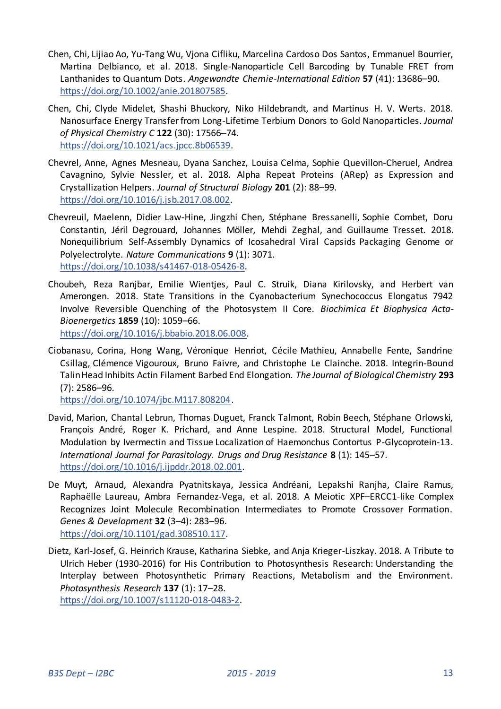- Chen, Chi, Lijiao Ao, Yu-Tang Wu, Vjona Cifliku, Marcelina Cardoso Dos Santos, Emmanuel Bourrier, Martina Delbianco, et al. 2018. Single-Nanoparticle Cell Barcoding by Tunable FRET from Lanthanides to Quantum Dots. *Angewandte Chemie-International Edition* **57** (41): 13686–90. [https://doi.org/10.1002/anie.201807585.](https://doi.org/10.1002/anie.201807585)
- Chen, Chi, Clyde Midelet, Shashi Bhuckory, Niko Hildebrandt, and Martinus H. V. Werts. 2018. Nanosurface Energy Transfer from Long-Lifetime Terbium Donors to Gold Nanoparticles. *Journal of Physical Chemistry C* **122** (30): 17566–74. [https://doi.org/10.1021/acs.jpcc.8b06539.](https://doi.org/10.1021/acs.jpcc.8b06539)
- Chevrel, Anne, Agnes Mesneau, Dyana Sanchez, Louisa Celma, Sophie Quevillon-Cheruel, Andrea Cavagnino, Sylvie Nessler, et al. 2018. Alpha Repeat Proteins (ΑRep) as Expression and Crystallization Helpers. *Journal of Structural Biology* **201** (2): 88–99. [https://doi.org/10.1016/j.jsb.2017.08.002.](https://doi.org/10.1016/j.jsb.2017.08.002)
- Chevreuil, Maelenn, Didier Law-Hine, Jingzhi Chen, Stéphane Bressanelli, Sophie Combet, Doru Constantin, Jéril Degrouard, Johannes Möller, Mehdi Zeghal, and Guillaume Tresset. 2018. Nonequilibrium Self-Assembly Dynamics of Icosahedral Viral Capsids Packaging Genome or Polyelectrolyte. *Nature Communications* **9** (1): 3071. [https://doi.org/10.1038/s41467-018-05426-8.](https://doi.org/10.1038/s41467-018-05426-8)
- Choubeh, Reza Ranjbar, Emilie Wientjes, Paul C. Struik, Diana Kirilovsky, and Herbert van Amerongen. 2018. State Transitions in the Cyanobacterium Synechococcus Elongatus 7942 Involve Reversible Quenching of the Photosystem II Core. *Biochimica Et Biophysica Acta-Bioenergetics* **1859** (10): 1059–66.

[https://doi.org/10.1016/j.bbabio.2018.06.008.](https://doi.org/10.1016/j.bbabio.2018.06.008) 

Ciobanasu, Corina, Hong Wang, Véronique Henriot, Cécile Mathieu, Annabelle Fente, Sandrine Csillag, Clémence Vigouroux, Bruno Faivre, and Christophe Le Clainche. 2018. Integrin-Bound Talin Head Inhibits Actin Filament Barbed End Elongation. *The Journal of Biological Chemistry* **293** (7): 2586–96.

[https://doi.org/10.1074/jbc.M117.808204.](https://doi.org/10.1074/jbc.M117.808204) 

- David, Marion, Chantal Lebrun, Thomas Duguet, Franck Talmont, Robin Beech, Stéphane Orlowski, François André, Roger K. Prichard, and Anne Lespine. 2018. Structural Model, Functional Modulation by Ivermectin and Tissue Localization of Haemonchus Contortus P-Glycoprotein-13. *International Journal for Parasitology. Drugs and Drug Resistance* **8** (1): 145–57. [https://doi.org/10.1016/j.ijpddr.2018.02.001.](https://doi.org/10.1016/j.ijpddr.2018.02.001)
- De Muyt, Arnaud, Alexandra Pyatnitskaya, Jessica Andréani, Lepakshi Ranjha, Claire Ramus, Raphaëlle Laureau, Ambra Fernandez-Vega, et al. 2018. A Meiotic XPF–ERCC1-like Complex Recognizes Joint Molecule Recombination Intermediates to Promote Crossover Formation. *Genes & Development* **32** (3–4): 283–96. [https://doi.org/10.1101/gad.308510.117.](https://doi.org/10.1101/gad.308510.117)
- Dietz, Karl-Josef, G. Heinrich Krause, Katharina Siebke, and Anja Krieger-Liszkay. 2018. A Tribute to Ulrich Heber (1930-2016) for His Contribution to Photosynthesis Research: Understanding the Interplay between Photosynthetic Primary Reactions, Metabolism and the Environment. *Photosynthesis Research* **137** (1): 17–28. [https://doi.org/10.1007/s11120-018-0483-2.](https://doi.org/10.1007/s11120-018-0483-2)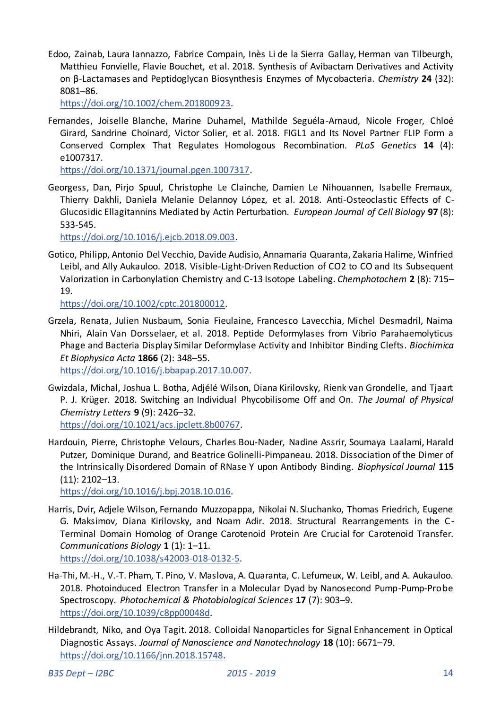Edoo, Zainab, Laura Iannazzo, Fabrice Compain, Inès Li de la Sierra Gallay, Herman van Tilbeurgh, Matthieu Fonvielle, Flavie Bouchet, et al. 2018. Synthesis of Avibactam Derivatives and Activity on β-Lactamases and Peptidoglycan Biosynthesis Enzymes of Mycobacteria. *Chemistry* **24** (32): 8081–86.

[https://doi.org/10.1002/chem.201800923.](https://doi.org/10.1002/chem.201800923) 

Fernandes, Joiselle Blanche, Marine Duhamel, Mathilde Seguéla-Arnaud, Nicole Froger, Chloé Girard, Sandrine Choinard, Victor Solier, et al. 2018. FIGL1 and Its Novel Partner FLIP Form a Conserved Complex That Regulates Homologous Recombination. *PLoS Genetics* **14** (4): e1007317.

[https://doi.org/10.1371/journal.pgen.1007317.](https://doi.org/10.1371/journal.pgen.1007317) 

Georgess, Dan, Pirjo Spuul, Christophe Le Clainche, Damien Le Nihouannen, Isabelle Fremaux, Thierry Dakhli, Daniela Melanie Delannoy López, et al. 2018. Anti-Osteoclastic Effects of C-Glucosidic Ellagitannins Mediated by Actin Perturbation. *European Journal of Cell Biology* **97** (8): 533-545.

[https://doi.org/10.1016/j.ejcb.2018.09.003.](https://doi.org/10.1016/j.ejcb.2018.09.003) 

Gotico, Philipp, Antonio Del Vecchio, Davide Audisio, Annamaria Quaranta, Zakaria Halime, Winfried Leibl, and Ally Aukauloo. 2018. Visible-Light-Driven Reduction of CO2 to CO and Its Subsequent Valorization in Carbonylation Chemistry and C-13 Isotope Labeling. *Chemphotochem* **2** (8): 715– 19.

[https://doi.org/10.1002/cptc.201800012.](https://doi.org/10.1002/cptc.201800012) 

Grzela, Renata, Julien Nusbaum, Sonia Fieulaine, Francesco Lavecchia, Michel Desmadril, Naima Nhiri, Alain Van Dorsselaer, et al. 2018. Peptide Deformylases from Vibrio Parahaemolyticus Phage and Bacteria Display Similar Deformylase Activity and Inhibitor Binding Clefts. *Biochimica Et Biophysica Acta* **1866** (2): 348–55.

[https://doi.org/10.1016/j.bbapap.2017.10.007.](https://doi.org/10.1016/j.bbapap.2017.10.007) 

- Gwizdala, Michal, Joshua L. Botha, Adjélé Wilson, Diana Kirilovsky, Rienk van Grondelle, and Tjaart P. J. Krüger. 2018. Switching an Individual Phycobilisome Off and On. *The Journal of Physical Chemistry Letters* **9** (9): 2426–32. [https://doi.org/10.1021/acs.jpclett.8b00767.](https://doi.org/10.1021/acs.jpclett.8b00767)
- Hardouin, Pierre, Christophe Velours, Charles Bou-Nader, Nadine Assrir, Soumaya Laalami, Harald Putzer, Dominique Durand, and Beatrice Golinelli-Pimpaneau. 2018. Dissociation of the Dimer of the Intrinsically Disordered Domain of RNase Y upon Antibody Binding. *Biophysical Journal* **115** (11): 2102–13.

[https://doi.org/10.1016/j.bpj.2018.10.016.](https://doi.org/10.1016/j.bpj.2018.10.016) 

- Harris, Dvir, Adjele Wilson, Fernando Muzzopappa, Nikolai N. Sluchanko, Thomas Friedrich, Eugene G. Maksimov, Diana Kirilovsky, and Noam Adir. 2018. Structural Rearrangements in the C - Terminal Domain Homolog of Orange Carotenoid Protein Are Crucial for Carotenoid Transfer. *Communications Biology* **1** (1): 1–11. [https://doi.org/10.1038/s42003-018-0132-5.](https://doi.org/10.1038/s42003-018-0132-5)
- Ha-Thi, M.-H., V.-T. Pham, T. Pino, V. Maslova, A. Quaranta, C. Lefumeux, W. Leibl, and A. Aukauloo. 2018. Photoinduced Electron Transfer in a Molecular Dyad by Nanosecond Pump-Pump-Probe Spectroscopy. *Photochemical & Photobiological Sciences* **17** (7): 903–9. [https://doi.org/10.1039/c8pp00048d.](https://doi.org/10.1039/c8pp00048d)
- Hildebrandt, Niko, and Oya Tagit. 2018. Colloidal Nanoparticles for Signal Enhancement in Optical Diagnostic Assays. *Journal of Nanoscience and Nanotechnology* **18** (10): 6671–79. [https://doi.org/10.1166/jnn.2018.15748.](https://doi.org/10.1166/jnn.2018.15748)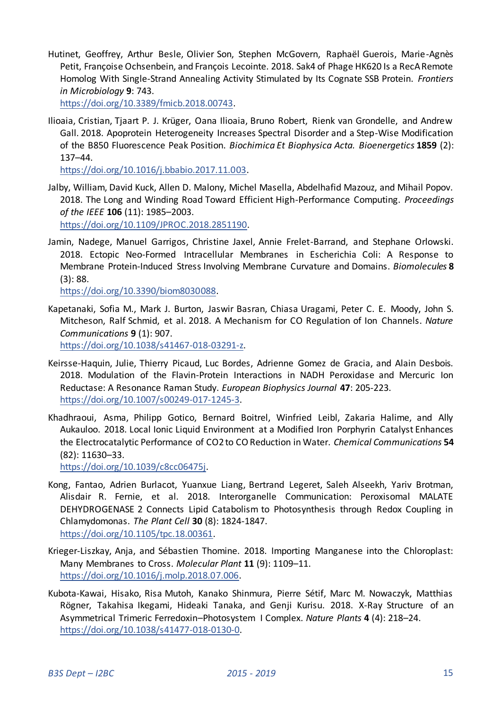Hutinet, Geoffrey, Arthur Besle, Olivier Son, Stephen McGovern, Raphaël Guerois, Marie-Agnès Petit, Françoise Ochsenbein, and François Lecointe. 2018. Sak4 of Phage HK620 Is a RecA Remote Homolog With Single-Strand Annealing Activity Stimulated by Its Cognate SSB Protein. *Frontiers in Microbiology* **9**: 743.

[https://doi.org/10.3389/fmicb.2018.00743.](https://doi.org/10.3389/fmicb.2018.00743) 

Ilioaia, Cristian, Tjaart P. J. Krüger, Oana Ilioaia, Bruno Robert, Rienk van Grondelle, and Andrew Gall. 2018. Apoprotein Heterogeneity Increases Spectral Disorder and a Step-Wise Modification of the B850 Fluorescence Peak Position. *Biochimica Et Biophysica Acta. Bioenergetics* **1859** (2): 137–44.

[https://doi.org/10.1016/j.bbabio.2017.11.003.](https://doi.org/10.1016/j.bbabio.2017.11.003) 

Jalby, William, David Kuck, Allen D. Malony, Michel Masella, Abdelhafid Mazouz, and Mihail Popov. 2018. The Long and Winding Road Toward Efficient High-Performance Computing. *Proceedings of the IEEE* **106** (11): 1985–2003.

[https://doi.org/10.1109/JPROC.2018.2851190.](https://doi.org/10.1109/JPROC.2018.2851190) 

Jamin, Nadege, Manuel Garrigos, Christine Jaxel, Annie Frelet-Barrand, and Stephane Orlowski. 2018. Ectopic Neo-Formed Intracellular Membranes in Escherichia Coli: A Response to Membrane Protein-Induced Stress Involving Membrane Curvature and Domains. *Biomolecules* **8** (3): 88.

[https://doi.org/10.3390/biom8030088.](https://doi.org/10.3390/biom8030088) 

Kapetanaki, Sofia M., Mark J. Burton, Jaswir Basran, Chiasa Uragami, Peter C. E. Moody, John S. Mitcheson, Ralf Schmid, et al. 2018. A Mechanism for CO Regulation of Ion Channels. *Nature Communications* **9** (1): 907.

[https://doi.org/10.1038/s41467-018-03291-z.](https://doi.org/10.1038/s41467-018-03291-z) 

- Keirsse-Haquin, Julie, Thierry Picaud, Luc Bordes, Adrienne Gomez de Gracia, and Alain Desbois. 2018. Modulation of the Flavin-Protein Interactions in NADH Peroxidase and Mercuric Ion Reductase: A Resonance Raman Study. *European Biophysics Journal* **47**: 205-223. [https://doi.org/10.1007/s00249-017-1245-3.](https://doi.org/10.1007/s00249-017-1245-3)
- Khadhraoui, Asma, Philipp Gotico, Bernard Boitrel, Winfried Leibl, Zakaria Halime, and Ally Aukauloo. 2018. Local Ionic Liquid Environment at a Modified Iron Porphyrin Catalyst Enhances the Electrocatalytic Performance of CO2 to CO Reduction in Water. *Chemical Communications* **54** (82): 11630–33.

[https://doi.org/10.1039/c8cc06475j.](https://doi.org/10.1039/c8cc06475j) 

- Kong, Fantao, Adrien Burlacot, Yuanxue Liang, Bertrand Legeret, Saleh Alseekh, Yariv Brotman, Alisdair R. Fernie, et al. 2018. Interorganelle Communication: Peroxisomal MALATE DEHYDROGENASE 2 Connects Lipid Catabolism to Photosynthesis through Redox Coupling in Chlamydomonas. *The Plant Cell* **30** (8): 1824-1847. [https://doi.org/10.1105/tpc.18.00361.](https://doi.org/10.1105/tpc.18.00361)
- Krieger-Liszkay, Anja, and Sébastien Thomine. 2018. Importing Manganese into the Chloroplast: Many Membranes to Cross. *Molecular Plant* **11** (9): 1109–11. [https://doi.org/10.1016/j.molp.2018.07.006.](https://doi.org/10.1016/j.molp.2018.07.006)
- Kubota-Kawai, Hisako, Risa Mutoh, Kanako Shinmura, Pierre Sétif, Marc M. Nowaczyk, Matthias Rögner, Takahisa Ikegami, Hideaki Tanaka, and Genji Kurisu. 2018. X-Ray Structure of an Asymmetrical Trimeric Ferredoxin–Photosystem I Complex. *Nature Plants* **4** (4): 218–24. [https://doi.org/10.1038/s41477-018-0130-0.](https://doi.org/10.1038/s41477-018-0130-0)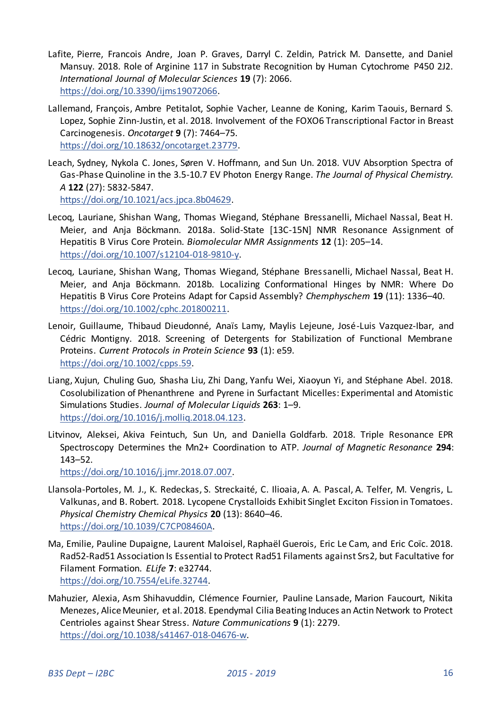- Lafite, Pierre, Francois Andre, Joan P. Graves, Darryl C. Zeldin, Patrick M. Dansette, and Daniel Mansuy. 2018. Role of Arginine 117 in Substrate Recognition by Human Cytochrome P450 2J2. *International Journal of Molecular Sciences* **19** (7): 2066. [https://doi.org/10.3390/ijms19072066.](https://doi.org/10.3390/ijms19072066)
- Lallemand, François, Ambre Petitalot, Sophie Vacher, Leanne de Koning, Karim Taouis, Bernard S. Lopez, Sophie Zinn-Justin, et al. 2018. Involvement of the FOXO6 Transcriptional Factor in Breast Carcinogenesis. *Oncotarget* **9** (7): 7464–75. [https://doi.org/10.18632/oncotarget.23779.](https://doi.org/10.18632/oncotarget.23779)
- Leach, Sydney, Nykola C. Jones, Søren V. Hoffmann, and Sun Un. 2018. VUV Absorption Spectra of Gas-Phase Quinoline in the 3.5-10.7 EV Photon Energy Range. *The Journal of Physical Chemistry. A* **122** (27): 5832-5847. [https://doi.org/10.1021/acs.jpca.8b04629.](https://doi.org/10.1021/acs.jpca.8b04629)
- Lecoq, Lauriane, Shishan Wang, Thomas Wiegand, Stéphane Bressanelli, Michael Nassal, Beat H. Meier, and Anja Böckmann. 2018a. Solid-State [13C-15N] NMR Resonance Assignment of Hepatitis B Virus Core Protein. *Biomolecular NMR Assignments* **12** (1): 205–14. [https://doi.org/10.1007/s12104-018-9810-y.](https://doi.org/10.1007/s12104-018-9810-y)
- Lecoq, Lauriane, Shishan Wang, Thomas Wiegand, Stéphane Bressanelli, Michael Nassal, Beat H. Meier, and Anja Böckmann. 2018b. Localizing Conformational Hinges by NMR: Where Do Hepatitis B Virus Core Proteins Adapt for Capsid Assembly? *Chemphyschem* **19** (11): 1336–40. [https://doi.org/10.1002/cphc.201800211.](https://doi.org/10.1002/cphc.201800211)
- Lenoir, Guillaume, Thibaud Dieudonné, Anaïs Lamy, Maylis Lejeune, José-Luis Vazquez-Ibar, and Cédric Montigny. 2018. Screening of Detergents for Stabilization of Functional Membrane Proteins. *Current Protocols in Protein Science* **93** (1): e59. [https://doi.org/10.1002/cpps.59.](https://doi.org/10.1002/cpps.59)
- Liang, Xujun, Chuling Guo, Shasha Liu, Zhi Dang, Yanfu Wei, Xiaoyun Yi, and Stéphane Abel. 2018. Cosolubilization of Phenanthrene and Pyrene in Surfactant Micelles: Experimental and Atomistic Simulations Studies. *Journal of Molecular Liquids* **263**: 1–9. [https://doi.org/10.1016/j.molliq.2018.04.123.](https://doi.org/10.1016/j.molliq.2018.04.123)
- Litvinov, Aleksei, Akiva Feintuch, Sun Un, and Daniella Goldfarb. 2018. Triple Resonance EPR Spectroscopy Determines the Mn2+ Coordination to ATP. *Journal of Magnetic Resonance* **294**: 143–52.

[https://doi.org/10.1016/j.jmr.2018.07.007.](https://doi.org/10.1016/j.jmr.2018.07.007) 

- Llansola-Portoles, M. J., K. Redeckas, S. Streckaité, C. Ilioaia, A. A. Pascal, A. Telfer, M. Vengris, L. Valkunas, and B. Robert. 2018. Lycopene Crystalloids Exhibit Singlet Exciton Fission in Tomatoes. *Physical Chemistry Chemical Physics* **20** (13): 8640–46. [https://doi.org/10.1039/C7CP08460A.](https://doi.org/10.1039/C7CP08460A)
- Ma, Emilie, Pauline Dupaigne, Laurent Maloisel, Raphaël Guerois, Eric Le Cam, and Eric Coïc. 2018. Rad52-Rad51 Association Is Essential to Protect Rad51 Filaments against Srs2, but Facultative for Filament Formation. *ELife* **7**: e32744. [https://doi.org/10.7554/eLife.32744.](https://doi.org/10.7554/eLife.32744)
- Mahuzier, Alexia, Asm Shihavuddin, Clémence Fournier, Pauline Lansade, Marion Faucourt, Nikita Menezes, Alice Meunier, et al. 2018. Ependymal Cilia Beating Induces an Actin Network to Protect Centrioles against Shear Stress. *Nature Communications* **9** (1): 2279. [https://doi.org/10.1038/s41467-018-04676-w.](https://doi.org/10.1038/s41467-018-04676-w)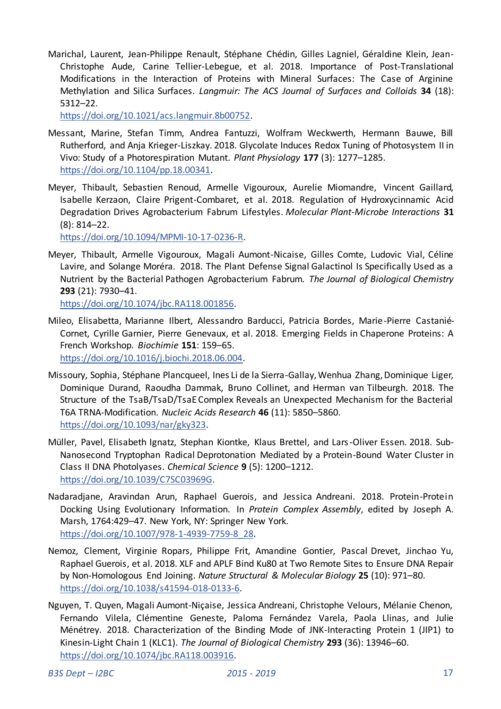Marichal, Laurent, Jean-Philippe Renault, Stéphane Chédin, Gilles Lagniel, Géraldine Klein, Jean-Christophe Aude, Carine Tellier-Lebegue, et al. 2018. Importance of Post-Translational Modifications in the Interaction of Proteins with Mineral Surfaces: The Case of Arginine Methylation and Silica Surfaces. *Langmuir: The ACS Journal of Surfaces and Colloids* **34** (18): 5312–22.

[https://doi.org/10.1021/acs.langmuir.8b00752.](https://doi.org/10.1021/acs.langmuir.8b00752) 

- Messant, Marine, Stefan Timm, Andrea Fantuzzi, Wolfram Weckwerth, Hermann Bauwe, Bill Rutherford, and Anja Krieger-Liszkay. 2018. Glycolate Induces Redox Tuning of Photosystem II in Vivo: Study of a Photorespiration Mutant. *Plant Physiology* **177** (3): 1277–1285. [https://doi.org/10.1104/pp.18.00341.](https://doi.org/10.1104/pp.18.00341)
- Meyer, Thibault, Sebastien Renoud, Armelle Vigouroux, Aurelie Miomandre, Vincent Gaillard, Isabelle Kerzaon, Claire Prigent-Combaret, et al. 2018. Regulation of Hydroxycinnamic Acid Degradation Drives Agrobacterium Fabrum Lifestyles. *Molecular Plant-Microbe Interactions* **31** (8): 814–22.

[https://doi.org/10.1094/MPMI-10-17-0236-R.](https://doi.org/10.1094/MPMI-10-17-0236-R) 

Meyer, Thibault, Armelle Vigouroux, Magali Aumont-Nicaise, Gilles Comte, Ludovic Vial, Céline Lavire, and Solange Moréra. 2018. The Plant Defense Signal Galactinol Is Specifically Used as a Nutrient by the Bacterial Pathogen Agrobacterium Fabrum. *The Journal of Biological Chemistry* **293** (21): 7930–41.

[https://doi.org/10.1074/jbc.RA118.001856.](https://doi.org/10.1074/jbc.RA118.001856) 

- Mileo, Elisabetta, Marianne Ilbert, Alessandro Barducci, Patricia Bordes, Marie-Pierre Castanié-Cornet, Cyrille Garnier, Pierre Genevaux, et al. 2018. Emerging Fields in Chaperone Proteins: A French Workshop. *Biochimie* **151**: 159–65. [https://doi.org/10.1016/j.biochi.2018.06.004.](https://doi.org/10.1016/j.biochi.2018.06.004)
- Missoury, Sophia, Stéphane Plancqueel, Ines Li de la Sierra-Gallay, Wenhua Zhang, Dominique Liger, Dominique Durand, Raoudha Dammak, Bruno Collinet, and Herman van Tilbeurgh. 2018. The Structure of the TsaB/TsaD/TsaE Complex Reveals an Unexpected Mechanism for the Bacterial T6A TRNA-Modification. *Nucleic Acids Research* **46** (11): 5850–5860. [https://doi.org/10.1093/nar/gky323.](https://doi.org/10.1093/nar/gky323)
- Müller, Pavel, Elisabeth Ignatz, Stephan Kiontke, Klaus Brettel, and Lars -Oliver Essen. 2018. Sub-Nanosecond Tryptophan Radical Deprotonation Mediated by a Protein-Bound Water Cluster in Class II DNA Photolyases. *Chemical Science* **9** (5): 1200–1212. [https://doi.org/10.1039/C7SC03969G.](https://doi.org/10.1039/C7SC03969G)
- Nadaradjane, Aravindan Arun, Raphael Guerois, and Jessica Andreani. 2018. Protein-Protein Docking Using Evolutionary Information. In *Protein Complex Assembly*, edited by Joseph A. Marsh, 1764:429–47. New York, NY: Springer New York. [https://doi.org/10.1007/978-1-4939-7759-8\\_28.](https://doi.org/10.1007/978-1-4939-7759-8_28)
- Nemoz, Clement, Virginie Ropars, Philippe Frit, Amandine Gontier, Pascal Drevet, Jinchao Yu, Raphael Guerois, et al. 2018. XLF and APLF Bind Ku80 at Two Remote Sites to Ensure DNA Repair by Non-Homologous End Joining. *Nature Structural & Molecular Biology* **25** (10): 971–80. [https://doi.org/10.1038/s41594-018-0133-6.](https://doi.org/10.1038/s41594-018-0133-6)
- Nguyen, T. Quyen, Magali Aumont-Niçaise, Jessica Andreani, Christophe Velours, Mélanie Chenon, Fernando Vilela, Clémentine Geneste, Paloma Fernández Varela, Paola Llinas, and Julie Ménétrey. 2018. Characterization of the Binding Mode of JNK-Interacting Protein 1 (JIP1) to Kinesin-Light Chain 1 (KLC1). *The Journal of Biological Chemistry* **293** (36): 13946–60. [https://doi.org/10.1074/jbc.RA118.003916.](https://doi.org/10.1074/jbc.RA118.003916)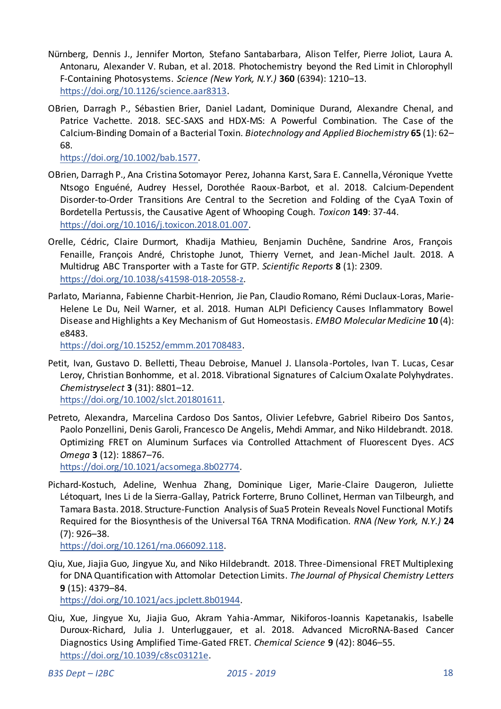- Nürnberg, Dennis J., Jennifer Morton, Stefano Santabarbara, Alison Telfer, Pierre Joliot, Laura A. Antonaru, Alexander V. Ruban, et al. 2018. Photochemistry beyond the Red Limit in Chlorophyll F-Containing Photosystems. *Science (New York, N.Y.)* **360** (6394): 1210–13. [https://doi.org/10.1126/science.aar8313.](https://doi.org/10.1126/science.aar8313)
- OBrien, Darragh P., Sébastien Brier, Daniel Ladant, Dominique Durand, Alexandre Chenal, and Patrice Vachette. 2018. SEC-SAXS and HDX-MS: A Powerful Combination. The Case of the Calcium-Binding Domain of a Bacterial Toxin. *Biotechnology and Applied Biochemistry* **65** (1): 62– 68.

[https://doi.org/10.1002/bab.1577.](https://doi.org/10.1002/bab.1577) 

- OBrien, Darragh P., Ana Cristina Sotomayor Perez, Johanna Karst, Sara E. Cannella, Véronique Yvette Ntsogo Enguéné, Audrey Hessel, Dorothée Raoux-Barbot, et al. 2018. Calcium-Dependent Disorder-to-Order Transitions Are Central to the Secretion and Folding of the CyaA Toxin of Bordetella Pertussis, the Causative Agent of Whooping Cough. *Toxicon* **149**: 37-44. [https://doi.org/10.1016/j.toxicon.2018.01.007.](https://doi.org/10.1016/j.toxicon.2018.01.007)
- Orelle, Cédric, Claire Durmort, Khadija Mathieu, Benjamin Duchêne, Sandrine Aros, François Fenaille, François André, Christophe Junot, Thierry Vernet, and Jean-Michel Jault. 2018. A Multidrug ABC Transporter with a Taste for GTP. *Scientific Reports* **8** (1): 2309. [https://doi.org/10.1038/s41598-018-20558-z.](https://doi.org/10.1038/s41598-018-20558-z)
- Parlato, Marianna, Fabienne Charbit-Henrion, Jie Pan, Claudio Romano, Rémi Duclaux-Loras, Marie-Helene Le Du, Neil Warner, et al. 2018. Human ALPI Deficiency Causes Inflammatory Bowel Disease and Highlights a Key Mechanism of Gut Homeostasis. *EMBO Molecular Medicine* **10** (4): e8483.

[https://doi.org/10.15252/emmm.201708483.](https://doi.org/10.15252/emmm.201708483) 

- Petit, Ivan, Gustavo D. Belletti, Theau Debroise, Manuel J. Llansola-Portoles, Ivan T. Lucas, Cesar Leroy, Christian Bonhomme, et al. 2018. Vibrational Signatures of Calcium Oxalate Polyhydrates. *Chemistryselect* **3** (31): 8801–12. [https://doi.org/10.1002/slct.201801611.](https://doi.org/10.1002/slct.201801611)
- Petreto, Alexandra, Marcelina Cardoso Dos Santos, Olivier Lefebvre, Gabriel Ribeiro Dos Santos, Paolo Ponzellini, Denis Garoli, Francesco De Angelis, Mehdi Ammar, and Niko Hildebrandt. 2018. Optimizing FRET on Aluminum Surfaces via Controlled Attachment of Fluorescent Dyes. *ACS Omega* **3** (12): 18867–76.

[https://doi.org/10.1021/acsomega.8b02774.](https://doi.org/10.1021/acsomega.8b02774) 

Pichard-Kostuch, Adeline, Wenhua Zhang, Dominique Liger, Marie-Claire Daugeron, Juliette Létoquart, Ines Li de la Sierra-Gallay, Patrick Forterre, Bruno Collinet, Herman van Tilbeurgh, and Tamara Basta. 2018. Structure-Function Analysis of Sua5 Protein Reveals Novel Functional Motifs Required for the Biosynthesis of the Universal T6A TRNA Modification. *RNA (New York, N.Y.)* **24** (7): 926–38.

[https://doi.org/10.1261/rna.066092.118.](https://doi.org/10.1261/rna.066092.118) 

Qiu, Xue, Jiajia Guo, Jingyue Xu, and Niko Hildebrandt. 2018. Three-Dimensional FRET Multiplexing for DNA Quantification with Attomolar Detection Limits. *The Journal of Physical Chemistry Letters* **9** (15): 4379–84.

[https://doi.org/10.1021/acs.jpclett.8b01944.](https://doi.org/10.1021/acs.jpclett.8b01944) 

Qiu, Xue, Jingyue Xu, Jiajia Guo, Akram Yahia-Ammar, Nikiforos-Ioannis Kapetanakis, Isabelle Duroux-Richard, Julia J. Unterluggauer, et al. 2018. Advanced MicroRNA-Based Cancer Diagnostics Using Amplified Time-Gated FRET. *Chemical Science* **9** (42): 8046–55. [https://doi.org/10.1039/c8sc03121e.](https://doi.org/10.1039/c8sc03121e)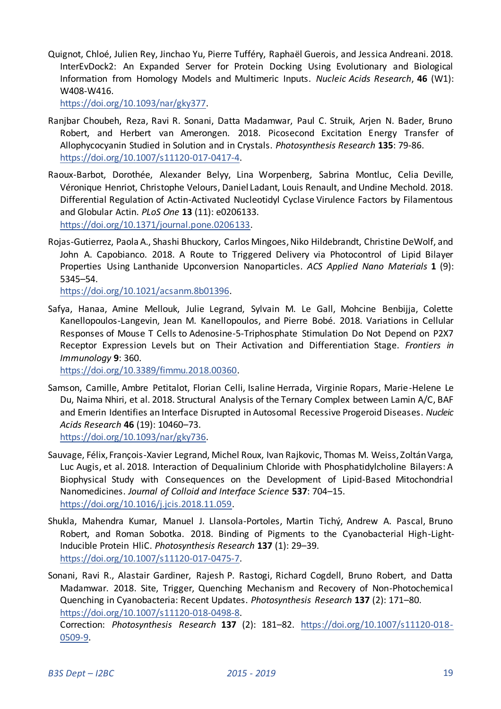Quignot, Chloé, Julien Rey, Jinchao Yu, Pierre Tufféry, Raphaël Guerois, and Jessica Andreani. 2018. InterEvDock2: An Expanded Server for Protein Docking Using Evolutionary and Biological Information from Homology Models and Multimeric Inputs. *Nucleic Acids Research*, **46** (W1): W408-W416.

[https://doi.org/10.1093/nar/gky377.](https://doi.org/10.1093/nar/gky377) 

- Ranjbar Choubeh, Reza, Ravi R. Sonani, Datta Madamwar, Paul C. Struik, Arjen N. Bader, Bruno Robert, and Herbert van Amerongen. 2018. Picosecond Excitation Energy Transfer of Allophycocyanin Studied in Solution and in Crystals. *Photosynthesis Research* **135**: 79-86. [https://doi.org/10.1007/s11120-017-0417-4.](https://doi.org/10.1007/s11120-017-0417-4)
- Raoux-Barbot, Dorothée, Alexander Belyy, Lina Worpenberg, Sabrina Montluc, Celia Deville, Véronique Henriot, Christophe Velours, Daniel Ladant, Louis Renault, and Undine Mechold. 2018. Differential Regulation of Actin-Activated Nucleotidyl Cyclase Virulence Factors by Filamentous and Globular Actin. *PLoS One* **13** (11): e0206133. [https://doi.org/10.1371/journal.pone.0206133.](https://doi.org/10.1371/journal.pone.0206133)
- Rojas-Gutierrez, Paola A., Shashi Bhuckory, Carlos Mingoes, Niko Hildebrandt, Christine DeWolf, and John A. Capobianco. 2018. A Route to Triggered Delivery via Photocontrol of Lipid Bilayer Properties Using Lanthanide Upconversion Nanoparticles. *ACS Applied Nano Materials* **1** (9): 5345–54.

[https://doi.org/10.1021/acsanm.8b01396.](https://doi.org/10.1021/acsanm.8b01396) 

Safya, Hanaa, Amine Mellouk, Julie Legrand, Sylvain M. Le Gall, Mohcine Benbijja, Colette Kanellopoulos-Langevin, Jean M. Kanellopoulos, and Pierre Bobé. 2018. Variations in Cellular Responses of Mouse T Cells to Adenosine-5-Triphosphate Stimulation Do Not Depend on P2X7 Receptor Expression Levels but on Their Activation and Differentiation Stage. *Frontiers in Immunology* **9**: 360.

[https://doi.org/10.3389/fimmu.2018.00360.](https://doi.org/10.3389/fimmu.2018.00360) 

Samson, Camille, Ambre Petitalot, Florian Celli, Isaline Herrada, Virginie Ropars, Marie-Helene Le Du, Naima Nhiri, et al. 2018. Structural Analysis of the Ternary Complex between Lamin A/C, BAF and Emerin Identifies an Interface Disrupted in Autosomal Recessive Progeroid Diseases. *Nucleic Acids Research* **46** (19): 10460–73.

[https://doi.org/10.1093/nar/gky736.](https://doi.org/10.1093/nar/gky736) 

- Sauvage, Félix, François-Xavier Legrand, Michel Roux, Ivan Rajkovic, Thomas M. Weiss, Zoltán Varga, Luc Augis, et al. 2018. Interaction of Dequalinium Chloride with Phosphatidylcholine Bilayers: A Biophysical Study with Consequences on the Development of Lipid-Based Mitochondrial Nanomedicines. *Journal of Colloid and Interface Science* **537**: 704–15. [https://doi.org/10.1016/j.jcis.2018.11.059.](https://doi.org/10.1016/j.jcis.2018.11.059)
- Shukla, Mahendra Kumar, Manuel J. Llansola-Portoles, Martin Tichý, Andrew A. Pascal, Bruno Robert, and Roman Sobotka. 2018. Binding of Pigments to the Cyanobacterial High-Light-Inducible Protein HliC. *Photosynthesis Research* **137** (1): 29–39. [https://doi.org/10.1007/s11120-017-0475-7.](https://doi.org/10.1007/s11120-017-0475-7)
- Sonani, Ravi R., Alastair Gardiner, Rajesh P. Rastogi, Richard Cogdell, Bruno Robert, and Datta Madamwar. 2018. Site, Trigger, Quenching Mechanism and Recovery of Non-Photochemical Quenching in Cyanobacteria: Recent Updates. *Photosynthesis Research* **137** (2): 171–80. [https://doi.org/10.1007/s11120-018-0498-8.](https://doi.org/10.1007/s11120-018-0498-8)

Correction: *Photosynthesis Research* **137** (2): 181–82. [https://doi.org/10.1007/s11120-018-](https://doi.org/10.1007/s11120-018-0509-9) [0509-9.](https://doi.org/10.1007/s11120-018-0509-9)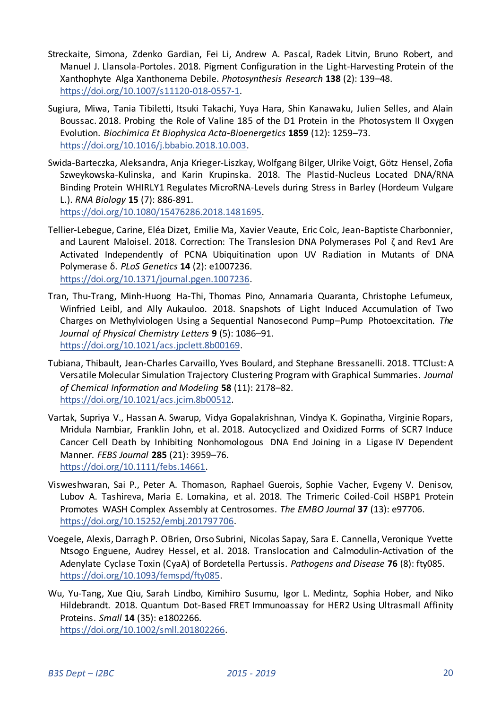- Streckaite, Simona, Zdenko Gardian, Fei Li, Andrew A. Pascal, Radek Litvin, Bruno Robert, and Manuel J. Llansola-Portoles. 2018. Pigment Configuration in the Light-Harvesting Protein of the Xanthophyte Alga Xanthonema Debile. *Photosynthesis Research* **138** (2): 139–48. [https://doi.org/10.1007/s11120-018-0557-1.](https://doi.org/10.1007/s11120-018-0557-1)
- Sugiura, Miwa, Tania Tibiletti, Itsuki Takachi, Yuya Hara, Shin Kanawaku, Julien Selles, and Alain Boussac. 2018. Probing the Role of Valine 185 of the D1 Protein in the Photosystem II Oxygen Evolution. *Biochimica Et Biophysica Acta-Bioenergetics* **1859** (12): 1259–73. [https://doi.org/10.1016/j.bbabio.2018.10.003.](https://doi.org/10.1016/j.bbabio.2018.10.003)
- Swida-Barteczka, Aleksandra, Anja Krieger-Liszkay, Wolfgang Bilger, Ulrike Voigt, Götz Hensel, Zofia Szweykowska-Kulinska, and Karin Krupinska. 2018. The Plastid-Nucleus Located DNA/RNA Binding Protein WHIRLY1 Regulates MicroRNA-Levels during Stress in Barley (Hordeum Vulgare L.). *RNA Biology* **15** (7): 886-891. [https://doi.org/10.1080/15476286.2018.1481695.](https://doi.org/10.1080/15476286.2018.1481695)

Tellier-Lebegue, Carine, Eléa Dizet, Emilie Ma, Xavier Veaute, Eric Coïc, Jean-Baptiste Charbonnier, and Laurent Maloisel. 2018. Correction: The Translesion DNA Polymerases Pol ζ and Rev1 Are Activated Independently of PCNA Ubiquitination upon UV Radiation in Mutants of DNA Polymerase δ. *PLoS Genetics* **14** (2): e1007236. [https://doi.org/10.1371/journal.pgen.1007236.](https://doi.org/10.1371/journal.pgen.1007236) 

Tran, Thu-Trang, Minh-Huong Ha-Thi, Thomas Pino, Annamaria Quaranta, Christophe Lefumeux, Winfried Leibl, and Ally Aukauloo. 2018. Snapshots of Light Induced Accumulation of Two Charges on Methylviologen Using a Sequential Nanosecond Pump–Pump Photoexcitation. *The Journal of Physical Chemistry Letters* **9** (5): 1086–91. [https://doi.org/10.1021/acs.jpclett.8b00169.](https://doi.org/10.1021/acs.jpclett.8b00169) 

- Tubiana, Thibault, Jean-Charles Carvaillo, Yves Boulard, and Stephane Bressanelli. 2018. TTClust: A Versatile Molecular Simulation Trajectory Clustering Program with Graphical Summaries. *Journal of Chemical Information and Modeling* **58** (11): 2178–82. [https://doi.org/10.1021/acs.jcim.8b00512.](https://doi.org/10.1021/acs.jcim.8b00512)
- Vartak, Supriya V., Hassan A. Swarup, Vidya Gopalakrishnan, Vindya K. Gopinatha, Virginie Ropars, Mridula Nambiar, Franklin John, et al. 2018. Autocyclized and Oxidized Forms of SCR7 Induce Cancer Cell Death by Inhibiting Nonhomologous DNA End Joining in a Ligase IV Dependent Manner. *FEBS Journal* **285** (21): 3959–76. [https://doi.org/10.1111/febs.14661.](https://doi.org/10.1111/febs.14661)
- Visweshwaran, Sai P., Peter A. Thomason, Raphael Guerois, Sophie Vacher, Evgeny V. Denisov, Lubov A. Tashireva, Maria E. Lomakina, et al. 2018. The Trimeric Coiled-Coil HSBP1 Protein Promotes WASH Complex Assembly at Centrosomes. *The EMBO Journal* **37** (13): e97706. [https://doi.org/10.15252/embj.201797706.](https://doi.org/10.15252/embj.201797706)
- Voegele, Alexis, Darragh P. OBrien, Orso Subrini, Nicolas Sapay, Sara E. Cannella, Veronique Yvette Ntsogo Enguene, Audrey Hessel, et al. 2018. Translocation and Calmodulin-Activation of the Adenylate Cyclase Toxin (CyaA) of Bordetella Pertussis. *Pathogens and Disease* **76** (8): fty085. [https://doi.org/10.1093/femspd/fty085.](https://doi.org/10.1093/femspd/fty085)
- Wu, Yu-Tang, Xue Qiu, Sarah Lindbo, Kimihiro Susumu, Igor L. Medintz, Sophia Hober, and Niko Hildebrandt. 2018. Quantum Dot-Based FRET Immunoassay for HER2 Using Ultrasmall Affinity Proteins. *Small* **14** (35): e1802266. [https://doi.org/10.1002/smll.201802266.](https://doi.org/10.1002/smll.201802266)

*B3S Dept – I2BC 2015 - 2019* 20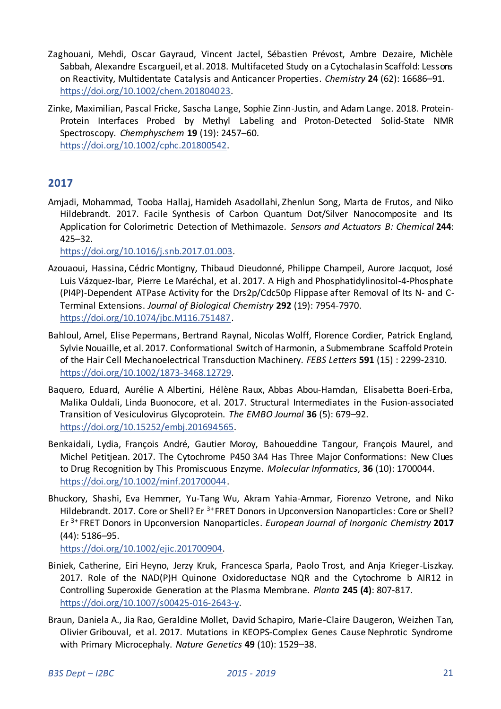- Zaghouani, Mehdi, Oscar Gayraud, Vincent Jactel, Sébastien Prévost, Ambre Dezaire, Michèle Sabbah, Alexandre Escargueil, et al. 2018. Multifaceted Study on a Cytochalasin Scaffold: Lessons on Reactivity, Multidentate Catalysis and Anticancer Properties. *Chemistry* **24** (62): 16686–91. [https://doi.org/10.1002/chem.201804023.](https://doi.org/10.1002/chem.201804023)
- Zinke, Maximilian, Pascal Fricke, Sascha Lange, Sophie Zinn-Justin, and Adam Lange. 2018. Protein-Protein Interfaces Probed by Methyl Labeling and Proton-Detected Solid-State NMR Spectroscopy. *Chemphyschem* **19** (19): 2457–60. [https://doi.org/10.1002/cphc.201800542.](https://doi.org/10.1002/cphc.201800542)

# <span id="page-20-0"></span>**2017**

Amjadi, Mohammad, Tooba Hallaj, Hamideh Asadollahi, Zhenlun Song, Marta de Frutos, and Niko Hildebrandt. 2017. Facile Synthesis of Carbon Quantum Dot/Silver Nanocomposite and Its Application for Colorimetric Detection of Methimazole. *Sensors and Actuators B: Chemical* **244**: 425–32.

[https://doi.org/10.1016/j.snb.2017.01.003.](https://doi.org/10.1016/j.snb.2017.01.003) 

- Azouaoui, Hassina, Cédric Montigny, Thibaud Dieudonné, Philippe Champeil, Aurore Jacquot, José Luis Vázquez-Ibar, Pierre Le Maréchal, et al. 2017. A High and Phosphatidylinositol-4-Phosphate (PI4P)-Dependent ATPase Activity for the Drs2p/Cdc50p Flippase after Removal of Its N- and C-Terminal Extensions. *Journal of Biological Chemistry* **292** (19): 7954-7970. [https://doi.org/10.1074/jbc.M116.751487.](https://doi.org/10.1074/jbc.M116.751487)
- Bahloul, Amel, Elise Pepermans, Bertrand Raynal, Nicolas Wolff, Florence Cordier, Patrick England, Sylvie Nouaille, et al. 2017. Conformational Switch of Harmonin, a Submembrane Scaffold Protein of the Hair Cell Mechanoelectrical Transduction Machinery. *FEBS Letters* **591** (15) : 2299-2310. [https://doi.org/10.1002/1873-3468.12729.](https://doi.org/10.1002/1873-3468.12729)
- Baquero, Eduard, Aurélie A Albertini, Hélène Raux, Abbas Abou‐Hamdan, Elisabetta Boeri‐Erba, Malika Ouldali, Linda Buonocore, et al. 2017. Structural Intermediates in the Fusion‐associated Transition of Vesiculovirus Glycoprotein. *The EMBO Journal* **36** (5): 679–92. [https://doi.org/10.15252/embj.201694565.](https://doi.org/10.15252/embj.201694565)
- Benkaidali, Lydia, François André, Gautier Moroy, Bahoueddine Tangour, François Maurel, and Michel Petitjean. 2017. The Cytochrome P450 3A4 Has Three Major Conformations: New Clues to Drug Recognition by This Promiscuous Enzyme. *Molecular Informatics*, **36** (10): 1700044. [https://doi.org/10.1002/minf.201700044.](https://doi.org/10.1002/minf.201700044)
- Bhuckory, Shashi, Eva Hemmer, Yu-Tang Wu, Akram Yahia-Ammar, Fiorenzo Vetrone, and Niko Hildebrandt. 2017. Core or Shell? Er <sup>3+</sup> FRET Donors in Upconversion Nanoparticles: Core or Shell? Er 3+ FRET Donors in Upconversion Nanoparticles. *European Journal of Inorganic Chemistry* **2017** (44): 5186–95.

[https://doi.org/10.1002/ejic.201700904.](https://doi.org/10.1002/ejic.201700904) 

- Biniek, Catherine, Eiri Heyno, Jerzy Kruk, Francesca Sparla, Paolo Trost, and Anja Krieger-Liszkay. 2017. Role of the NAD(P)H Quinone Oxidoreductase NQR and the Cytochrome b AIR12 in Controlling Superoxide Generation at the Plasma Membrane. *Planta* **245 (4)**: 807-817. [https://doi.org/10.1007/s00425-016-2643-y.](https://doi.org/10.1007/s00425-016-2643-y)
- Braun, Daniela A., Jia Rao, Geraldine Mollet, David Schapiro, Marie-Claire Daugeron, Weizhen Tan, Olivier Gribouval, et al. 2017. Mutations in KEOPS-Complex Genes Cause Nephrotic Syndrome with Primary Microcephaly. *Nature Genetics* **49** (10): 1529–38.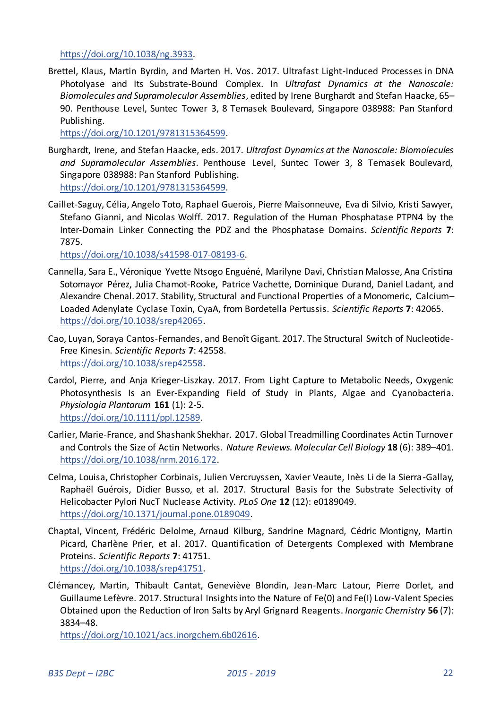[https://doi.org/10.1038/ng.3933.](https://doi.org/10.1038/ng.3933) 

Brettel, Klaus, Martin Byrdin, and Marten H. Vos. 2017. Ultrafast Light-Induced Processes in DNA Photolyase and Its Substrate-Bound Complex. In *Ultrafast Dynamics at the Nanoscale: Biomolecules and Supramolecular Assemblies*, edited by Irene Burghardt and Stefan Haacke, 65– 90. Penthouse Level, Suntec Tower 3, 8 Temasek Boulevard, Singapore 038988: Pan Stanford Publishing.

[https://doi.org/10.1201/9781315364599.](https://doi.org/10.1201/9781315364599) 

- Burghardt, Irene, and Stefan Haacke, eds. 2017. *Ultrafast Dynamics at the Nanoscale: Biomolecules and Supramolecular Assemblies*. Penthouse Level, Suntec Tower 3, 8 Temasek Boulevard, Singapore 038988: Pan Stanford Publishing. [https://doi.org/10.1201/9781315364599.](https://doi.org/10.1201/9781315364599)
- Caillet-Saguy, Célia, Angelo Toto, Raphael Guerois, Pierre Maisonneuve, Eva di Silvio, Kristi Sawyer, Stefano Gianni, and Nicolas Wolff. 2017. Regulation of the Human Phosphatase PTPN4 by the Inter-Domain Linker Connecting the PDZ and the Phosphatase Domains. *Scientific Reports* **7**: 7875.

[https://doi.org/10.1038/s41598-017-08193-6.](https://doi.org/10.1038/s41598-017-08193-6) 

- Cannella, Sara E., Véronique Yvette Ntsogo Enguéné, Marilyne Davi, Christian Malosse, Ana Cristina Sotomayor Pérez, Julia Chamot-Rooke, Patrice Vachette, Dominique Durand, Daniel Ladant, and Alexandre Chenal. 2017. Stability, Structural and Functional Properties of a Monomeric, Calcium– Loaded Adenylate Cyclase Toxin, CyaA, from Bordetella Pertussis. *Scientific Reports* **7**: 42065. [https://doi.org/10.1038/srep42065.](https://doi.org/10.1038/srep42065)
- Cao, Luyan, Soraya Cantos-Fernandes, and Benoît Gigant. 2017. The Structural Switch of Nucleotide-Free Kinesin. *Scientific Reports* **7**: 42558. [https://doi.org/10.1038/srep42558.](https://doi.org/10.1038/srep42558)
- Cardol, Pierre, and Anja Krieger-Liszkay. 2017. From Light Capture to Metabolic Needs, Oxygenic Photosynthesis Is an Ever-Expanding Field of Study in Plants, Algae and Cyanobacteria. *Physiologia Plantarum* **161** (1): 2-5. [https://doi.org/10.1111/ppl.12589.](https://doi.org/10.1111/ppl.12589)
- Carlier, Marie-France, and Shashank Shekhar. 2017. Global Treadmilling Coordinates Actin Turnover and Controls the Size of Actin Networks. *Nature Reviews. Molecular Cell Biology* **18** (6): 389–401. [https://doi.org/10.1038/nrm.2016.172.](https://doi.org/10.1038/nrm.2016.172)
- Celma, Louisa, Christopher Corbinais, Julien Vercruyssen, Xavier Veaute, Inès Li de la Sierra-Gallay, Raphaël Guérois, Didier Busso, et al. 2017. Structural Basis for the Substrate Selectivity of Helicobacter Pylori NucT Nuclease Activity. *PLoS One* **12** (12): e0189049. [https://doi.org/10.1371/journal.pone.0189049.](https://doi.org/10.1371/journal.pone.0189049)
- Chaptal, Vincent, Frédéric Delolme, Arnaud Kilburg, Sandrine Magnard, Cédric Montigny, Martin Picard, Charlène Prier, et al. 2017. Quantification of Detergents Complexed with Membrane Proteins. *Scientific Reports* **7**: 41751. [https://doi.org/10.1038/srep41751.](https://doi.org/10.1038/srep41751)
- Clémancey, Martin, Thibault Cantat, Geneviève Blondin, Jean-Marc Latour, Pierre Dorlet, and Guillaume Lefèvre. 2017. Structural Insights into the Nature of Fe(0) and Fe(I) Low-Valent Species Obtained upon the Reduction of Iron Salts by Aryl Grignard Reagents. *Inorganic Chemistry* **56** (7): 3834–48.

[https://doi.org/10.1021/acs.inorgchem.6b02616.](https://doi.org/10.1021/acs.inorgchem.6b02616)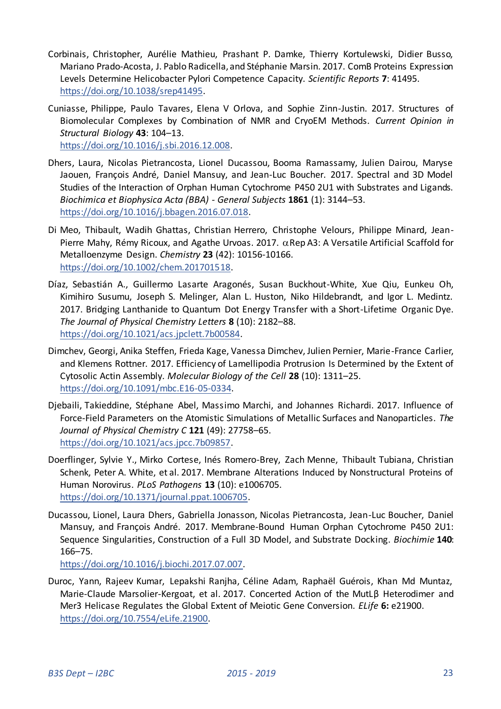- Corbinais, Christopher, Aurélie Mathieu, Prashant P. Damke, Thierry Kortulewski, Didier Busso, Mariano Prado-Acosta, J. Pablo Radicella, and Stéphanie Marsin. 2017. ComB Proteins Expression Levels Determine Helicobacter Pylori Competence Capacity. *Scientific Reports* **7**: 41495. [https://doi.org/10.1038/srep41495.](https://doi.org/10.1038/srep41495)
- Cuniasse, Philippe, Paulo Tavares, Elena V Orlova, and Sophie Zinn-Justin. 2017. Structures of Biomolecular Complexes by Combination of NMR and CryoEM Methods. *Current Opinion in Structural Biology* **43**: 104–13. [https://doi.org/10.1016/j.sbi.2016.12.008.](https://doi.org/10.1016/j.sbi.2016.12.008)
- Dhers, Laura, Nicolas Pietrancosta, Lionel Ducassou, Booma Ramassamy, Julien Dairou, Maryse Jaouen, François André, Daniel Mansuy, and Jean-Luc Boucher. 2017. Spectral and 3D Model Studies of the Interaction of Orphan Human Cytochrome P450 2U1 with Substrates and Ligands. *Biochimica et Biophysica Acta (BBA) - General Subjects* **1861** (1): 3144–53.

[https://doi.org/10.1016/j.bbagen.2016.07.018.](https://doi.org/10.1016/j.bbagen.2016.07.018) 

- Di Meo, Thibault, Wadih Ghattas, Christian Herrero, Christophe Velours, Philippe Minard, Jean-Pierre Mahy, Rémy Ricoux, and Agathe Urvoas. 2017.  $\alpha$ Rep A3: A Versatile Artificial Scaffold for Metalloenzyme Design. *Chemistry* **23** (42): 10156-10166. [https://doi.org/10.1002/chem.201701518.](https://doi.org/10.1002/chem.201701518)
- Díaz, Sebastián A., Guillermo Lasarte Aragonés, Susan Buckhout-White, Xue Qiu, Eunkeu Oh, Kimihiro Susumu, Joseph S. Melinger, Alan L. Huston, Niko Hildebrandt, and Igor L. Medintz. 2017. Bridging Lanthanide to Quantum Dot Energy Transfer with a Short-Lifetime Organic Dye. *The Journal of Physical Chemistry Letters* **8** (10): 2182–88. [https://doi.org/10.1021/acs.jpclett.7b00584.](https://doi.org/10.1021/acs.jpclett.7b00584)
- Dimchev, Georgi, Anika Steffen, Frieda Kage, Vanessa Dimchev, Julien Pernier, Marie-France Carlier, and Klemens Rottner. 2017. Efficiency of Lamellipodia Protrusion Is Determined by the Extent of Cytosolic Actin Assembly. *Molecular Biology of the Cell* **28** (10): 1311–25. [https://doi.org/10.1091/mbc.E16-05-0334.](https://doi.org/10.1091/mbc.E16-05-0334)
- Djebaili, Takieddine, Stéphane Abel, Massimo Marchi, and Johannes Richardi. 2017. Influence of Force-Field Parameters on the Atomistic Simulations of Metallic Surfaces and Nanoparticles. *The Journal of Physical Chemistry C* **121** (49): 27758–65. [https://doi.org/10.1021/acs.jpcc.7b09857.](https://doi.org/10.1021/acs.jpcc.7b09857)
- Doerflinger, Sylvie Y., Mirko Cortese, Inés Romero-Brey, Zach Menne, Thibault Tubiana, Christian Schenk, Peter A. White, et al. 2017. Membrane Alterations Induced by Nonstructural Proteins of Human Norovirus. *PLoS Pathogens* **13** (10): e1006705. [https://doi.org/10.1371/journal.ppat.1006705.](https://doi.org/10.1371/journal.ppat.1006705)
- Ducassou, Lionel, Laura Dhers, Gabriella Jonasson, Nicolas Pietrancosta, Jean-Luc Boucher, Daniel Mansuy, and François André. 2017. Membrane-Bound Human Orphan Cytochrome P450 2U1: Sequence Singularities, Construction of a Full 3D Model, and Substrate Docking. *Biochimie* **140**: 166–75.

[https://doi.org/10.1016/j.biochi.2017.07.007.](https://doi.org/10.1016/j.biochi.2017.07.007) 

Duroc, Yann, Rajeev Kumar, Lepakshi Ranjha, Céline Adam, Raphaël Guérois, Khan Md Muntaz, Marie-Claude Marsolier-Kergoat, et al. 2017. Concerted Action of the MutLβ Heterodimer and Mer3 Helicase Regulates the Global Extent of Meiotic Gene Conversion. *ELife* **6:** e21900. [https://doi.org/10.7554/eLife.21900.](https://doi.org/10.7554/eLife.21900)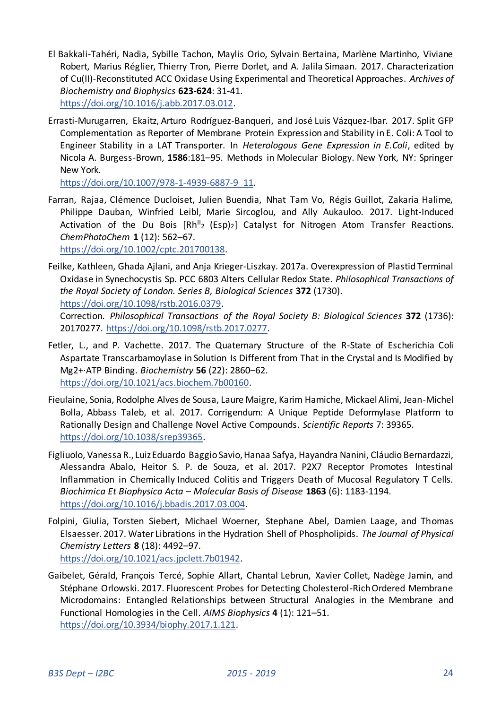- El Bakkali-Tahéri, Nadia, Sybille Tachon, Maylis Orio, Sylvain Bertaina, Marlène Martinho, Viviane Robert, Marius Réglier, Thierry Tron, Pierre Dorlet, and A. Jalila Simaan. 2017. Characterization of Cu(II)-Reconstituted ACC Oxidase Using Experimental and Theoretical Approaches. *Archives of Biochemistry and Biophysics* **623-624**: 31-41. [https://doi.org/10.1016/j.abb.2017.03.012.](https://doi.org/10.1016/j.abb.2017.03.012)
- Errasti-Murugarren, Ekaitz, Arturo Rodríguez-Banqueri, and José Luis Vázquez-Ibar. 2017. Split GFP Complementation as Reporter of Membrane Protein Expression and Stability in E. Coli: A Tool to Engineer Stability in a LAT Transporter. In *Heterologous Gene Expression in E.Coli*, edited by Nicola A. Burgess-Brown, **1586**:181–95. Methods in Molecular Biology. New York, NY: Springer New York.

[https://doi.org/10.1007/978-1-4939-6887-9\\_11.](https://doi.org/10.1007/978-1-4939-6887-9_11) 

Farran, Rajaa, Clémence Ducloiset, Julien Buendia, Nhat Tam Vo, Régis Guillot, Zakaria Halime, Philippe Dauban, Winfried Leibl, Marie Sircoglou, and Ally Aukauloo. 2017. Light-Induced Activation of the Du Bois  $[Rh^{II}_2 \text{ (Esp)}_2]$  Catalyst for Nitrogen Atom Transfer Reactions. *ChemPhotoChem* **1** (12): 562–67.

[https://doi.org/10.1002/cptc.201700138.](https://doi.org/10.1002/cptc.201700138) 

Feilke, Kathleen, Ghada Ajlani, and Anja Krieger-Liszkay. 2017a. Overexpression of Plastid Terminal Oxidase in Synechocystis Sp. PCC 6803 Alters Cellular Redox State. *Philosophical Transactions of the Royal Society of London. Series B, Biological Sciences* **372** (1730). [https://doi.org/10.1098/rstb.2016.0379.](https://doi.org/10.1098/rstb.2016.0379) 

Correction. *Philosophical Transactions of the Royal Society B: Biological Sciences* **372** (1736): 20170277. [https://doi.org/10.1098/rstb.2017.0277.](https://doi.org/10.1098/rstb.2017.0277) 

- Fetler, L., and P. Vachette. 2017. The Quaternary Structure of the R-State of Escherichia Coli Aspartate Transcarbamoylase in Solution Is Different from That in the Crystal and Is Modified by Mg2+·ATP Binding. *Biochemistry* **56** (22): 2860–62. [https://doi.org/10.1021/acs.biochem.7b00160.](https://doi.org/10.1021/acs.biochem.7b00160)
- Fieulaine, Sonia, Rodolphe Alves de Sousa, Laure Maigre, Karim Hamiche, Mickael Alimi, Jean-Michel Bolla, Abbass Taleb, et al. 2017. Corrigendum: A Unique Peptide Deformylase Platform to Rationally Design and Challenge Novel Active Compounds. *Scientific Reports* 7: 39365. [https://doi.org/10.1038/srep39365.](https://doi.org/10.1038/srep39365)
- Figliuolo, Vanessa R., Luiz Eduardo Baggio Savio, Hanaa Safya, Hayandra Nanini, Cláudio Bernardazzi, Alessandra Abalo, Heitor S. P. de Souza, et al. 2017. P2X7 Receptor Promotes Intestinal Inflammation in Chemically Induced Colitis and Triggers Death of Mucosal Regulatory T Cells. *Biochimica Et Biophysica Acta – Molecular Basis of Disease* **1863** (6): 1183-1194. [https://doi.org/10.1016/j.bbadis.2017.03.004.](https://doi.org/10.1016/j.bbadis.2017.03.004)
- Folpini, Giulia, Torsten Siebert, Michael Woerner, Stephane Abel, Damien Laage, and Thomas Elsaesser. 2017. Water Librations in the Hydration Shell of Phospholipids. *The Journal of Physical Chemistry Letters* **8** (18): 4492–97. [https://doi.org/10.1021/acs.jpclett.7b01942.](https://doi.org/10.1021/acs.jpclett.7b01942)
- Gaibelet, Gérald, François Tercé, Sophie Allart, Chantal Lebrun, Xavier Collet, Nadège Jamin, and Stéphane Orlowski. 2017. Fluorescent Probes for Detecting Cholesterol-Rich Ordered Membrane Microdomains: Entangled Relationships between Structural Analogies in the Membrane and Functional Homologies in the Cell. *AIMS Biophysics* **4** (1): 121–51. [https://doi.org/10.3934/biophy.2017.1.121.](https://doi.org/10.3934/biophy.2017.1.121)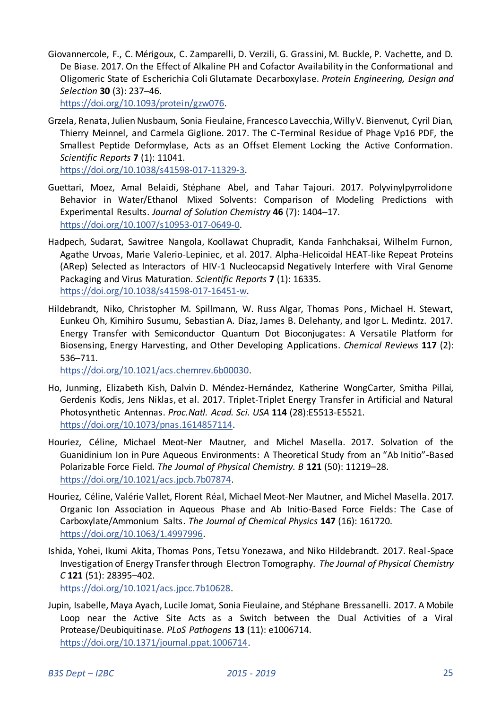Giovannercole, F., C. Mérigoux, C. Zamparelli, D. Verzili, G. Grassini, M. Buckle, P. Vachette, and D. De Biase. 2017. On the Effect of Alkaline PH and Cofactor Availability in the Conformational and Oligomeric State of Escherichia Coli Glutamate Decarboxylase. *Protein Engineering, Design and Selection* **30** (3): 237–46.

[https://doi.org/10.1093/protein/gzw076.](https://doi.org/10.1093/protein/gzw076) 

Grzela, Renata, Julien Nusbaum, Sonia Fieulaine, Francesco Lavecchia, Willy V. Bienvenut, Cyril Dian, Thierry Meinnel, and Carmela Giglione. 2017. The C-Terminal Residue of Phage Vp16 PDF, the Smallest Peptide Deformylase, Acts as an Offset Element Locking the Active Conformation. *Scientific Reports* **7** (1): 11041.

[https://doi.org/10.1038/s41598-017-11329-3.](https://doi.org/10.1038/s41598-017-11329-3) 

- Guettari, Moez, Amal Belaidi, Stéphane Abel, and Tahar Tajouri. 2017. Polyvinylpyrrolidone Behavior in Water/Ethanol Mixed Solvents: Comparison of Modeling Predictions with Experimental Results. *Journal of Solution Chemistry* **46** (7): 1404–17. [https://doi.org/10.1007/s10953-017-0649-0.](https://doi.org/10.1007/s10953-017-0649-0)
- Hadpech, Sudarat, Sawitree Nangola, Koollawat Chupradit, Kanda Fanhchaksai, Wilhelm Furnon, Agathe Urvoas, Marie Valerio-Lepiniec, et al. 2017. Alpha-Helicoidal HEAT-like Repeat Proteins (ΑRep) Selected as Interactors of HIV-1 Nucleocapsid Negatively Interfere with Viral Genome Packaging and Virus Maturation. *Scientific Reports* **7** (1): 16335. [https://doi.org/10.1038/s41598-017-16451-w.](https://doi.org/10.1038/s41598-017-16451-w)
- Hildebrandt, Niko, Christopher M. Spillmann, W. Russ Algar, Thomas Pons , Michael H. Stewart, Eunkeu Oh, Kimihiro Susumu, Sebastian A. Díaz, James B. Delehanty, and Igor L. Medintz. 2017. Energy Transfer with Semiconductor Quantum Dot Bioconjugates: A Versatile Platform for Biosensing, Energy Harvesting, and Other Developing Applications. *Chemical Reviews* **117** (2): 536–711.

[https://doi.org/10.1021/acs.chemrev.6b00030.](https://doi.org/10.1021/acs.chemrev.6b00030) 

- Ho, Junming, Elizabeth Kish, Dalvin D. Méndez-Hernández, Katherine WongCarter, Smitha Pillai, Gerdenis Kodis, Jens Niklas, et al. 2017. Triplet-Triplet Energy Transfer in Artificial and Natural Photosynthetic Antennas. *Proc.Natl. Acad. Sci. USA* **114** (28):E5513-E5521. [https://doi.org/10.1073/pnas.1614857114.](https://doi.org/10.1073/pnas.1614857114)
- Houriez, Céline, Michael Meot-Ner Mautner, and Michel Masella. 2017. Solvation of the Guanidinium Ion in Pure Aqueous Environments: A Theoretical Study from an "Ab Initio"-Based Polarizable Force Field. *The Journal of Physical Chemistry. B* **121** (50): 11219–28. [https://doi.org/10.1021/acs.jpcb.7b07874.](https://doi.org/10.1021/acs.jpcb.7b07874)
- Houriez, Céline, Valérie Vallet, Florent Réal, Michael Meot-Ner Mautner, and Michel Masella. 2017. Organic Ion Association in Aqueous Phase and Ab Initio-Based Force Fields: The Case of Carboxylate/Ammonium Salts. *The Journal of Chemical Physics* **147** (16): 161720. [https://doi.org/10.1063/1.4997996.](https://doi.org/10.1063/1.4997996)
- Ishida, Yohei, Ikumi Akita, Thomas Pons, Tetsu Yonezawa, and Niko Hildebrandt. 2017. Real-Space Investigation of Energy Transfer through Electron Tomography. *The Journal of Physical Chemistry C* **121** (51): 28395–402.

[https://doi.org/10.1021/acs.jpcc.7b10628.](https://doi.org/10.1021/acs.jpcc.7b10628) 

Jupin, Isabelle, Maya Ayach, Lucile Jomat, Sonia Fieulaine, and Stéphane Bressanelli. 2017. A Mobile Loop near the Active Site Acts as a Switch between the Dual Activities of a Viral Protease/Deubiquitinase. *PLoS Pathogens* **13** (11): e1006714. [https://doi.org/10.1371/journal.ppat.1006714.](https://doi.org/10.1371/journal.ppat.1006714)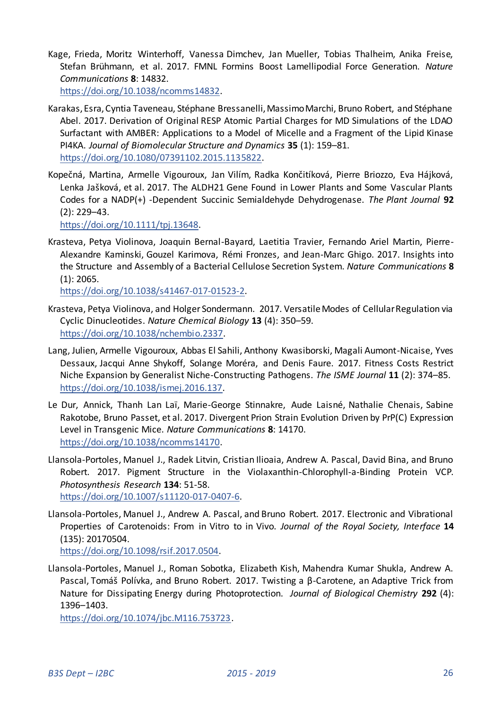Kage, Frieda, Moritz Winterhoff, Vanessa Dimchev, Jan Mueller, Tobias Thalheim, Anika Freise, Stefan Brühmann, et al. 2017. FMNL Formins Boost Lamellipodial Force Generation. *Nature Communications* **8**: 14832.

[https://doi.org/10.1038/ncomms14832.](https://doi.org/10.1038/ncomms14832) 

- Karakas, Esra, Cyntia Taveneau, Stéphane Bressanelli, Massimo Marchi, Bruno Robert, and Stéphane Abel. 2017. Derivation of Original RESP Atomic Partial Charges for MD Simulations of the LDAO Surfactant with AMBER: Applications to a Model of Micelle and a Fragment of the Lipid Kinase PI4KA. *Journal of Biomolecular Structure and Dynamics* **35** (1): 159–81. [https://doi.org/10.1080/07391102.2015.1135822.](https://doi.org/10.1080/07391102.2015.1135822)
- Kopečná, Martina, Armelle Vigouroux, Jan Vilím, Radka Končitíková, Pierre Briozzo, Eva Hájková, Lenka Jašková, et al. 2017. The ALDH21 Gene Found in Lower Plants and Some Vascular Plants Codes for a NADP(+) -Dependent Succinic Semialdehyde Dehydrogenase. *The Plant Journal* **92** (2): 229–43.

[https://doi.org/10.1111/tpj.13648.](https://doi.org/10.1111/tpj.13648) 

Krasteva, Petya Violinova, Joaquin Bernal-Bayard, Laetitia Travier, Fernando Ariel Martin, Pierre-Alexandre Kaminski, Gouzel Karimova, Rémi Fronzes, and Jean-Marc Ghigo. 2017. Insights into the Structure and Assembly of a Bacterial Cellulose Secretion System. *Nature Communications* **8** (1): 2065.

[https://doi.org/10.1038/s41467-017-01523-2.](https://doi.org/10.1038/s41467-017-01523-2) 

- Krasteva, Petya Violinova, and Holger Sondermann. 2017. Versatile Modes of Cellular Regulation via Cyclic Dinucleotides. *Nature Chemical Biology* **13** (4): 350–59. [https://doi.org/10.1038/nchembio.2337.](https://doi.org/10.1038/nchembio.2337)
- Lang, Julien, Armelle Vigouroux, Abbas El Sahili, Anthony Kwasiborski, Magali Aumont-Nicaise, Yves Dessaux, Jacqui Anne Shykoff, Solange Moréra, and Denis Faure. 2017. Fitness Costs Restrict Niche Expansion by Generalist Niche-Constructing Pathogens. *The ISME Journal* **11** (2): 374–85. [https://doi.org/10.1038/ismej.2016.137.](https://doi.org/10.1038/ismej.2016.137)
- Le Dur, Annick, Thanh Lan Laï, Marie-George Stinnakre, Aude Laisné, Nathalie Chenais, Sabine Rakotobe, Bruno Passet, et al. 2017. Divergent Prion Strain Evolution Driven by PrP(C) Expression Level in Transgenic Mice. *Nature Communications* **8**: 14170. [https://doi.org/10.1038/ncomms14170.](https://doi.org/10.1038/ncomms14170)
- Llansola-Portoles, Manuel J., Radek Litvin, Cristian Ilioaia, Andrew A. Pascal, David Bina, and Bruno Robert. 2017. Pigment Structure in the Violaxanthin-Chlorophyll-a-Binding Protein VCP. *Photosynthesis Research* **134**: 51-58. [https://doi.org/10.1007/s11120-017-0407-6.](https://doi.org/10.1007/s11120-017-0407-6)
- Llansola-Portoles, Manuel J., Andrew A. Pascal, and Bruno Robert. 2017. Electronic and Vibrational Properties of Carotenoids: From in Vitro to in Vivo. *Journal of the Royal Society, Interface* **14** (135): 20170504. [https://doi.org/10.1098/rsif.2017.0504.](https://doi.org/10.1098/rsif.2017.0504)
- Llansola-Portoles, Manuel J., Roman Sobotka, Elizabeth Kish, Mahendra Kumar Shukla, Andrew A. Pascal, Tomáš Polívka, and Bruno Robert. 2017. Twisting a β-Carotene, an Adaptive Trick from Nature for Dissipating Energy during Photoprotection. *Journal of Biological Chemistry* **292** (4): 1396–1403.

[https://doi.org/10.1074/jbc.M116.753723.](https://doi.org/10.1074/jbc.M116.753723)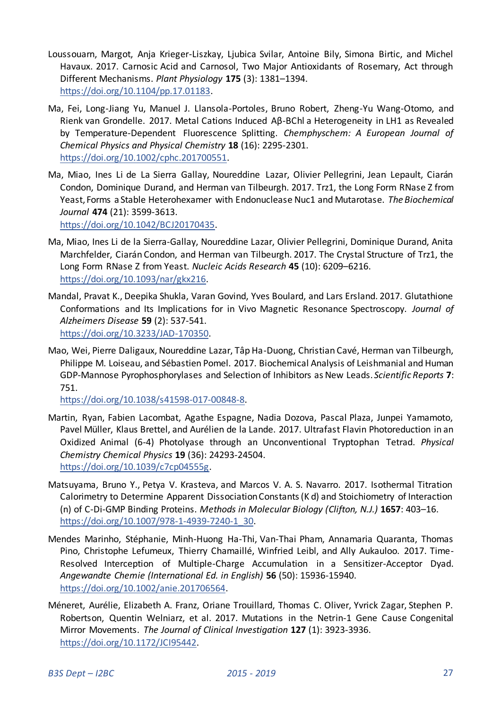- Loussouarn, Margot, Anja Krieger-Liszkay, Ljubica Svilar, Antoine Bily, Simona Birtic, and Michel Havaux. 2017. Carnosic Acid and Carnosol, Two Major Antioxidants of Rosemary, Act through Different Mechanisms. *Plant Physiology* **175** (3): 1381–1394. [https://doi.org/10.1104/pp.17.01183.](https://doi.org/10.1104/pp.17.01183)
- Ma, Fei, Long-Jiang Yu, Manuel J. Llansola-Portoles, Bruno Robert, Zheng-Yu Wang-Otomo, and Rienk van Grondelle. 2017. Metal Cations Induced Αβ-BChl a Heterogeneity in LH1 as Revealed by Temperature-Dependent Fluorescence Splitting. *Chemphyschem: A European Journal of Chemical Physics and Physical Chemistry* **18** (16): 2295-2301. [https://doi.org/10.1002/cphc.201700551.](https://doi.org/10.1002/cphc.201700551)
- Ma, Miao, Ines Li de La Sierra Gallay, Noureddine Lazar, Olivier Pellegrini, Jean Lepault, Ciarán Condon, Dominique Durand, and Herman van Tilbeurgh. 2017. Trz1, the Long Form RNase Z from Yeast, Forms a Stable Heterohexamer with Endonuclease Nuc1 and Mutarotase. *The Biochemical Journal* **474** (21): 3599-3613.

[https://doi.org/10.1042/BCJ20170435.](https://doi.org/10.1042/BCJ20170435) 

- Ma, Miao, Ines Li de la Sierra-Gallay, Noureddine Lazar, Olivier Pellegrini, Dominique Durand, Anita Marchfelder, Ciarán Condon, and Herman van Tilbeurgh. 2017. The Crystal Structure of Trz1, the Long Form RNase Z from Yeast. *Nucleic Acids Research* **45** (10): 6209–6216. [https://doi.org/10.1093/nar/gkx216.](https://doi.org/10.1093/nar/gkx216)
- Mandal, Pravat K., Deepika Shukla, Varan Govind, Yves Boulard, and Lars Ersland. 2017. Glutathione Conformations and Its Implications for in Vivo Magnetic Resonance Spectroscopy. *Journal of Alzheimers Disease* **59** (2): 537-541. [https://doi.org/10.3233/JAD-170350.](https://doi.org/10.3233/JAD-170350)
- Mao, Wei, Pierre Daligaux, Noureddine Lazar, Tâp Ha-Duong, Christian Cavé, Herman van Tilbeurgh, Philippe M. Loiseau, and Sébastien Pomel. 2017. Biochemical Analysis of Leishmanial and Human GDP-Mannose Pyrophosphorylases and Selection of Inhibitors as New Leads. *Scientific Reports* **7**: 751.

[https://doi.org/10.1038/s41598-017-00848-8.](https://doi.org/10.1038/s41598-017-00848-8) 

- Martin, Ryan, Fabien Lacombat, Agathe Espagne, Nadia Dozova, Pascal Plaza, Junpei Yamamoto, Pavel Müller, Klaus Brettel, and Aurélien de la Lande. 2017. Ultrafast Flavin Photoreduction in an Oxidized Animal (6-4) Photolyase through an Unconventional Tryptophan Tetrad. *Physical Chemistry Chemical Physics* **19** (36): 24293-24504. [https://doi.org/10.1039/c7cp04555g.](https://doi.org/10.1039/c7cp04555g)
- Matsuyama, Bruno Y., Petya V. Krasteva, and Marcos V. A. S. Navarro. 2017. Isothermal Titration Calorimetry to Determine Apparent Dissociation Constants (K d) and Stoichiometry of Interaction (n) of C-Di-GMP Binding Proteins. *Methods in Molecular Biology (Clifton, N.J.)* **1657**: 403–16. [https://doi.org/10.1007/978-1-4939-7240-1\\_30.](https://doi.org/10.1007/978-1-4939-7240-1_30)
- Mendes Marinho, Stéphanie, Minh-Huong Ha-Thi, Van-Thai Pham, Annamaria Quaranta, Thomas Pino, Christophe Lefumeux, Thierry Chamaillé, Winfried Leibl, and Ally Aukauloo. 2017. Time-Resolved Interception of Multiple-Charge Accumulation in a Sensitizer-Acceptor Dyad. *Angewandte Chemie (International Ed. in English)* **56** (50): 15936-15940. [https://doi.org/10.1002/anie.201706564.](https://doi.org/10.1002/anie.201706564)
- Méneret, Aurélie, Elizabeth A. Franz, Oriane Trouillard, Thomas C. Oliver, Yvrick Zagar, Stephen P. Robertson, Quentin Welniarz, et al. 2017. Mutations in the Netrin-1 Gene Cause Congenital Mirror Movements. *The Journal of Clinical Investigation* **127** (1): 3923-3936. [https://doi.org/10.1172/JCI95442.](https://doi.org/10.1172/JCI95442)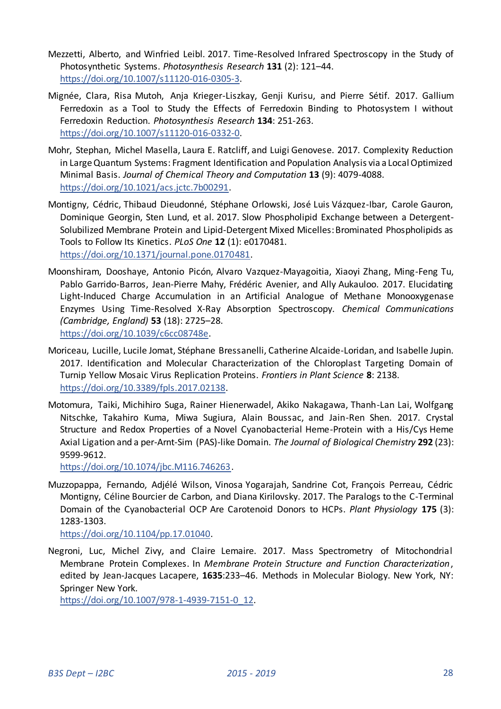- Mezzetti, Alberto, and Winfried Leibl. 2017. Time-Resolved Infrared Spectroscopy in the Study of Photosynthetic Systems. *Photosynthesis Research* **131** (2): 121–44. [https://doi.org/10.1007/s11120-016-0305-3.](https://doi.org/10.1007/s11120-016-0305-3)
- Mignée, Clara, Risa Mutoh, Anja Krieger-Liszkay, Genji Kurisu, and Pierre Sétif. 2017. Gallium Ferredoxin as a Tool to Study the Effects of Ferredoxin Binding to Photosystem I without Ferredoxin Reduction. *Photosynthesis Research* **134**: 251-263. [https://doi.org/10.1007/s11120-016-0332-0.](https://doi.org/10.1007/s11120-016-0332-0)
- Mohr, Stephan, Michel Masella, Laura E. Ratcliff, and Luigi Genovese. 2017. Complexity Reduction in Large Quantum Systems: Fragment Identification and Population Analysis via a Local Optimized Minimal Basis. *Journal of Chemical Theory and Computation* **13** (9): 4079-4088. [https://doi.org/10.1021/acs.jctc.7b00291.](https://doi.org/10.1021/acs.jctc.7b00291)
- Montigny, Cédric, Thibaud Dieudonné, Stéphane Orlowski, José Luis Vázquez-Ibar, Carole Gauron, Dominique Georgin, Sten Lund, et al. 2017. Slow Phospholipid Exchange between a Detergent-Solubilized Membrane Protein and Lipid-Detergent Mixed Micelles: Brominated Phospholipids as Tools to Follow Its Kinetics. *PLoS One* **12** (1): e0170481. [https://doi.org/10.1371/journal.pone.0170481.](https://doi.org/10.1371/journal.pone.0170481)
- Moonshiram, Dooshaye, Antonio Picón, Alvaro Vazquez-Mayagoitia, Xiaoyi Zhang, Ming-Feng Tu, Pablo Garrido-Barros, Jean-Pierre Mahy, Frédéric Avenier, and Ally Aukauloo. 2017. Elucidating Light-Induced Charge Accumulation in an Artificial Analogue of Methane Monooxygenase Enzymes Using Time-Resolved X-Ray Absorption Spectroscopy. *Chemical Communications (Cambridge, England)* **53** (18): 2725–28. [https://doi.org/10.1039/c6cc08748e.](https://doi.org/10.1039/c6cc08748e)
- Moriceau, Lucille, Lucile Jomat, Stéphane Bressanelli, Catherine Alcaide-Loridan, and Isabelle Jupin. 2017. Identification and Molecular Characterization of the Chloroplast Targeting Domain of Turnip Yellow Mosaic Virus Replication Proteins. *Frontiers in Plant Science* **8**: 2138. [https://doi.org/10.3389/fpls.2017.02138.](https://doi.org/10.3389/fpls.2017.02138)
- Motomura, Taiki, Michihiro Suga, Rainer Hienerwadel, Akiko Nakagawa, Thanh-Lan Lai, Wolfgang Nitschke, Takahiro Kuma, Miwa Sugiura, Alain Boussac, and Jain-Ren Shen. 2017. Crystal Structure and Redox Properties of a Novel Cyanobacterial Heme-Protein with a His/Cys Heme Axial Ligation and a per-Arnt-Sim (PAS)-like Domain. *The Journal of Biological Chemistry* **292** (23): 9599-9612.

[https://doi.org/10.1074/jbc.M116.746263.](https://doi.org/10.1074/jbc.M116.746263) 

Muzzopappa, Fernando, Adjélé Wilson, Vinosa Yogarajah, Sandrine Cot, François Perreau, Cédric Montigny, Céline Bourcier de Carbon, and Diana Kirilovsky. 2017. The Paralogs to the C-Terminal Domain of the Cyanobacterial OCP Are Carotenoid Donors to HCPs. *Plant Physiology* **175** (3): 1283-1303.

[https://doi.org/10.1104/pp.17.01040.](https://doi.org/10.1104/pp.17.01040) 

Negroni, Luc, Michel Zivy, and Claire Lemaire. 2017. Mass Spectrometry of Mitochondrial Membrane Protein Complexes. In *Membrane Protein Structure and Function Characterization*, edited by Jean-Jacques Lacapere, **1635**:233–46. Methods in Molecular Biology. New York, NY: Springer New York.

[https://doi.org/10.1007/978-1-4939-7151-0\\_12.](https://doi.org/10.1007/978-1-4939-7151-0_12)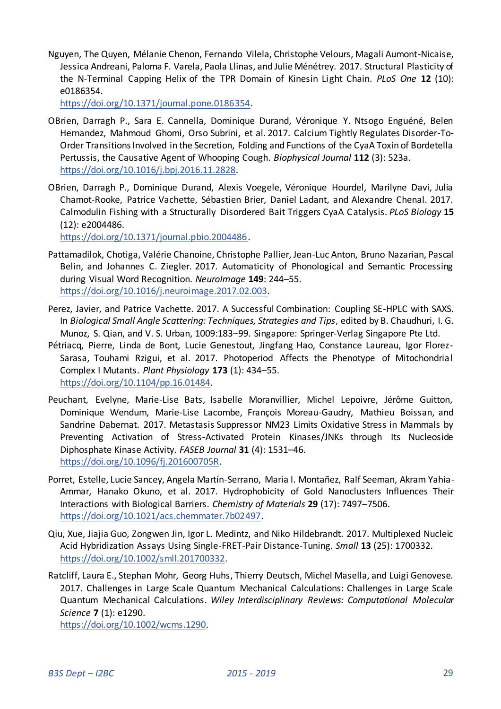Nguyen, The Quyen, Mélanie Chenon, Fernando Vilela, Christophe Velours, Magali Aumont-Nicaise, Jessica Andreani, Paloma F. Varela, Paola Llinas, and Julie Ménétrey. 2017. Structural Plasticity of the N-Terminal Capping Helix of the TPR Domain of Kinesin Light Chain. *PLoS One* **12** (10): e0186354.

[https://doi.org/10.1371/journal.pone.0186354.](https://doi.org/10.1371/journal.pone.0186354) 

- OBrien, Darragh P., Sara E. Cannella, Dominique Durand, Véronique Y. Ntsogo Enguéné, Belen Hernandez, Mahmoud Ghomi, Orso Subrini, et al. 2017. Calcium Tightly Regulates Disorder-To-Order Transitions Involved in the Secretion, Folding and Functions of the CyaA Toxin of Bordetella Pertussis, the Causative Agent of Whooping Cough. *Biophysical Journal* **112** (3): 523a. [https://doi.org/10.1016/j.bpj.2016.11.2828.](https://doi.org/10.1016/j.bpj.2016.11.2828)
- OBrien, Darragh P., Dominique Durand, Alexis Voegele, Véronique Hourdel, Marilyne Davi, Julia Chamot-Rooke, Patrice Vachette, Sébastien Brier, Daniel Ladant, and Alexandre Chenal. 2017. Calmodulin Fishing with a Structurally Disordered Bait Triggers CyaA Catalysis. *PLoS Biology* **15** (12): e2004486.

[https://doi.org/10.1371/journal.pbio.2004486.](https://doi.org/10.1371/journal.pbio.2004486) 

- Pattamadilok, Chotiga, Valérie Chanoine, Christophe Pallier, Jean-Luc Anton, Bruno Nazarian, Pascal Belin, and Johannes C. Ziegler. 2017. Automaticity of Phonological and Semantic Processing during Visual Word Recognition. *NeuroImage* **149**: 244–55. [https://doi.org/10.1016/j.neuroimage.2017.02.003.](https://doi.org/10.1016/j.neuroimage.2017.02.003)
- Perez, Javier, and Patrice Vachette. 2017. A Successful Combination: Coupling SE-HPLC with SAXS. In *Biological Small Angle Scattering: Techniques, Strategies and Tips*, edited by B. Chaudhuri, I. G. Munoz, S. Qian, and V. S. Urban, 1009:183–99. Singapore: Springer-Verlag Singapore Pte Ltd.
- Pétriacq, Pierre, Linda de Bont, Lucie Genestout, Jingfang Hao, Constance Laureau, Igor Florez-Sarasa, Touhami Rzigui, et al. 2017. Photoperiod Affects the Phenotype of Mitochondrial Complex I Mutants. *Plant Physiology* **173** (1): 434–55. [https://doi.org/10.1104/pp.16.01484.](https://doi.org/10.1104/pp.16.01484)
- Peuchant, Evelyne, Marie-Lise Bats, Isabelle Moranvillier, Michel Lepoivre, Jérôme Guitton, Dominique Wendum, Marie-Lise Lacombe, François Moreau-Gaudry, Mathieu Boissan, and Sandrine Dabernat. 2017. Metastasis Suppressor NM23 Limits Oxidative Stress in Mammals by Preventing Activation of Stress-Activated Protein Kinases/JNKs through Its Nucleoside Diphosphate Kinase Activity. *FASEB Journal* **31** (4): 1531–46. [https://doi.org/10.1096/fj.201600705R.](https://doi.org/10.1096/fj.201600705R)
- Porret, Estelle, Lucie Sancey, Angela Martín-Serrano, Maria I. Montañez, Ralf Seeman, Akram Yahia-Ammar, Hanako Okuno, et al. 2017. Hydrophobicity of Gold Nanoclusters Influences Their Interactions with Biological Barriers. *Chemistry of Materials* **29** (17): 7497–7506. [https://doi.org/10.1021/acs.chemmater.7b02497.](https://doi.org/10.1021/acs.chemmater.7b02497)
- Qiu, Xue, Jiajia Guo, Zongwen Jin, Igor L. Medintz, and Niko Hildebrandt. 2017. Multiplexed Nucleic Acid Hybridization Assays Using Single-FRET-Pair Distance-Tuning. *Small* **13** (25): 1700332. [https://doi.org/10.1002/smll.201700332.](https://doi.org/10.1002/smll.201700332)
- Ratcliff, Laura E., Stephan Mohr, Georg Huhs, Thierry Deutsch, Michel Masella, and Luigi Genovese. 2017. Challenges in Large Scale Quantum Mechanical Calculations: Challenges in Large Scale Quantum Mechanical Calculations. *Wiley Interdisciplinary Reviews: Computational Molecular Science* **7** (1): e1290.

[https://doi.org/10.1002/wcms.1290.](https://doi.org/10.1002/wcms.1290)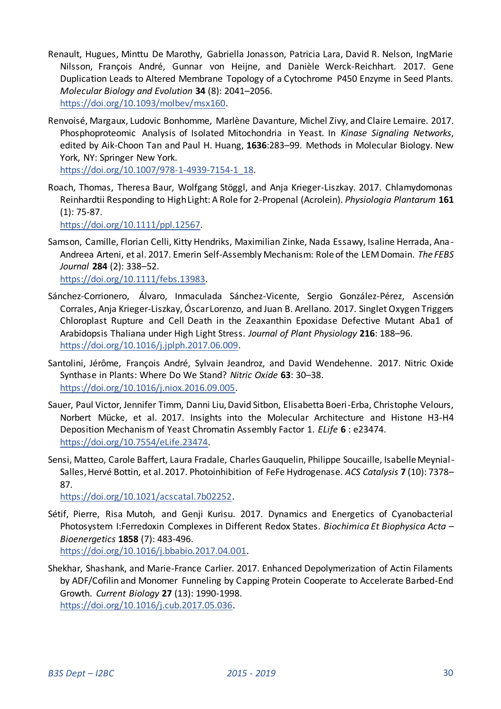- Renault, Hugues, Minttu De Marothy, Gabriella Jonasson, Patricia Lara, David R. Nelson, IngMarie Nilsson, François André, Gunnar von Heijne, and Danièle Werck-Reichhart. 2017. Gene Duplication Leads to Altered Membrane Topology of a Cytochrome P450 Enzyme in Seed Plants. *Molecular Biology and Evolution* **34** (8): 2041–2056. [https://doi.org/10.1093/molbev/msx160.](https://doi.org/10.1093/molbev/msx160)
- Renvoisé, Margaux, Ludovic Bonhomme, Marlène Davanture, Michel Zivy, and Claire Lemaire. 2017. Phosphoproteomic Analysis of Isolated Mitochondria in Yeast. In *Kinase Signaling Networks*, edited by Aik-Choon Tan and Paul H. Huang, **1636**:283–99. Methods in Molecular Biology. New York, NY: Springer New York.

[https://doi.org/10.1007/978-1-4939-7154-1\\_18.](https://doi.org/10.1007/978-1-4939-7154-1_18) 

Roach, Thomas, Theresa Baur, Wolfgang Stöggl, and Anja Krieger-Liszkay. 2017. Chlamydomonas Reinhardtii Responding to High Light: A Role for 2-Propenal (Acrolein). *Physiologia Plantarum* **161** (1): 75-87.

[https://doi.org/10.1111/ppl.12567.](https://doi.org/10.1111/ppl.12567) 

- Samson, Camille, Florian Celli, Kitty Hendriks, Maximilian Zinke, Nada Essawy, Isaline Herrada, Ana Andreea Arteni, et al. 2017. Emerin Self-Assembly Mechanism: Role of the LEM Domain. *The FEBS Journal* **284** (2): 338–52. [https://doi.org/10.1111/febs.13983.](https://doi.org/10.1111/febs.13983)
- Sánchez-Corrionero, Álvaro, Inmaculada Sánchez-Vicente, Sergio González-Pérez, Ascensión Corrales, Anja Krieger-Liszkay, Óscar Lorenzo, and Juan B. Arellano. 2017. Singlet Oxygen Triggers Chloroplast Rupture and Cell Death in the Zeaxanthin Epoxidase Defective Mutant Aba1 of Arabidopsis Thaliana under High Light Stress. *Journal of Plant Physiology* **216**: 188–96. [https://doi.org/10.1016/j.jplph.2017.06.009.](https://doi.org/10.1016/j.jplph.2017.06.009)
- Santolini, Jérôme, François André, Sylvain Jeandroz, and David Wendehenne. 2017. Nitric Oxide Synthase in Plants: Where Do We Stand? *Nitric Oxide* **63**: 30–38. [https://doi.org/10.1016/j.niox.2016.09.005.](https://doi.org/10.1016/j.niox.2016.09.005)
- Sauer, Paul Victor, Jennifer Timm, Danni Liu, David Sitbon, Elisabetta Boeri-Erba, Christophe Velours, Norbert Mücke, et al. 2017. Insights into the Molecular Architecture and Histone H3-H4 Deposition Mechanism of Yeast Chromatin Assembly Factor 1. *ELife* **6** : e23474. [https://doi.org/10.7554/eLife.23474.](https://doi.org/10.7554/eLife.23474)
- Sensi, Matteo, Carole Baffert, Laura Fradale, Charles Gauquelin, Philippe Soucaille, Isabelle Meynial Salles, Hervé Bottin, et al. 2017. Photoinhibition of FeFe Hydrogenase. *ACS Catalysis* **7** (10): 7378– 87.

[https://doi.org/10.1021/acscatal.7b02252.](https://doi.org/10.1021/acscatal.7b02252) 

- Sétif, Pierre, Risa Mutoh, and Genji Kurisu. 2017. Dynamics and Energetics of Cyanobacterial Photosystem I:Ferredoxin Complexes in Different Redox States. *Biochimica Et Biophysica Acta* – *Bioenergetics* **1858** (7): 483-496. [https://doi.org/10.1016/j.bbabio.2017.04.001.](https://doi.org/10.1016/j.bbabio.2017.04.001)
- Shekhar, Shashank, and Marie-France Carlier. 2017. Enhanced Depolymerization of Actin Filaments by ADF/Cofilin and Monomer Funneling by Capping Protein Cooperate to Accelerate Barbed-End Growth. *Current Biology* **27** (13): 1990-1998. [https://doi.org/10.1016/j.cub.2017.05.036.](https://doi.org/10.1016/j.cub.2017.05.036)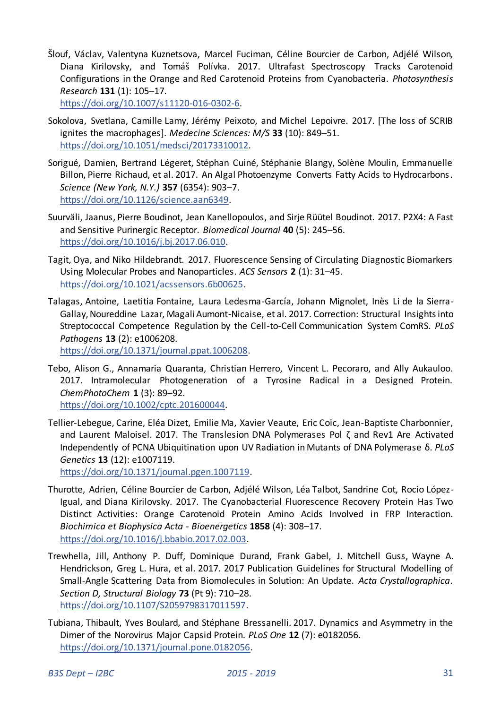Šlouf, Václav, Valentyna Kuznetsova, Marcel Fuciman, Céline Bourcier de Carbon, Adjélé Wilson, Diana Kirilovsky, and Tomáš Polívka. 2017. Ultrafast Spectroscopy Tracks Carotenoid Configurations in the Orange and Red Carotenoid Proteins from Cyanobacteria. *Photosynthesis Research* **131** (1): 105–17.

[https://doi.org/10.1007/s11120-016-0302-6.](https://doi.org/10.1007/s11120-016-0302-6) 

- Sokolova, Svetlana, Camille Lamy, Jérémy Peixoto, and Michel Lepoivre. 2017. [The loss of SCRIB ignites the macrophages]. *Medecine Sciences: M/S* **33** (10): 849–51. [https://doi.org/10.1051/medsci/20173310012.](https://doi.org/10.1051/medsci/20173310012)
- Sorigué, Damien, Bertrand Légeret, Stéphan Cuiné, Stéphanie Blangy, Solène Moulin, Emmanuelle Billon, Pierre Richaud, et al. 2017. An Algal Photoenzyme Converts Fatty Acids to Hydrocarbons. *Science (New York, N.Y.)* **357** (6354): 903–7. [https://doi.org/10.1126/science.aan6349.](https://doi.org/10.1126/science.aan6349)
- Suurväli, Jaanus, Pierre Boudinot, Jean Kanellopoulos, and Sirje Rüütel Boudinot. 2017. P2X4: A Fast and Sensitive Purinergic Receptor. *Biomedical Journal* **40** (5): 245–56. [https://doi.org/10.1016/j.bj.2017.06.010.](https://doi.org/10.1016/j.bj.2017.06.010)
- Tagit, Oya, and Niko Hildebrandt. 2017. Fluorescence Sensing of Circulating Diagnostic Biomarkers Using Molecular Probes and Nanoparticles. *ACS Sensors* **2** (1): 31–45. [https://doi.org/10.1021/acssensors.6b00625.](https://doi.org/10.1021/acssensors.6b00625)
- Talagas, Antoine, Laetitia Fontaine, Laura Ledesma-García, Johann Mignolet, Inès Li de la Sierra-Gallay, Noureddine Lazar, Magali Aumont-Nicaise, et al. 2017. Correction: Structural Insights into Streptococcal Competence Regulation by the Cell-to-Cell Communication System ComRS. *PLoS Pathogens* **13** (2): e1006208.

[https://doi.org/10.1371/journal.ppat.1006208.](https://doi.org/10.1371/journal.ppat.1006208) 

Tebo, Alison G., Annamaria Quaranta, Christian Herrero, Vincent L. Pecoraro, and Ally Aukauloo. 2017. Intramolecular Photogeneration of a Tyrosine Radical in a Designed Protein. *ChemPhotoChem* **1** (3): 89–92.

[https://doi.org/10.1002/cptc.201600044.](https://doi.org/10.1002/cptc.201600044) 

Tellier-Lebegue, Carine, Eléa Dizet, Emilie Ma, Xavier Veaute, Eric Coïc, Jean-Baptiste Charbonnier, and Laurent Maloisel. 2017. The Translesion DNA Polymerases Pol ζ and Rev1 Are Activated Independently of PCNA Ubiquitination upon UV Radiation in Mutants of DNA Polymerase δ. *PLoS Genetics* **13** (12): e1007119.

[https://doi.org/10.1371/journal.pgen.1007119.](https://doi.org/10.1371/journal.pgen.1007119) 

- Thurotte, Adrien, Céline Bourcier de Carbon, Adjélé Wilson, Léa Talbot, Sandrine Cot, Rocio López-Igual, and Diana Kirilovsky. 2017. The Cyanobacterial Fluorescence Recovery Protein Has Two Distinct Activities: Orange Carotenoid Protein Amino Acids Involved in FRP Interaction. *Biochimica et Biophysica Acta - Bioenergetics* **1858** (4): 308–17. [https://doi.org/10.1016/j.bbabio.2017.02.003.](https://doi.org/10.1016/j.bbabio.2017.02.003)
- Trewhella, Jill, Anthony P. Duff, Dominique Durand, Frank Gabel, J. Mitchell Guss, Wayne A. Hendrickson, Greg L. Hura, et al. 2017. 2017 Publication Guidelines for Structural Modelling of Small-Angle Scattering Data from Biomolecules in Solution: An Update. *Acta Crystallographica. Section D, Structural Biology* **73** (Pt 9): 710–28. [https://doi.org/10.1107/S2059798317011597.](https://doi.org/10.1107/S2059798317011597)
- Tubiana, Thibault, Yves Boulard, and Stéphane Bressanelli. 2017. Dynamics and Asymmetry in the Dimer of the Norovirus Major Capsid Protein. *PLoS One* **12** (7): e0182056. [https://doi.org/10.1371/journal.pone.0182056.](https://doi.org/10.1371/journal.pone.0182056)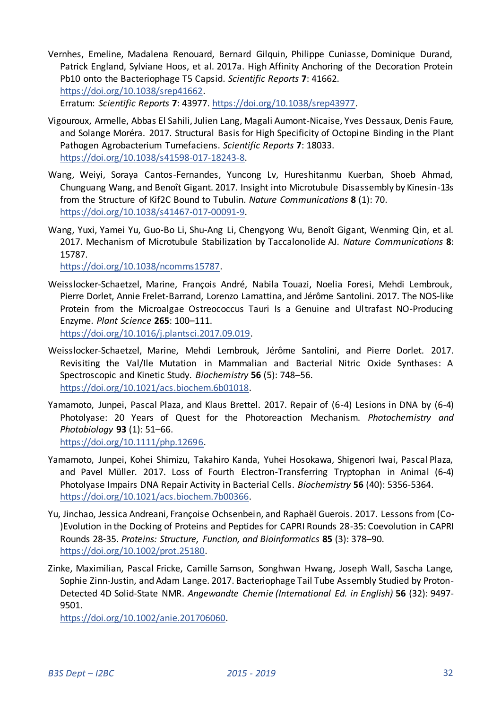- Vernhes, Emeline, Madalena Renouard, Bernard Gilquin, Philippe Cuniasse, Dominique Durand, Patrick England, Sylviane Hoos, et al. 2017a. High Affinity Anchoring of the Decoration Protein Pb10 onto the Bacteriophage T5 Capsid. *Scientific Reports* **7**: 41662. [https://doi.org/10.1038/srep41662.](https://doi.org/10.1038/srep41662)  Erratum: *Scientific Reports* **7**: 43977[. https://doi.org/10.1038/srep43977.](https://doi.org/10.1038/srep43977)
- Vigouroux, Armelle, Abbas El Sahili, Julien Lang, Magali Aumont-Nicaise, Yves Dessaux, Denis Faure, and Solange Moréra. 2017. Structural Basis for High Specificity of Octopine Binding in the Plant Pathogen Agrobacterium Tumefaciens. *Scientific Reports* **7**: 18033. [https://doi.org/10.1038/s41598-017-18243-8.](https://doi.org/10.1038/s41598-017-18243-8)
- Wang, Weiyi, Soraya Cantos-Fernandes, Yuncong Lv, Hureshitanmu Kuerban, Shoeb Ahmad, Chunguang Wang, and Benoît Gigant. 2017. Insight into Microtubule Disassembly by Kinesin-13s from the Structure of Kif2C Bound to Tubulin. *Nature Communications* **8** (1): 70. [https://doi.org/10.1038/s41467-017-00091-9.](https://doi.org/10.1038/s41467-017-00091-9)
- Wang, Yuxi, Yamei Yu, Guo-Bo Li, Shu-Ang Li, Chengyong Wu, Benoît Gigant, Wenming Qin, et al. 2017. Mechanism of Microtubule Stabilization by Taccalonolide AJ. *Nature Communications* **8**: 15787.

[https://doi.org/10.1038/ncomms15787.](https://doi.org/10.1038/ncomms15787) 

Weisslocker-Schaetzel, Marine, François André, Nabila Touazi, Noelia Foresi, Mehdi Lembrouk, Pierre Dorlet, Annie Frelet-Barrand, Lorenzo Lamattina, and Jérôme Santolini. 2017. The NOS-like Protein from the Microalgae Ostreococcus Tauri Is a Genuine and Ultrafast NO-Producing Enzyme. *Plant Science* **265**: 100–111.

[https://doi.org/10.1016/j.plantsci.2017.09.019.](https://doi.org/10.1016/j.plantsci.2017.09.019) 

Weisslocker-Schaetzel, Marine, Mehdi Lembrouk, Jérôme Santolini, and Pierre Dorlet. 2017. Revisiting the Val/Ile Mutation in Mammalian and Bacterial Nitric Oxide Synthases: A Spectroscopic and Kinetic Study. *Biochemistry* **56** (5): 748–56. [https://doi.org/10.1021/acs.biochem.6b01018.](https://doi.org/10.1021/acs.biochem.6b01018) 

Yamamoto, Junpei, Pascal Plaza, and Klaus Brettel. 2017. Repair of (6-4) Lesions in DNA by (6-4) Photolyase: 20 Years of Quest for the Photoreaction Mechanism. *Photochemistry and Photobiology* **93** (1): 51–66. [https://doi.org/10.1111/php.12696.](https://doi.org/10.1111/php.12696) 

- Yamamoto, Junpei, Kohei Shimizu, Takahiro Kanda, Yuhei Hosokawa, Shigenori Iwai, Pascal Plaza, and Pavel Müller. 2017. Loss of Fourth Electron-Transferring Tryptophan in Animal (6-4) Photolyase Impairs DNA Repair Activity in Bacterial Cells. *Biochemistry* **56** (40): 5356-5364. [https://doi.org/10.1021/acs.biochem.7b00366.](https://doi.org/10.1021/acs.biochem.7b00366)
- Yu, Jinchao, Jessica Andreani, Françoise Ochsenbein, and Raphaël Guerois. 2017. Lessons from (Co- )Evolution in the Docking of Proteins and Peptides for CAPRI Rounds 28-35: Coevolution in CAPRI Rounds 28-35. *Proteins: Structure, Function, and Bioinformatics* **85** (3): 378–90. [https://doi.org/10.1002/prot.25180.](https://doi.org/10.1002/prot.25180)
- Zinke, Maximilian, Pascal Fricke, Camille Samson, Songhwan Hwang, Joseph Wall, Sascha Lange, Sophie Zinn-Justin, and Adam Lange. 2017. Bacteriophage Tail Tube Assembly Studied by Proton-Detected 4D Solid-State NMR. *Angewandte Chemie (International Ed. in English)* **56** (32): 9497- 9501.

[https://doi.org/10.1002/anie.201706060.](https://doi.org/10.1002/anie.201706060)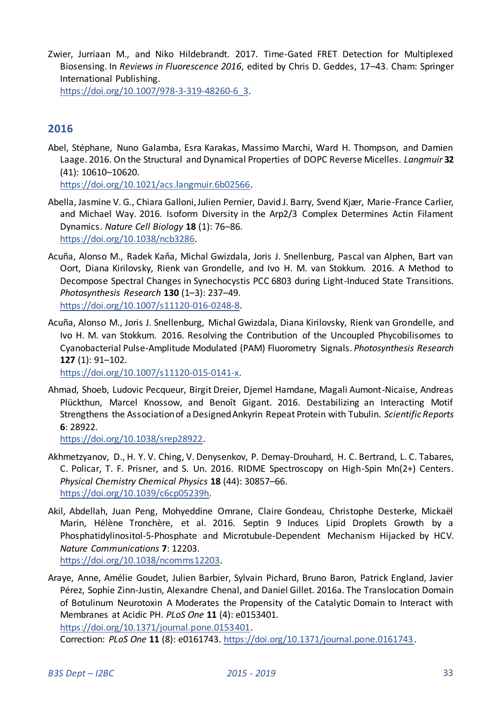Zwier, Jurriaan M., and Niko Hildebrandt. 2017. Time-Gated FRET Detection for Multiplexed Biosensing. In *Reviews in Fluorescence 2016*, edited by Chris D. Geddes, 17–43. Cham: Springer International Publishing.

[https://doi.org/10.1007/978-3-319-48260-6\\_3.](https://doi.org/10.1007/978-3-319-48260-6_3) 

# <span id="page-32-0"></span>**2016**

Abel, Stéphane, Nuno Galamba, Esra Karakas, Massimo Marchi, Ward H. Thompson, and Damien Laage. 2016. On the Structural and Dynamical Properties of DOPC Reverse Micelles. *Langmuir* **32** (41): 10610–10620.

[https://doi.org/10.1021/acs.langmuir.6b02566.](https://doi.org/10.1021/acs.langmuir.6b02566) 

- Abella, Jasmine V. G., Chiara Galloni, Julien Pernier, David J. Barry, Svend Kjær, Marie-France Carlier, and Michael Way. 2016. Isoform Diversity in the Arp2/3 Complex Determines Actin Filament Dynamics. *Nature Cell Biology* **18** (1): 76–86. [https://doi.org/10.1038/ncb3286.](https://doi.org/10.1038/ncb3286)
- Acuña, Alonso M., Radek Kaňa, Michal Gwizdala, Joris J. Snellenburg, Pascal van Alphen, Bart van Oort, Diana Kirilovsky, Rienk van Grondelle, and Ivo H. M. van Stokkum. 2016. A Method to Decompose Spectral Changes in Synechocystis PCC 6803 during Light-Induced State Transitions. *Photosynthesis Research* **130** (1–3): 237–49. [https://doi.org/10.1007/s11120-016-0248-8.](https://doi.org/10.1007/s11120-016-0248-8)
- Acuña, Alonso M., Joris J. Snellenburg, Michal Gwizdala, Diana Kirilovsky, Rienk van Grondelle, and Ivo H. M. van Stokkum. 2016. Resolving the Contribution of the Uncoupled Phycobilisomes to Cyanobacterial Pulse-Amplitude Modulated (PAM) Fluorometry Signals. *Photosynthesis Research* **127** (1): 91–102.

[https://doi.org/10.1007/s11120-015-0141-x.](https://doi.org/10.1007/s11120-015-0141-x) 

Ahmad, Shoeb, Ludovic Pecqueur, Birgit Dreier, Djemel Hamdane, Magali Aumont-Nicaise, Andreas Plückthun, Marcel Knossow, and Benoît Gigant. 2016. Destabilizing an Interacting Motif Strengthens the Association of a Designed Ankyrin Repeat Protein with Tubulin. *Scientific Reports* **6**: 28922.

[https://doi.org/10.1038/srep28922.](https://doi.org/10.1038/srep28922) 

- Akhmetzyanov, D., H. Y. V. Ching, V. Denysenkov, P. Demay-Drouhard, H. C. Bertrand, L. C. Tabares, C. Policar, T. F. Prisner, and S. Un. 2016. RIDME Spectroscopy on High-Spin Mn(2+) Centers. *Physical Chemistry Chemical Physics* **18** (44): 30857–66. [https://doi.org/10.1039/c6cp05239h.](https://doi.org/10.1039/c6cp05239h)
- Akil, Abdellah, Juan Peng, Mohyeddine Omrane, Claire Gondeau, Christophe Desterke, Mickaël Marin, Hélène Tronchère, et al. 2016. Septin 9 Induces Lipid Droplets Growth by a Phosphatidylinositol-5-Phosphate and Microtubule-Dependent Mechanism Hijacked by HCV. *Nature Communications* **7**: 12203. [https://doi.org/10.1038/ncomms12203.](https://doi.org/10.1038/ncomms12203)
- Araye, Anne, Amélie Goudet, Julien Barbier, Sylvain Pichard, Bruno Baron, Patrick England, Javier Pérez, Sophie Zinn-Justin, Alexandre Chenal, and Daniel Gillet. 2016a. The Translocation Domain of Botulinum Neurotoxin A Moderates the Propensity of the Catalytic Domain to Interact with Membranes at Acidic PH. *PLoS One* **11** (4): e0153401.

[https://doi.org/10.1371/journal.pone.0153401.](https://doi.org/10.1371/journal.pone.0153401) 

Correction: *PLoS One* **11** (8): e0161743. [https://doi.org/10.1371/journal.pone.0161743.](https://doi.org/10.1371/journal.pone.0161743)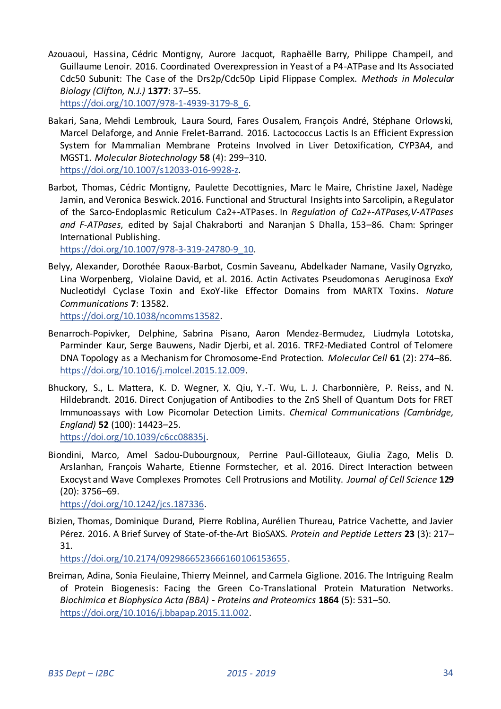Azouaoui, Hassina, Cédric Montigny, Aurore Jacquot, Raphaëlle Barry, Philippe Champeil, and Guillaume Lenoir. 2016. Coordinated Overexpression in Yeast of a P4-ATPase and Its Associated Cdc50 Subunit: The Case of the Drs2p/Cdc50p Lipid Flippase Complex. *Methods in Molecular Biology (Clifton, N.J.)* **1377**: 37–55.

[https://doi.org/10.1007/978-1-4939-3179-8\\_6.](https://doi.org/10.1007/978-1-4939-3179-8_6) 

- Bakari, Sana, Mehdi Lembrouk, Laura Sourd, Fares Ousalem, François André, Stéphane Orlowski, Marcel Delaforge, and Annie Frelet-Barrand. 2016. Lactococcus Lactis Is an Efficient Expression System for Mammalian Membrane Proteins Involved in Liver Detoxification, CYP3A4, and MGST1. *Molecular Biotechnology* **58** (4): 299–310. [https://doi.org/10.1007/s12033-016-9928-z.](https://doi.org/10.1007/s12033-016-9928-z)
- Barbot, Thomas, Cédric Montigny, Paulette Decottignies, Marc le Maire, Christine Jaxel, Nadège Jamin, and Veronica Beswick. 2016. Functional and Structural Insights into Sarcolipin, a Regulator of the Sarco-Endoplasmic Reticulum Ca2+-ATPases. In *Regulation of Ca2+-ATPases,V-ATPases and F-ATPases*, edited by Sajal Chakraborti and Naranjan S Dhalla, 153–86. Cham: Springer International Publishing.

[https://doi.org/10.1007/978-3-319-24780-9\\_10.](https://doi.org/10.1007/978-3-319-24780-9_10) 

Belyy, Alexander, Dorothée Raoux-Barbot, Cosmin Saveanu, Abdelkader Namane, Vasily Ogryzko, Lina Worpenberg, Violaine David, et al. 2016. Actin Activates Pseudomonas Aeruginosa ExoY Nucleotidyl Cyclase Toxin and ExoY-like Effector Domains from MARTX Toxins. *Nature Communications* **7**: 13582. [https://doi.org/10.1038/ncomms13582.](https://doi.org/10.1038/ncomms13582) 

- Benarroch-Popivker, Delphine, Sabrina Pisano, Aaron Mendez-Bermudez, Liudmyla Lototska, Parminder Kaur, Serge Bauwens, Nadir Djerbi, et al. 2016. TRF2-Mediated Control of Telomere DNA Topology as a Mechanism for Chromosome-End Protection. *Molecular Cell* **61** (2): 274–86. [https://doi.org/10.1016/j.molcel.2015.12.009.](https://doi.org/10.1016/j.molcel.2015.12.009)
- Bhuckory, S., L. Mattera, K. D. Wegner, X. Qiu, Y.-T. Wu, L. J. Charbonnière, P. Reiss, and N. Hildebrandt. 2016. Direct Conjugation of Antibodies to the ZnS Shell of Quantum Dots for FRET Immunoassays with Low Picomolar Detection Limits. *Chemical Communications (Cambridge, England)* **52** (100): 14423–25.

[https://doi.org/10.1039/c6cc08835j.](https://doi.org/10.1039/c6cc08835j) 

Biondini, Marco, Amel Sadou-Dubourgnoux, Perrine Paul-Gilloteaux, Giulia Zago, Melis D. Arslanhan, François Waharte, Etienne Formstecher, et al. 2016. Direct Interaction between Exocyst and Wave Complexes Promotes Cell Protrusions and Motility. *Journal of Cell Science* **129** (20): 3756–69.

[https://doi.org/10.1242/jcs.187336.](https://doi.org/10.1242/jcs.187336) 

Bizien, Thomas, Dominique Durand, Pierre Roblina, Aurélien Thureau, Patrice Vachette, and Javier Pérez. 2016. A Brief Survey of State-of-the-Art BioSAXS. *Protein and Peptide Letters* **23** (3): 217– 31.

[https://doi.org/10.2174/0929866523666160106153655.](https://doi.org/10.2174/0929866523666160106153655) 

Breiman, Adina, Sonia Fieulaine, Thierry Meinnel, and Carmela Giglione. 2016. The Intriguing Realm of Protein Biogenesis: Facing the Green Co-Translational Protein Maturation Networks. *Biochimica et Biophysica Acta (BBA) - Proteins and Proteomics* **1864** (5): 531–50. [https://doi.org/10.1016/j.bbapap.2015.11.002.](https://doi.org/10.1016/j.bbapap.2015.11.002)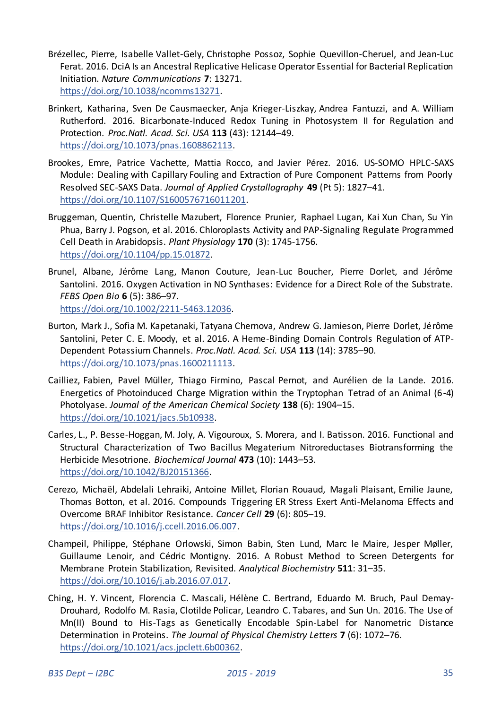- Brézellec, Pierre, Isabelle Vallet-Gely, Christophe Possoz, Sophie Quevillon-Cheruel, and Jean-Luc Ferat. 2016. DciA Is an Ancestral Replicative Helicase Operator Essential for Bacterial Replication Initiation. *Nature Communications* **7**: 13271. [https://doi.org/10.1038/ncomms13271.](https://doi.org/10.1038/ncomms13271)
- Brinkert, Katharina, Sven De Causmaecker, Anja Krieger-Liszkay, Andrea Fantuzzi, and A. William Rutherford. 2016. Bicarbonate-Induced Redox Tuning in Photosystem II for Regulation and Protection. *Proc.Natl. Acad. Sci. USA* **113** (43): 12144–49. [https://doi.org/10.1073/pnas.1608862113.](https://doi.org/10.1073/pnas.1608862113)
- Brookes, Emre, Patrice Vachette, Mattia Rocco, and Javier Pérez. 2016. US-SOMO HPLC-SAXS Module: Dealing with Capillary Fouling and Extraction of Pure Component Patterns from Poorly Resolved SEC-SAXS Data. *Journal of Applied Crystallography* **49** (Pt 5): 1827–41. [https://doi.org/10.1107/S1600576716011201.](https://doi.org/10.1107/S1600576716011201)
- Bruggeman, Quentin, Christelle Mazubert, Florence Prunier, Raphael Lugan, Kai Xun Chan, Su Yin Phua, Barry J. Pogson, et al. 2016. Chloroplasts Activity and PAP-Signaling Regulate Programmed Cell Death in Arabidopsis. *Plant Physiology* **170** (3): 1745-1756. [https://doi.org/10.1104/pp.15.01872.](https://doi.org/10.1104/pp.15.01872)
- Brunel, Albane, Jérôme Lang, Manon Couture, Jean-Luc Boucher, Pierre Dorlet, and Jérôme Santolini. 2016. Oxygen Activation in NO Synthases: Evidence for a Direct Role of the Substrate. *FEBS Open Bio* **6** (5): 386–97. [https://doi.org/10.1002/2211-5463.12036.](https://doi.org/10.1002/2211-5463.12036)
- Burton, Mark J., Sofia M. Kapetanaki, Tatyana Chernova, Andrew G. Jamieson, Pierre Dorlet, Jérôme Santolini, Peter C. E. Moody, et al. 2016. A Heme-Binding Domain Controls Regulation of ATP-Dependent Potassium Channels. *Proc.Natl. Acad. Sci. USA* **113** (14): 3785–90. [https://doi.org/10.1073/pnas.1600211113.](https://doi.org/10.1073/pnas.1600211113)
- Cailliez, Fabien, Pavel Müller, Thiago Firmino, Pascal Pernot, and Aurélien de la Lande. 2016. Energetics of Photoinduced Charge Migration within the Tryptophan Tetrad of an Animal (6-4) Photolyase. *Journal of the American Chemical Society* **138** (6): 1904–15. [https://doi.org/10.1021/jacs.5b10938.](https://doi.org/10.1021/jacs.5b10938)
- Carles, L., P. Besse-Hoggan, M. Joly, A. Vigouroux, S. Morera, and I. Batisson. 2016. Functional and Structural Characterization of Two Bacillus Megaterium Nitroreductases Biotransforming the Herbicide Mesotrione. *Biochemical Journal* **473** (10): 1443–53. [https://doi.org/10.1042/BJ20151366.](https://doi.org/10.1042/BJ20151366)
- Cerezo, Michaël, Abdelali Lehraiki, Antoine Millet, Florian Rouaud, Magali Plaisant, Emilie Jaune, Thomas Botton, et al. 2016. Compounds Triggering ER Stress Exert Anti-Melanoma Effects and Overcome BRAF Inhibitor Resistance. *Cancer Cell* **29** (6): 805–19. [https://doi.org/10.1016/j.ccell.2016.06.007.](https://doi.org/10.1016/j.ccell.2016.06.007)
- Champeil, Philippe, Stéphane Orlowski, Simon Babin, Sten Lund, Marc le Maire, Jesper Møller, Guillaume Lenoir, and Cédric Montigny. 2016. A Robust Method to Screen Detergents for Membrane Protein Stabilization, Revisited. *Analytical Biochemistry* **511**: 31–35. [https://doi.org/10.1016/j.ab.2016.07.017.](https://doi.org/10.1016/j.ab.2016.07.017)
- Ching, H. Y. Vincent, Florencia C. Mascali, Hélène C. Bertrand, Eduardo M. Bruch, Paul Demay-Drouhard, Rodolfo M. Rasia, Clotilde Policar, Leandro C. Tabares, and Sun Un. 2016. The Use of Mn(II) Bound to His-Tags as Genetically Encodable Spin-Label for Nanometric Distance Determination in Proteins. *The Journal of Physical Chemistry Letters* **7** (6): 1072–76. [https://doi.org/10.1021/acs.jpclett.6b00362.](https://doi.org/10.1021/acs.jpclett.6b00362)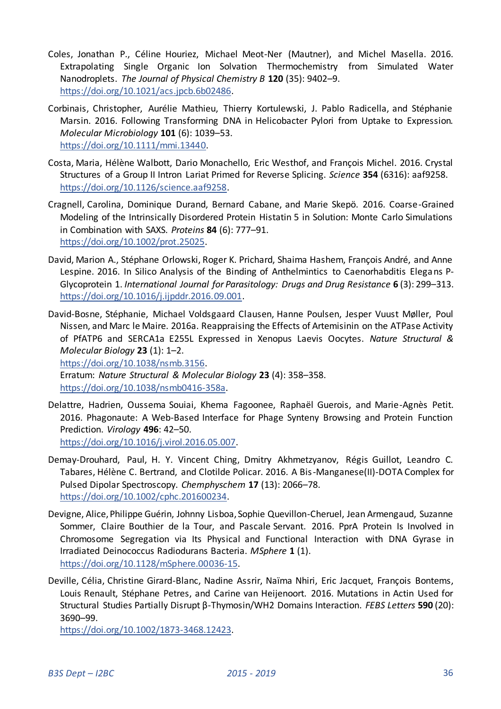- Coles, Jonathan P., Céline Houriez, Michael Meot-Ner (Mautner), and Michel Masella. 2016. Extrapolating Single Organic Ion Solvation Thermochemistry from Simulated Water Nanodroplets. *The Journal of Physical Chemistry B* **120** (35): 9402–9. [https://doi.org/10.1021/acs.jpcb.6b02486.](https://doi.org/10.1021/acs.jpcb.6b02486)
- Corbinais, Christopher, Aurélie Mathieu, Thierry Kortulewski, J. Pablo Radicella, and Stéphanie Marsin. 2016. Following Transforming DNA in Helicobacter Pylori from Uptake to Expression. *Molecular Microbiology* **101** (6): 1039–53. [https://doi.org/10.1111/mmi.13440.](https://doi.org/10.1111/mmi.13440)
- Costa, Maria, Hélène Walbott, Dario Monachello, Eric Westhof, and François Michel. 2016. Crystal Structures of a Group II Intron Lariat Primed for Reverse Splicing. *Science* **354** (6316): aaf9258. [https://doi.org/10.1126/science.aaf9258.](https://doi.org/10.1126/science.aaf9258)
- Cragnell, Carolina, Dominique Durand, Bernard Cabane, and Marie Skepö. 2016. Coarse-Grained Modeling of the Intrinsically Disordered Protein Histatin 5 in Solution: Monte Carlo Simulations in Combination with SAXS. *Proteins* **84** (6): 777–91. [https://doi.org/10.1002/prot.25025.](https://doi.org/10.1002/prot.25025)
- David, Marion A., Stéphane Orlowski, Roger K. Prichard, Shaima Hashem, François André, and Anne Lespine. 2016. In Silico Analysis of the Binding of Anthelmintics to Caenorhabditis Elega ns P-Glycoprotein 1. *International Journal for Parasitology: Drugs and Drug Resistance* **6** (3): 299–313. [https://doi.org/10.1016/j.ijpddr.2016.09.001.](https://doi.org/10.1016/j.ijpddr.2016.09.001)
- David-Bosne, Stéphanie, Michael Voldsgaard Clausen, Hanne Poulsen, Jesper Vuust Møller, Poul Nissen, and Marc le Maire. 2016a. Reappraising the Effects of Artemisinin on the ATPase Activity of PfATP6 and SERCA1a E255L Expressed in Xenopus Laevis Oocytes. *Nature Structural & Molecular Biology* **23** (1): 1–2.

[https://doi.org/10.1038/nsmb.3156.](https://doi.org/10.1038/nsmb.3156) 

Erratum: *Nature Structural & Molecular Biology* **23** (4): 358–358. [https://doi.org/10.1038/nsmb0416-358a.](https://doi.org/10.1038/nsmb0416-358a) 

- Delattre, Hadrien, Oussema Souiai, Khema Fagoonee, Raphaël Guerois, and Marie-Agnès Petit. 2016. Phagonaute: A Web-Based Interface for Phage Synteny Browsing and Protein Function Prediction. *Virology* **496**: 42–50. [https://doi.org/10.1016/j.virol.2016.05.007.](https://doi.org/10.1016/j.virol.2016.05.007)
- Demay-Drouhard, Paul, H. Y. Vincent Ching, Dmitry Akhmetzyanov, Régis Guillot, Leandro C. Tabares, Hélène C. Bertrand, and Clotilde Policar. 2016. A Bis-Manganese(II)-DOTA Complex for Pulsed Dipolar Spectroscopy. *Chemphyschem* **17** (13): 2066–78. [https://doi.org/10.1002/cphc.201600234.](https://doi.org/10.1002/cphc.201600234)
- Devigne, Alice, Philippe Guérin, Johnny Lisboa, Sophie Quevillon-Cheruel, Jean Armengaud, Suzanne Sommer, Claire Bouthier de la Tour, and Pascale Servant. 2016. PprA Protein Is Involved in Chromosome Segregation via Its Physical and Functional Interaction with DNA Gyrase in Irradiated Deinococcus Radiodurans Bacteria. *MSphere* **1** (1). [https://doi.org/10.1128/mSphere.00036-15.](https://doi.org/10.1128/mSphere.00036-15)
- Deville, Célia, Christine Girard-Blanc, Nadine Assrir, Naïma Nhiri, Eric Jacquet, François Bontems, Louis Renault, Stéphane Petres, and Carine van Heijenoort. 2016. Mutations in Actin Used for Structural Studies Partially Disrupt β-Thymosin/WH2 Domains Interaction. *FEBS Letters* **590** (20): 3690–99.

[https://doi.org/10.1002/1873-3468.12423.](https://doi.org/10.1002/1873-3468.12423)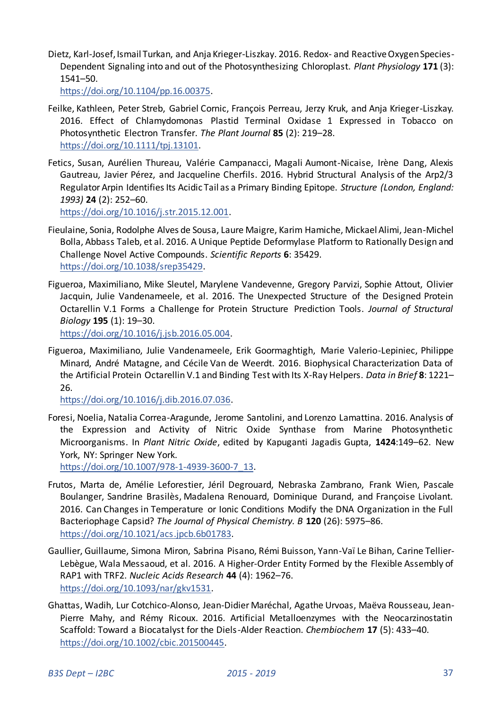Dietz, Karl-Josef, Ismail Turkan, and Anja Krieger-Liszkay. 2016. Redox- and Reactive Oxygen Species-Dependent Signaling into and out of the Photosynthesizing Chloroplast. *Plant Physiology* **171** (3): 1541–50.

[https://doi.org/10.1104/pp.16.00375.](https://doi.org/10.1104/pp.16.00375) 

- Feilke, Kathleen, Peter Streb, Gabriel Cornic, François Perreau, Jerzy Kruk, and Anja Krieger-Liszkay. 2016. Effect of Chlamydomonas Plastid Terminal Oxidase 1 Expressed in Tobacco on Photosynthetic Electron Transfer. *The Plant Journal* **85** (2): 219–28. [https://doi.org/10.1111/tpj.13101.](https://doi.org/10.1111/tpj.13101)
- Fetics, Susan, Aurélien Thureau, Valérie Campanacci, Magali Aumont-Nicaise, Irène Dang, Alexis Gautreau, Javier Pérez, and Jacqueline Cherfils. 2016. Hybrid Structural Analysis of the Arp2/3 Regulator Arpin Identifies Its Acidic Tail as a Primary Binding Epitope. *Structure (London, England: 1993)* **24** (2): 252–60.

[https://doi.org/10.1016/j.str.2015.12.001.](https://doi.org/10.1016/j.str.2015.12.001) 

- Fieulaine, Sonia, Rodolphe Alves de Sousa, Laure Maigre, Karim Hamiche, Mickael Alimi, Jean-Michel Bolla, Abbass Taleb, et al. 2016. A Unique Peptide Deformylase Platform to Rationally Design and Challenge Novel Active Compounds. *Scientific Reports* **6**: 35429. [https://doi.org/10.1038/srep35429.](https://doi.org/10.1038/srep35429)
- Figueroa, Maximiliano, Mike Sleutel, Marylene Vandevenne, Gregory Parvizi, Sophie Attout, Olivier Jacquin, Julie Vandenameele, et al. 2016. The Unexpected Structure of the Designed Protein Octarellin V.1 Forms a Challenge for Protein Structure Prediction Tools. *Journal of Structural Biology* **195** (1): 19–30.

[https://doi.org/10.1016/j.jsb.2016.05.004.](https://doi.org/10.1016/j.jsb.2016.05.004) 

Figueroa, Maximiliano, Julie Vandenameele, Erik Goormaghtigh, Marie Valerio-Lepiniec, Philippe Minard, André Matagne, and Cécile Van de Weerdt. 2016. Biophysical Characterization Data of the Artificial Protein Octarellin V.1 and Binding Test with Its X-Ray Helpers. *Data in Brief* **8**: 1221– 26.

[https://doi.org/10.1016/j.dib.2016.07.036.](https://doi.org/10.1016/j.dib.2016.07.036) 

Foresi, Noelia, Natalia Correa-Aragunde, Jerome Santolini, and Lorenzo Lamattina. 2016. Analysis of the Expression and Activity of Nitric Oxide Synthase from Marine Photosynthetic Microorganisms. In *Plant Nitric Oxide*, edited by Kapuganti Jagadis Gupta, **1424**:149–62. New York, NY: Springer New York.

[https://doi.org/10.1007/978-1-4939-3600-7\\_13.](https://doi.org/10.1007/978-1-4939-3600-7_13) 

- Frutos, Marta de, Amélie Leforestier, Jéril Degrouard, Nebraska Zambrano, Frank Wien, Pascale Boulanger, Sandrine Brasilès, Madalena Renouard, Dominique Durand, and Françoise Livolant. 2016. Can Changes in Temperature or Ionic Conditions Modify the DNA Organization in the Full Bacteriophage Capsid? *The Journal of Physical Chemistry. B* **120** (26): 5975–86. [https://doi.org/10.1021/acs.jpcb.6b01783.](https://doi.org/10.1021/acs.jpcb.6b01783)
- Gaullier, Guillaume, Simona Miron, Sabrina Pisano, Rémi Buisson, Yann-Vaï Le Bihan, Carine Tellier-Lebègue, Wala Messaoud, et al. 2016. A Higher-Order Entity Formed by the Flexible Assembly of RAP1 with TRF2. *Nucleic Acids Research* **44** (4): 1962–76. [https://doi.org/10.1093/nar/gkv1531.](https://doi.org/10.1093/nar/gkv1531)
- Ghattas, Wadih, Lur Cotchico-Alonso, Jean-Didier Maréchal, Agathe Urvoas, Maëva Rousseau, Jean-Pierre Mahy, and Rémy Ricoux. 2016. Artificial Metalloenzymes with the Neocarzinostatin Scaffold: Toward a Biocatalyst for the Diels-Alder Reaction. *Chembiochem* **17** (5): 433–40. [https://doi.org/10.1002/cbic.201500445.](https://doi.org/10.1002/cbic.201500445)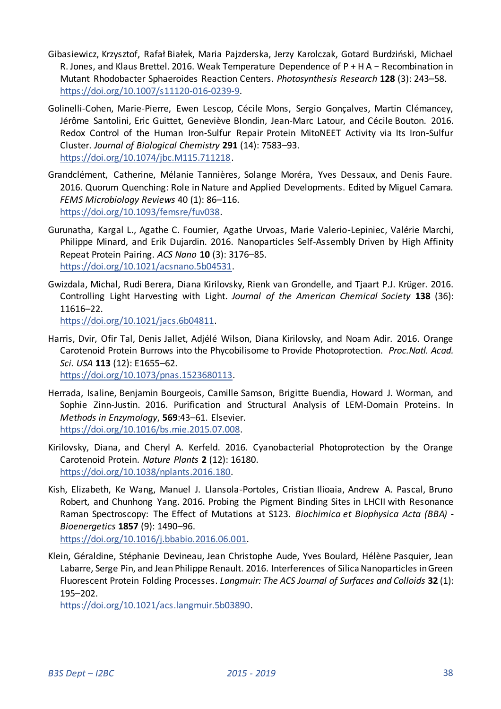- Gibasiewicz, Krzysztof, Rafał Białek, Maria Pajzderska, Jerzy Karolczak, Gotard Burdziński, Michael R. Jones, and Klaus Brettel. 2016. Weak Temperature Dependence of P + H A − Recombination in Mutant Rhodobacter Sphaeroides Reaction Centers. *Photosynthesis Research* **128** (3): 243–58. [https://doi.org/10.1007/s11120-016-0239-9.](https://doi.org/10.1007/s11120-016-0239-9)
- Golinelli-Cohen, Marie-Pierre, Ewen Lescop, Cécile Mons, Sergio Gonçalves, Martin Clémancey, Jérôme Santolini, Eric Guittet, Geneviève Blondin, Jean-Marc Latour, and Cécile Bouton. 2016. Redox Control of the Human Iron-Sulfur Repair Protein MitoNEET Activity via Its Iron-Sulfur Cluster. *Journal of Biological Chemistry* **291** (14): 7583–93. [https://doi.org/10.1074/jbc.M115.711218.](https://doi.org/10.1074/jbc.M115.711218)
- Grandclément, Catherine, Mélanie Tannières, Solange Moréra, Yves Dessaux, and Denis Faure. 2016. Quorum Quenching: Role in Nature and Applied Developments. Edited by Miguel Camara. *FEMS Microbiology Reviews* 40 (1): 86–116. [https://doi.org/10.1093/femsre/fuv038.](https://doi.org/10.1093/femsre/fuv038)
- Gurunatha, Kargal L., Agathe C. Fournier, Agathe Urvoas, Marie Valerio-Lepiniec, Valérie Marchi, Philippe Minard, and Erik Dujardin. 2016. Nanoparticles Self-Assembly Driven by High Affinity Repeat Protein Pairing. *ACS Nano* **10** (3): 3176–85. [https://doi.org/10.1021/acsnano.5b04531.](https://doi.org/10.1021/acsnano.5b04531)
- Gwizdala, Michal, Rudi Berera, Diana Kirilovsky, Rienk van Grondelle, and Tjaart P.J. Krüger. 2016. Controlling Light Harvesting with Light. *Journal of the American Chemical Society* **138** (36): 11616–22.

[https://doi.org/10.1021/jacs.6b04811.](https://doi.org/10.1021/jacs.6b04811) 

Harris, Dvir, Ofir Tal, Denis Jallet, Adjélé Wilson, Diana Kirilovsky, and Noam Adir. 2016. Orange Carotenoid Protein Burrows into the Phycobilisome to Provide Photoprotection. *Proc.Natl. Acad. Sci. USA* **113** (12): E1655–62.

[https://doi.org/10.1073/pnas.1523680113.](https://doi.org/10.1073/pnas.1523680113) 

- Herrada, Isaline, Benjamin Bourgeois, Camille Samson, Brigitte Buendia, Howard J. Worman, and Sophie Zinn-Justin. 2016. Purification and Structural Analysis of LEM-Domain Proteins. In *Methods in Enzymology*, **569**:43–61. Elsevier. [https://doi.org/10.1016/bs.mie.2015.07.008.](https://doi.org/10.1016/bs.mie.2015.07.008)
- Kirilovsky, Diana, and Cheryl A. Kerfeld. 2016. Cyanobacterial Photoprotection by the Orange Carotenoid Protein. *Nature Plants* **2** (12): 16180. [https://doi.org/10.1038/nplants.2016.180.](https://doi.org/10.1038/nplants.2016.180)
- Kish, Elizabeth, Ke Wang, Manuel J. Llansola-Portoles, Cristian Ilioaia, Andrew A. Pascal, Bruno Robert, and Chunhong Yang. 2016. Probing the Pigment Binding Sites in LHCII with Resonance Raman Spectroscopy: The Effect of Mutations at S123. *Biochimica et Biophysica Acta (BBA) - Bioenergetics* **1857** (9): 1490–96.

[https://doi.org/10.1016/j.bbabio.2016.06.001.](https://doi.org/10.1016/j.bbabio.2016.06.001) 

Klein, Géraldine, Stéphanie Devineau, Jean Christophe Aude, Yves Boulard, Hélène Pasquier, Jean Labarre, Serge Pin, and Jean Philippe Renault. 2016. Interferences of Silica Nanoparticles in Green Fluorescent Protein Folding Processes. *Langmuir: The ACS Journal of Surfaces and Colloids* **32** (1): 195–202.

[https://doi.org/10.1021/acs.langmuir.5b03890.](https://doi.org/10.1021/acs.langmuir.5b03890)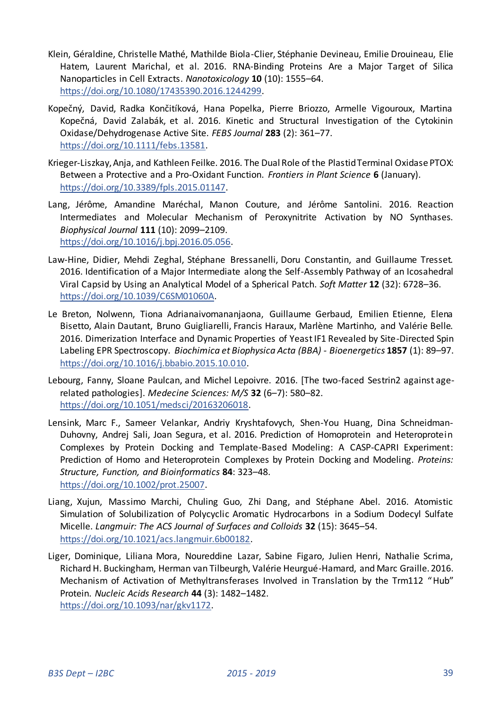- Klein, Géraldine, Christelle Mathé, Mathilde Biola-Clier, Stéphanie Devineau, Emilie Drouineau, Elie Hatem, Laurent Marichal, et al. 2016. RNA-Binding Proteins Are a Major Target of Silica Nanoparticles in Cell Extracts. *Nanotoxicology* **10** (10): 1555–64. [https://doi.org/10.1080/17435390.2016.1244299.](https://doi.org/10.1080/17435390.2016.1244299)
- Kopečný, David, Radka Končitíková, Hana Popelka, Pierre Briozzo, Armelle Vigouroux, Martina Kopečná, David Zalabák, et al. 2016. Kinetic and Structural Investigation of the Cytokinin Oxidase/Dehydrogenase Active Site. *FEBS Journal* **283** (2): 361–77. [https://doi.org/10.1111/febs.13581.](https://doi.org/10.1111/febs.13581)
- Krieger-Liszkay, Anja, and Kathleen Feilke. 2016. The Dual Role of the Plastid Terminal Oxidase PTOX: Between a Protective and a Pro-Oxidant Function. *Frontiers in Plant Science* **6** (January). [https://doi.org/10.3389/fpls.2015.01147.](https://doi.org/10.3389/fpls.2015.01147)
- Lang, Jérôme, Amandine Maréchal, Manon Couture, and Jérôme Santolini. 2016. Reaction Intermediates and Molecular Mechanism of Peroxynitrite Activation by NO Synthases. *Biophysical Journal* **111** (10): 2099–2109. [https://doi.org/10.1016/j.bpj.2016.05.056.](https://doi.org/10.1016/j.bpj.2016.05.056)
- Law-Hine, Didier, Mehdi Zeghal, Stéphane Bressanelli, Doru Constantin, and Guillaume Tresset. 2016. Identification of a Major Intermediate along the Self-Assembly Pathway of an Icosahedral Viral Capsid by Using an Analytical Model of a Spherical Patch. *Soft Matter* **12** (32): 6728–36. [https://doi.org/10.1039/C6SM01060A.](https://doi.org/10.1039/C6SM01060A)
- Le Breton, Nolwenn, Tiona Adrianaivomananjaona, Guillaume Gerbaud, Emilien Etienne, Elena Bisetto, Alain Dautant, Bruno Guigliarelli, Francis Haraux, Marlène Martinho, and Valérie Belle. 2016. Dimerization Interface and Dynamic Properties of Yeast IF1 Revealed by Site-Directed Spin Labeling EPR Spectroscopy. *Biochimica et Biophysica Acta (BBA) - Bioenergetics* **1857** (1): 89–97. [https://doi.org/10.1016/j.bbabio.2015.10.010.](https://doi.org/10.1016/j.bbabio.2015.10.010)
- Lebourg, Fanny, Sloane Paulcan, and Michel Lepoivre. 2016. [The two-faced Sestrin2 against agerelated pathologies]. *Medecine Sciences: M/S* **32** (6–7): 580–82. [https://doi.org/10.1051/medsci/20163206018.](https://doi.org/10.1051/medsci/20163206018)
- Lensink, Marc F., Sameer Velankar, Andriy Kryshtafovych, Shen-You Huang, Dina Schneidman-Duhovny, Andrej Sali, Joan Segura, et al. 2016. Prediction of Homoprotein and Heteroprotein Complexes by Protein Docking and Template-Based Modeling: A CASP-CAPRI Experiment: Prediction of Homo and Heteroprotein Complexes by Protein Docking and Modeling. *Proteins: Structure, Function, and Bioinformatics* **84**: 323–48. [https://doi.org/10.1002/prot.25007.](https://doi.org/10.1002/prot.25007)
- Liang, Xujun, Massimo Marchi, Chuling Guo, Zhi Dang, and Stéphane Abel. 2016. Atomistic Simulation of Solubilization of Polycyclic Aromatic Hydrocarbons in a Sodium Dodecyl Sulfate Micelle. *Langmuir: The ACS Journal of Surfaces and Colloids* **32** (15): 3645–54. [https://doi.org/10.1021/acs.langmuir.6b00182.](https://doi.org/10.1021/acs.langmuir.6b00182)
- Liger, Dominique, Liliana Mora, Noureddine Lazar, Sabine Figaro, Julien Henri, Nathalie Scrima, Richard H. Buckingham, Herman van Tilbeurgh, Valérie Heurgué-Hamard, and Marc Graille. 2016. Mechanism of Activation of Methyltransferases Involved in Translation by the Trm112 "Hub" Protein. *Nucleic Acids Research* **44** (3): 1482–1482. [https://doi.org/10.1093/nar/gkv1172.](https://doi.org/10.1093/nar/gkv1172)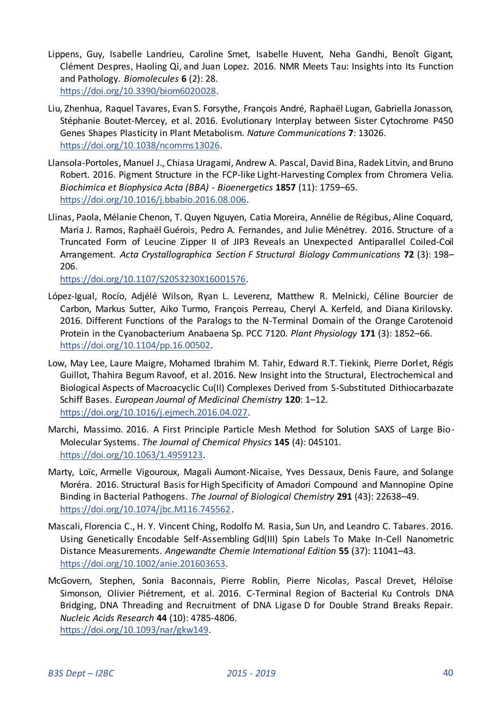- Lippens, Guy, Isabelle Landrieu, Caroline Smet, Isabelle Huvent, Neha Gandhi, Benoît Gigant, Clément Despres, Haoling Qi, and Juan Lopez. 2016. NMR Meets Tau: Insights into Its Function and Pathology. *Biomolecules* **6** (2): 28. [https://doi.org/10.3390/biom6020028.](https://doi.org/10.3390/biom6020028)
- Liu, Zhenhua, Raquel Tavares, Evan S. Forsythe, François André, Raphaël Lugan, Gabriella Jonasson, Stéphanie Boutet-Mercey, et al. 2016. Evolutionary Interplay between Sister Cytochrome P450 Genes Shapes Plasticity in Plant Metabolism. *Nature Communications* **7**: 13026. [https://doi.org/10.1038/ncomms13026.](https://doi.org/10.1038/ncomms13026)
- Llansola-Portoles, Manuel J., Chiasa Uragami, Andrew A. Pascal, David Bina, Radek Litvin, and Bruno Robert. 2016. Pigment Structure in the FCP-like Light-Harvesting Complex from Chromera Velia. *Biochimica et Biophysica Acta (BBA) - Bioenergetics* **1857** (11): 1759–65. [https://doi.org/10.1016/j.bbabio.2016.08.006.](https://doi.org/10.1016/j.bbabio.2016.08.006)
- Llinas, Paola, Mélanie Chenon, T. Quyen Nguyen, Catia Moreira, Annélie de Régibus, Aline Coquard, Maria J. Ramos, Raphaël Guérois, Pedro A. Fernandes, and Julie Ménétrey. 2016. Structure of a Truncated Form of Leucine Zipper II of JIP3 Reveals an Unexpected Antiparallel Coiled-Coil Arrangement. *Acta Crystallographica Section F Structural Biology Communications* **72** (3): 198– 206.

[https://doi.org/10.1107/S2053230X16001576.](https://doi.org/10.1107/S2053230X16001576) 

- López-Igual, Rocío, Adjélé Wilson, Ryan L. Leverenz, Matthew R. Melnicki, Céline Bourcier de Carbon, Markus Sutter, Aiko Turmo, François Perreau, Cheryl A. Kerfeld, and Diana Kirilovsky. 2016. Different Functions of the Paralogs to the N-Terminal Domain of the Orange Carotenoid Protein in the Cyanobacterium Anabaena Sp. PCC 7120. *Plant Physiology* **171** (3): 1852–66. [https://doi.org/10.1104/pp.16.00502.](https://doi.org/10.1104/pp.16.00502)
- Low, May Lee, Laure Maigre, Mohamed Ibrahim M. Tahir, Edward R.T. Tiekink, Pierre Dorlet, Régis Guillot, Thahira Begum Ravoof, et al. 2016. New Insight into the Structural, Electrochemical and Biological Aspects of Macroacyclic Cu(II) Complexes Derived from S-Substituted Dithiocarbazate Schiff Bases. *European Journal of Medicinal Chemistry* **120**: 1–12. [https://doi.org/10.1016/j.ejmech.2016.04.027.](https://doi.org/10.1016/j.ejmech.2016.04.027)
- Marchi, Massimo. 2016. A First Principle Particle Mesh Method for Solution SAXS of Large Bio-Molecular Systems. *The Journal of Chemical Physics* **145** (4): 045101. [https://doi.org/10.1063/1.4959123.](https://doi.org/10.1063/1.4959123)
- Marty, Loïc, Armelle Vigouroux, Magali Aumont-Nicaise, Yves Dessaux, Denis Faure, and Solange Moréra. 2016. Structural Basis for High Specificity of Amadori Compound and Mannopine Opine Binding in Bacterial Pathogens. *The Journal of Biological Chemistry* **291** (43): 22638–49. [https://doi.org/10.1074/jbc.M116.745562.](https://doi.org/10.1074/jbc.M116.745562)
- Mascali, Florencia C., H. Y. Vincent Ching, Rodolfo M. Rasia, Sun Un, and Leandro C. Tabares. 2016. Using Genetically Encodable Self-Assembling Gd(III) Spin Labels To Make In-Cell Nanometric Distance Measurements. *Angewandte Chemie International Edition* **55** (37): 11041–43. [https://doi.org/10.1002/anie.201603653.](https://doi.org/10.1002/anie.201603653)
- McGovern, Stephen, Sonia Baconnais, Pierre Roblin, Pierre Nicolas, Pascal Drevet, Héloïse Simonson, Olivier Piétrement, et al. 2016. C-Terminal Region of Bacterial Ku Controls DNA Bridging, DNA Threading and Recruitment of DNA Ligase D for Double Strand Breaks Repair. *Nucleic Acids Research* **44** (10): 4785-4806. [https://doi.org/10.1093/nar/gkw149.](https://doi.org/10.1093/nar/gkw149)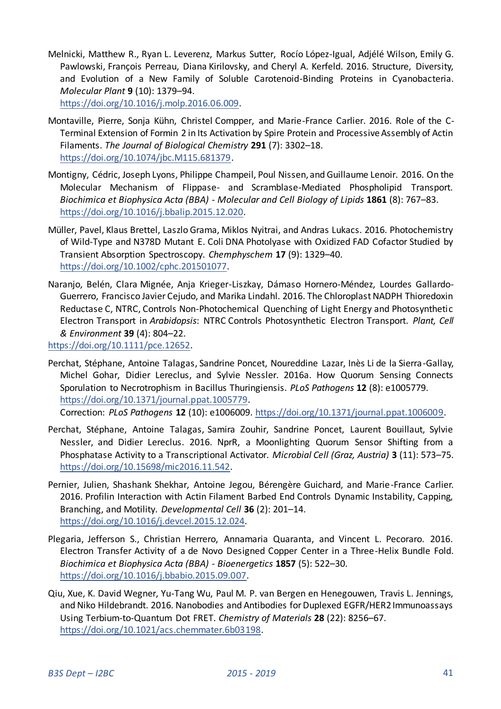Melnicki, Matthew R., Ryan L. Leverenz, Markus Sutter, Rocío López-Igual, Adjélé Wilson, Emily G. Pawlowski, François Perreau, Diana Kirilovsky, and Cheryl A. Kerfeld. 2016. Structure, Diversity, and Evolution of a New Family of Soluble Carotenoid-Binding Proteins in Cyanobacteria. *Molecular Plant* **9** (10): 1379–94.

[https://doi.org/10.1016/j.molp.2016.06.009.](https://doi.org/10.1016/j.molp.2016.06.009) 

- Montaville, Pierre, Sonja Kühn, Christel Compper, and Marie-France Carlier. 2016. Role of the C-Terminal Extension of Formin 2 in Its Activation by Spire Protein and Processive Assembly of Actin Filaments. *The Journal of Biological Chemistry* **291** (7): 3302–18. [https://doi.org/10.1074/jbc.M115.681379.](https://doi.org/10.1074/jbc.M115.681379)
- Montigny, Cédric, Joseph Lyons, Philippe Champeil, Poul Nissen, and Guillaume Lenoir. 2016. On the Molecular Mechanism of Flippase- and Scramblase-Mediated Phospholipid Transport. *Biochimica et Biophysica Acta (BBA) - Molecular and Cell Biology of Lipids* **1861** (8): 767–83. [https://doi.org/10.1016/j.bbalip.2015.12.020.](https://doi.org/10.1016/j.bbalip.2015.12.020)
- Müller, Pavel, Klaus Brettel, Laszlo Grama, Miklos Nyitrai, and Andras Lukacs. 2016. Photochemistry of Wild-Type and N378D Mutant E. Coli DNA Photolyase with Oxidized FAD Cofactor Studied by Transient Absorption Spectroscopy. *Chemphyschem* **17** (9): 1329–40. [https://doi.org/10.1002/cphc.201501077.](https://doi.org/10.1002/cphc.201501077)
- Naranjo, Belén, Clara Mignée, Anja Krieger-Liszkay, Dámaso Hornero-Méndez, Lourdes Gallardo-Guerrero, Francisco Javier Cejudo, and Marika Lindahl. 2016. The Chloroplast NADPH Thioredoxin Reductase C, NTRC, Controls Non-Photochemical Quenching of Light Energy and Photosynthetic Electron Transport in *Arabidopsis*: NTRC Controls Photosynthetic Electron Transport. *Plant, Cell & Environment* **39** (4): 804–22.

[https://doi.org/10.1111/pce.12652.](https://doi.org/10.1111/pce.12652) 

Perchat, Stéphane, Antoine Talagas, Sandrine Poncet, Noureddine Lazar, Inès Li de la Sierra-Gallay, Michel Gohar, Didier Lereclus, and Sylvie Nessler. 2016a. How Quorum Sensing Connects Sporulation to Necrotrophism in Bacillus Thuringiensis. *PLoS Pathogens* **12** (8): e1005779. [https://doi.org/10.1371/journal.ppat.1005779.](https://doi.org/10.1371/journal.ppat.1005779) 

Correction: *PLoS Pathogens* **12** (10): e1006009[. https://doi.org/10.1371/journal.ppat.1006009.](https://doi.org/10.1371/journal.ppat.1006009) 

- Perchat, Stéphane, Antoine Talagas, Samira Zouhir, Sandrine Poncet, Laurent Bouillaut, Sylvie Nessler, and Didier Lereclus. 2016. NprR, a Moonlighting Quorum Sensor Shifting from a Phosphatase Activity to a Transcriptional Activator. *Microbial Cell (Graz, Austria)* **3** (11): 573–75. [https://doi.org/10.15698/mic2016.11.542.](https://doi.org/10.15698/mic2016.11.542)
- Pernier, Julien, Shashank Shekhar, Antoine Jegou, Bérengère Guichard, and Marie-France Carlier. 2016. Profilin Interaction with Actin Filament Barbed End Controls Dynamic Instability, Capping, Branching, and Motility. *Developmental Cell* **36** (2): 201–14. [https://doi.org/10.1016/j.devcel.2015.12.024.](https://doi.org/10.1016/j.devcel.2015.12.024)
- Plegaria, Jefferson S., Christian Herrero, Annamaria Quaranta, and Vincent L. Pecoraro. 2016. Electron Transfer Activity of a de Novo Designed Copper Center in a Three-Helix Bundle Fold. *Biochimica et Biophysica Acta (BBA) - Bioenergetics* **1857** (5): 522–30. [https://doi.org/10.1016/j.bbabio.2015.09.007.](https://doi.org/10.1016/j.bbabio.2015.09.007)
- Qiu, Xue, K. David Wegner, Yu-Tang Wu, Paul M. P. van Bergen en Henegouwen, Travis L. Jennings, and Niko Hildebrandt. 2016. Nanobodies and Antibodies for Duplexed EGFR/HER2 Immunoassays Using Terbium-to-Quantum Dot FRET. *Chemistry of Materials* **28** (22): 8256–67. [https://doi.org/10.1021/acs.chemmater.6b03198.](https://doi.org/10.1021/acs.chemmater.6b03198)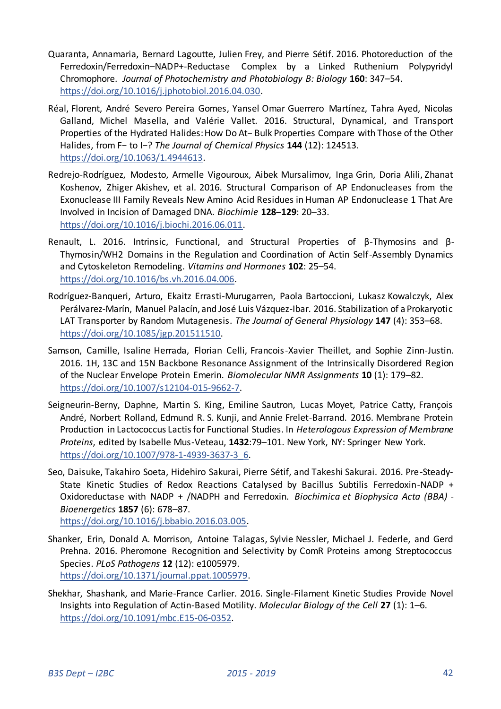- Quaranta, Annamaria, Bernard Lagoutte, Julien Frey, and Pierre Sétif. 2016. Photoreduction of the Ferredoxin/Ferredoxin–NADP+-Reductase Complex by a Linked Ruthenium Polypyridyl Chromophore. *Journal of Photochemistry and Photobiology B: Biology* **160**: 347–54. [https://doi.org/10.1016/j.jphotobiol.2016.04.030.](https://doi.org/10.1016/j.jphotobiol.2016.04.030)
- Réal, Florent, André Severo Pereira Gomes, Yansel Omar Guerrero Martínez, Tahra Ayed, Nicolas Galland, Michel Masella, and Valérie Vallet. 2016. Structural, Dynamical, and Transport Properties of the Hydrated Halides: How Do At− Bulk Properties Compare with Those of the Other Halides, from F− to I−? *The Journal of Chemical Physics* **144** (12): 124513. [https://doi.org/10.1063/1.4944613.](https://doi.org/10.1063/1.4944613)
- Redrejo-Rodríguez, Modesto, Armelle Vigouroux, Aibek Mursalimov, Inga Grin, Doria Alili, Zhanat Koshenov, Zhiger Akishev, et al. 2016. Structural Comparison of AP Endonucleases from the Exonuclease III Family Reveals New Amino Acid Residues in Human AP Endonuclease 1 That Are Involved in Incision of Damaged DNA. *Biochimie* **128–129**: 20–33. [https://doi.org/10.1016/j.biochi.2016.06.011.](https://doi.org/10.1016/j.biochi.2016.06.011)
- Renault, L. 2016. Intrinsic, Functional, and Structural Properties of β-Thymosins and β-Thymosin/WH2 Domains in the Regulation and Coordination of Actin Self-Assembly Dynamics and Cytoskeleton Remodeling. *Vitamins and Hormones* **102**: 25–54. [https://doi.org/10.1016/bs.vh.2016.04.006.](https://doi.org/10.1016/bs.vh.2016.04.006)
- Rodríguez-Banqueri, Arturo, Ekaitz Errasti-Murugarren, Paola Bartoccioni, Lukasz Kowalczyk, Alex Perálvarez-Marín, Manuel Palacín, and José Luis Vázquez-Ibar. 2016. Stabilization of a Prokaryotic LAT Transporter by Random Mutagenesis. *The Journal of General Physiology* **147** (4): 353–68. [https://doi.org/10.1085/jgp.201511510.](https://doi.org/10.1085/jgp.201511510)
- Samson, Camille, Isaline Herrada, Florian Celli, Francois-Xavier Theillet, and Sophie Zinn-Justin. 2016. 1H, 13C and 15N Backbone Resonance Assignment of the Intrinsically Disordered Region of the Nuclear Envelope Protein Emerin. *Biomolecular NMR Assignments* **10** (1): 179–82. [https://doi.org/10.1007/s12104-015-9662-7.](https://doi.org/10.1007/s12104-015-9662-7)
- Seigneurin-Berny, Daphne, Martin S. King, Emiline Sautron, Lucas Moyet, Patrice Catty, François André, Norbert Rolland, Edmund R. S. Kunji, and Annie Frelet-Barrand. 2016. Membrane Protein Production in Lactococcus Lactis for Functional Studies. In *Heterologous Expression of Membrane Proteins*, edited by Isabelle Mus-Veteau, **1432**:79–101. New York, NY: Springer New York. [https://doi.org/10.1007/978-1-4939-3637-3\\_6.](https://doi.org/10.1007/978-1-4939-3637-3_6)
- Seo, Daisuke, Takahiro Soeta, Hidehiro Sakurai, Pierre Sétif, and Takeshi Sakurai. 2016. Pre-Steady-State Kinetic Studies of Redox Reactions Catalysed by Bacillus Subtilis Ferredoxin-NADP + Oxidoreductase with NADP + /NADPH and Ferredoxin. *Biochimica et Biophysica Acta (BBA) - Bioenergetics* **1857** (6): 678–87. [https://doi.org/10.1016/j.bbabio.2016.03.005.](https://doi.org/10.1016/j.bbabio.2016.03.005)
- Shanker, Erin, Donald A. Morrison, Antoine Talagas, Sylvie Nessler, Michael J. Federle, and Gerd Prehna. 2016. Pheromone Recognition and Selectivity by ComR Proteins among Streptococcus Species. *PLoS Pathogens* **12** (12): e1005979. [https://doi.org/10.1371/journal.ppat.1005979.](https://doi.org/10.1371/journal.ppat.1005979)
- Shekhar, Shashank, and Marie-France Carlier. 2016. Single-Filament Kinetic Studies Provide Novel Insights into Regulation of Actin-Based Motility. *Molecular Biology of the Cell* **27** (1): 1–6. [https://doi.org/10.1091/mbc.E15-06-0352.](https://doi.org/10.1091/mbc.E15-06-0352)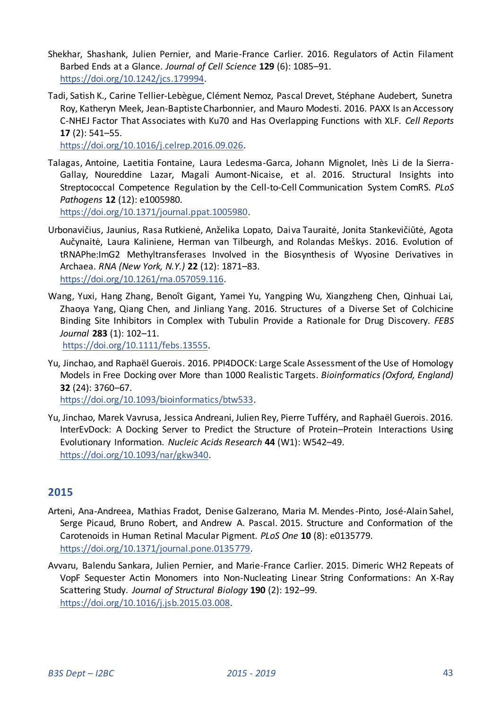- Shekhar, Shashank, Julien Pernier, and Marie-France Carlier. 2016. Regulators of Actin Filament Barbed Ends at a Glance. *Journal of Cell Science* **129** (6): 1085–91. [https://doi.org/10.1242/jcs.179994.](https://doi.org/10.1242/jcs.179994)
- Tadi, Satish K., Carine Tellier-Lebègue, Clément Nemoz, Pascal Drevet, Stéphane Audebert, Sunetra Roy, Katheryn Meek, Jean-Baptiste Charbonnier, and Mauro Modesti. 2016. PAXX Is an Accessory C-NHEJ Factor That Associates with Ku70 and Has Overlapping Functions with XLF. *Cell Reports* **17** (2): 541–55.

[https://doi.org/10.1016/j.celrep.2016.09.026.](https://doi.org/10.1016/j.celrep.2016.09.026) 

Talagas, Antoine, Laetitia Fontaine, Laura Ledesma-Garca, Johann Mignolet, Inès Li de la Sierra-Gallay, Noureddine Lazar, Magali Aumont-Nicaise, et al. 2016. Structural Insights into Streptococcal Competence Regulation by the Cell-to-Cell Communication System ComRS. *PLoS Pathogens* **12** (12): e1005980.

[https://doi.org/10.1371/journal.ppat.1005980.](https://doi.org/10.1371/journal.ppat.1005980) 

- Urbonavičius, Jaunius, Rasa Rutkienė, Anželika Lopato, Daiva Tauraitė, Jonita Stankevičiūtė, Agota Aučynaitė, Laura Kaliniene, Herman van Tilbeurgh, and Rolandas Meškys. 2016. Evolution of tRNAPhe:ImG2 Methyltransferases Involved in the Biosynthesis of Wyosine Derivatives in Archaea. *RNA (New York, N.Y.)* **22** (12): 1871–83. [https://doi.org/10.1261/rna.057059.116.](https://doi.org/10.1261/rna.057059.116)
- Wang, Yuxi, Hang Zhang, Benoît Gigant, Yamei Yu, Yangping Wu, Xiangzheng Chen, Qinhuai Lai, Zhaoya Yang, Qiang Chen, and Jinliang Yang. 2016. Structures of a Diverse Set of Colchicine Binding Site Inhibitors in Complex with Tubulin Provide a Rationale for Drug Discovery. *FEBS Journal* **283** (1): 102–11.

[https://doi.org/10.1111/febs.13555.](https://doi.org/10.1111/febs.13555) 

Yu, Jinchao, and Raphaël Guerois. 2016. PPI4DOCK: Large Scale Assessment of the Use of Homology Models in Free Docking over More than 1000 Realistic Targets. *Bioinformatics (Oxford, England)* **32** (24): 3760–67.

[https://doi.org/10.1093/bioinformatics/btw533.](https://doi.org/10.1093/bioinformatics/btw533) 

Yu, Jinchao, Marek Vavrusa, Jessica Andreani, Julien Rey, Pierre Tufféry, and Raphaël Guerois. 2016. InterEvDock: A Docking Server to Predict the Structure of Protein–Protein Interactions Using Evolutionary Information. *Nucleic Acids Research* **44** (W1): W542–49. [https://doi.org/10.1093/nar/gkw340.](https://doi.org/10.1093/nar/gkw340) 

# <span id="page-42-0"></span>**2015**

- Arteni, Ana-Andreea, Mathias Fradot, Denise Galzerano, Maria M. Mendes-Pinto, José-Alain Sahel, Serge Picaud, Bruno Robert, and Andrew A. Pascal. 2015. Structure and Conformation of the Carotenoids in Human Retinal Macular Pigment. *PLoS One* **10** (8): e0135779. [https://doi.org/10.1371/journal.pone.0135779.](https://doi.org/10.1371/journal.pone.0135779)
- Avvaru, Balendu Sankara, Julien Pernier, and Marie-France Carlier. 2015. Dimeric WH2 Repeats of VopF Sequester Actin Monomers into Non-Nucleating Linear String Conformations: An X-Ray Scattering Study. *Journal of Structural Biology* **190** (2): 192–99. [https://doi.org/10.1016/j.jsb.2015.03.008.](https://doi.org/10.1016/j.jsb.2015.03.008)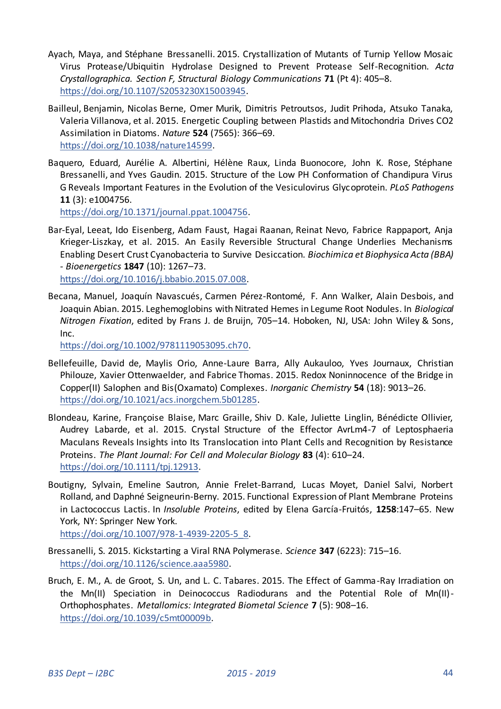- Ayach, Maya, and Stéphane Bressanelli. 2015. Crystallization of Mutants of Turnip Yellow Mosaic Virus Protease/Ubiquitin Hydrolase Designed to Prevent Protease Self-Recognition. *Acta Crystallographica. Section F, Structural Biology Communications* **71** (Pt 4): 405–8. [https://doi.org/10.1107/S2053230X15003945.](https://doi.org/10.1107/S2053230X15003945)
- Bailleul, Benjamin, Nicolas Berne, Omer Murik, Dimitris Petroutsos, Judit Prihoda, Atsuko Tanaka, Valeria Villanova, et al. 2015. Energetic Coupling between Plastids and Mitochondria Drives CO2 Assimilation in Diatoms. *Nature* **524** (7565): 366–69. [https://doi.org/10.1038/nature14599.](https://doi.org/10.1038/nature14599)
- Baquero, Eduard, Aurélie A. Albertini, Hélène Raux, Linda Buonocore, John K. Rose, Stéphane Bressanelli, and Yves Gaudin. 2015. Structure of the Low PH Conformation of Chandipura Virus G Reveals Important Features in the Evolution of the Vesiculovirus Glycoprotein. *PLoS Pathogens* **11** (3): e1004756.

[https://doi.org/10.1371/journal.ppat.1004756.](https://doi.org/10.1371/journal.ppat.1004756) 

- Bar-Eyal, Leeat, Ido Eisenberg, Adam Faust, Hagai Raanan, Reinat Nevo, Fabrice Rappaport, Anja Krieger-Liszkay, et al. 2015. An Easily Reversible Structural Change Underlies Mechanisms Enabling Desert Crust Cyanobacteria to Survive Desiccation. *Biochimica et Biophysica Acta (BBA) - Bioenergetics* **1847** (10): 1267–73. [https://doi.org/10.1016/j.bbabio.2015.07.008.](https://doi.org/10.1016/j.bbabio.2015.07.008)
- Becana, Manuel, Joaquín Navascués, Carmen Pérez-Rontomé, F. Ann Walker, Alain Desbois, and Joaquin Abian. 2015. Leghemoglobins with Nitrated Hemes in Legume Root Nodules. In *Biological Nitrogen Fixation*, edited by Frans J. de Bruijn, 705–14. Hoboken, NJ, USA: John Wiley & Sons, Inc.

[https://doi.org/10.1002/9781119053095.ch70.](https://doi.org/10.1002/9781119053095.ch70) 

- Bellefeuille, David de, Maylis Orio, Anne-Laure Barra, Ally Aukauloo, Yves Journaux, Christian Philouze, Xavier Ottenwaelder, and Fabrice Thomas. 2015. Redox Noninnocence of the Bridge in Copper(II) Salophen and Bis(Oxamato) Complexes. *Inorganic Chemistry* **54** (18): 9013–26. [https://doi.org/10.1021/acs.inorgchem.5b01285.](https://doi.org/10.1021/acs.inorgchem.5b01285)
- Blondeau, Karine, Françoise Blaise, Marc Graille, Shiv D. Kale, Juliette Linglin, Bénédicte Ollivier, Audrey Labarde, et al. 2015. Crystal Structure of the Effector AvrLm4-7 of Leptosphaeria Maculans Reveals Insights into Its Translocation into Plant Cells and Recognition by Resistance Proteins. *The Plant Journal: For Cell and Molecular Biology* **83** (4): 610–24. [https://doi.org/10.1111/tpj.12913.](https://doi.org/10.1111/tpj.12913)
- Boutigny, Sylvain, Emeline Sautron, Annie Frelet-Barrand, Lucas Moyet, Daniel Salvi, Norbert Rolland, and Daphné Seigneurin-Berny. 2015. Functional Expression of Plant Membrane Proteins in Lactococcus Lactis. In *Insoluble Proteins*, edited by Elena García-Fruitós, **1258**:147–65. New York, NY: Springer New York.

[https://doi.org/10.1007/978-1-4939-2205-5\\_8.](https://doi.org/10.1007/978-1-4939-2205-5_8) 

- Bressanelli, S. 2015. Kickstarting a Viral RNA Polymerase. *Science* **347** (6223): 715–16. [https://doi.org/10.1126/science.aaa5980.](https://doi.org/10.1126/science.aaa5980)
- Bruch, E. M., A. de Groot, S. Un, and L. C. Tabares. 2015. The Effect of Gamma-Ray Irradiation on the Mn(II) Speciation in Deinococcus Radiodurans and the Potential Role of Mn(II)- Orthophosphates. *Metallomics: Integrated Biometal Science* **7** (5): 908–16. [https://doi.org/10.1039/c5mt00009b.](https://doi.org/10.1039/c5mt00009b)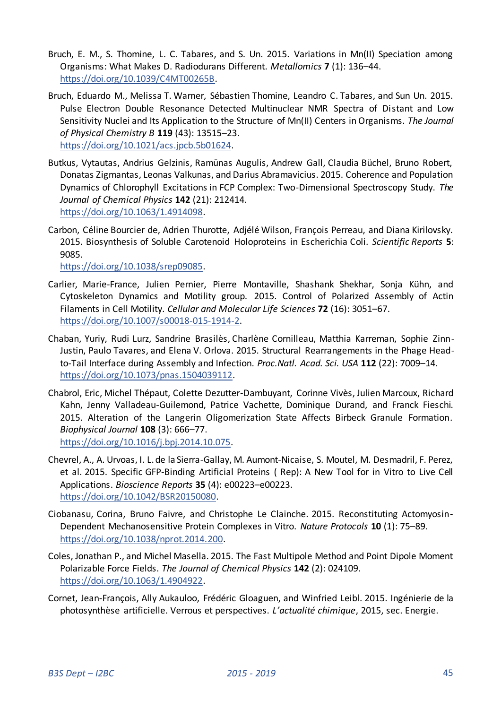- Bruch, E. M., S. Thomine, L. C. Tabares, and S. Un. 2015. Variations in Mn(II) Speciation among Organisms: What Makes D. Radiodurans Different. *Metallomics* **7** (1): 136–44. [https://doi.org/10.1039/C4MT00265B.](https://doi.org/10.1039/C4MT00265B)
- Bruch, Eduardo M., Melissa T. Warner, Sébastien Thomine, Leandro C. Tabares, and Sun Un. 2015. Pulse Electron Double Resonance Detected Multinuclear NMR Spectra of Distant and Low Sensitivity Nuclei and Its Application to the Structure of Mn(II) Centers in Organisms. *The Journal of Physical Chemistry B* **119** (43): 13515–23. [https://doi.org/10.1021/acs.jpcb.5b01624.](https://doi.org/10.1021/acs.jpcb.5b01624)
- Butkus, Vytautas, Andrius Gelzinis, Ramūnas Augulis, Andrew Gall, Claudia Büchel, Bruno Robert, Donatas Zigmantas, Leonas Valkunas, and Darius Abramavicius. 2015. Coherence and Population Dynamics of Chlorophyll Excitations in FCP Complex: Two-Dimensional Spectroscopy Study. *The Journal of Chemical Physics* **142** (21): 212414. [https://doi.org/10.1063/1.4914098.](https://doi.org/10.1063/1.4914098)
- Carbon, Céline Bourcier de, Adrien Thurotte, Adjélé Wilson, François Perreau, and Diana Kirilovsky. 2015. Biosynthesis of Soluble Carotenoid Holoproteins in Escherichia Coli. *Scientific Reports* **5**: 9085.

[https://doi.org/10.1038/srep09085.](https://doi.org/10.1038/srep09085) 

- Carlier, Marie-France, Julien Pernier, Pierre Montaville, Shashank Shekhar, Sonja Kühn, and Cytoskeleton Dynamics and Motility group. 2015. Control of Polarized Assembly of Actin Filaments in Cell Motility. *Cellular and Molecular Life Sciences* **72** (16): 3051–67. [https://doi.org/10.1007/s00018-015-1914-2.](https://doi.org/10.1007/s00018-015-1914-2)
- Chaban, Yuriy, Rudi Lurz, Sandrine Brasilès, Charlène Cornilleau, Matthia Karreman, Sophie Zinn-Justin, Paulo Tavares, and Elena V. Orlova. 2015. Structural Rearrangements in the Phage Headto-Tail Interface during Assembly and Infection. *Proc.Natl. Acad. Sci. USA* **112** (22): 7009–14. [https://doi.org/10.1073/pnas.1504039112.](https://doi.org/10.1073/pnas.1504039112)
- Chabrol, Eric, Michel Thépaut, Colette Dezutter-Dambuyant, Corinne Vivès, Julien Marcoux, Richard Kahn, Jenny Valladeau-Guilemond, Patrice Vachette, Dominique Durand, and Franck Fieschi. 2015. Alteration of the Langerin Oligomerization State Affects Birbeck Granule Formation. *Biophysical Journal* **108** (3): 666–77. [https://doi.org/10.1016/j.bpj.2014.10.075.](https://doi.org/10.1016/j.bpj.2014.10.075)
- Chevrel, A., A. Urvoas, I. L. de la Sierra-Gallay, M. Aumont-Nicaise, S. Moutel, M. Desmadril, F. Perez, et al. 2015. Specific GFP-Binding Artificial Proteins ( Rep): A New Tool for in Vitro to Live Cell Applications. *Bioscience Reports* **35** (4): e00223–e00223. [https://doi.org/10.1042/BSR20150080.](https://doi.org/10.1042/BSR20150080)
- Ciobanasu, Corina, Bruno Faivre, and Christophe Le Clainche. 2015. Reconstituting Actomyosin-Dependent Mechanosensitive Protein Complexes in Vitro. *Nature Protocols* **10** (1): 75–89. [https://doi.org/10.1038/nprot.2014.200.](https://doi.org/10.1038/nprot.2014.200)
- Coles, Jonathan P., and Michel Masella. 2015. The Fast Multipole Method and Point Dipole Moment Polarizable Force Fields. *The Journal of Chemical Physics* **142** (2): 024109. [https://doi.org/10.1063/1.4904922.](https://doi.org/10.1063/1.4904922)
- Cornet, Jean-François, Ally Aukauloo, Frédéric Gloaguen, and Winfried Leibl. 2015. Ingénierie de la photosynthèse artificielle. Verrous et perspectives. *L'actualité chimique*, 2015, sec. Energie.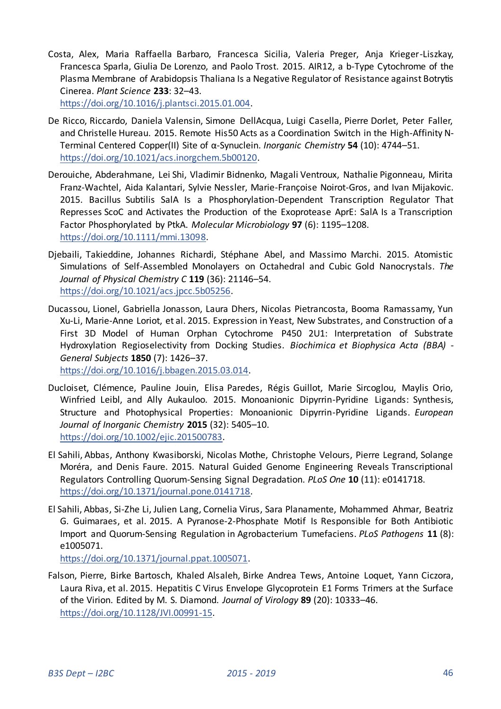Costa, Alex, Maria Raffaella Barbaro, Francesca Sicilia, Valeria Preger, Anja Krieger-Liszkay, Francesca Sparla, Giulia De Lorenzo, and Paolo Trost. 2015. AIR12, a b-Type Cytochrome of the Plasma Membrane of Arabidopsis Thaliana Is a Negative Regulator of Resistance against Botrytis Cinerea. *Plant Science* **233**: 32–43.

[https://doi.org/10.1016/j.plantsci.2015.01.004.](https://doi.org/10.1016/j.plantsci.2015.01.004) 

- De Ricco, Riccardo, Daniela Valensin, Simone DellAcqua, Luigi Casella, Pierre Dorlet, Peter Faller, and Christelle Hureau. 2015. Remote His50 Acts as a Coordination Switch in the High-Affinity N-Terminal Centered Copper(II) Site of α-Synuclein. *Inorganic Chemistry* **54** (10): 4744–51. [https://doi.org/10.1021/acs.inorgchem.5b00120.](https://doi.org/10.1021/acs.inorgchem.5b00120)
- Derouiche, Abderahmane, Lei Shi, Vladimir Bidnenko, Magali Ventroux, Nathalie Pigonneau, Mirita Franz-Wachtel, Aida Kalantari, Sylvie Nessler, Marie-Françoise Noirot-Gros, and Ivan Mijakovic. 2015. Bacillus Subtilis SalA Is a Phosphorylation-Dependent Transcription Regulator That Represses ScoC and Activates the Production of the Exoprotease AprE: SalA Is a Transcription Factor Phosphorylated by PtkA. *Molecular Microbiology* **97** (6): 1195–1208. [https://doi.org/10.1111/mmi.13098.](https://doi.org/10.1111/mmi.13098)
- Djebaili, Takieddine, Johannes Richardi, Stéphane Abel, and Massimo Marchi. 2015. Atomistic Simulations of Self-Assembled Monolayers on Octahedral and Cubic Gold Nanocrystals. *The Journal of Physical Chemistry C* **119** (36): 21146–54. [https://doi.org/10.1021/acs.jpcc.5b05256.](https://doi.org/10.1021/acs.jpcc.5b05256)
- Ducassou, Lionel, Gabriella Jonasson, Laura Dhers, Nicolas Pietrancosta, Booma Ramassamy, Yun Xu-Li, Marie-Anne Loriot, et al. 2015. Expression in Yeast, New Substrates, and Construction of a First 3D Model of Human Orphan Cytochrome P450 2U1: Interpretation of Substrate Hydroxylation Regioselectivity from Docking Studies. *Biochimica et Biophysica Acta (BBA) - General Subjects* **1850** (7): 1426–37.

[https://doi.org/10.1016/j.bbagen.2015.03.014.](https://doi.org/10.1016/j.bbagen.2015.03.014) 

- Ducloiset, Clémence, Pauline Jouin, Elisa Paredes, Régis Guillot, Marie Sircoglou, Maylis Orio, Winfried Leibl, and Ally Aukauloo. 2015. Monoanionic Dipyrrin-Pyridine Ligands: Synthesis, Structure and Photophysical Properties: Monoanionic Dipyrrin-Pyridine Ligands. *European Journal of Inorganic Chemistry* **2015** (32): 5405–10. [https://doi.org/10.1002/ejic.201500783.](https://doi.org/10.1002/ejic.201500783)
- El Sahili, Abbas, Anthony Kwasiborski, Nicolas Mothe, Christophe Velours, Pierre Legrand, Solange Moréra, and Denis Faure. 2015. Natural Guided Genome Engineering Reveals Transcriptional Regulators Controlling Quorum-Sensing Signal Degradation. *PLoS One* **10** (11): e0141718. [https://doi.org/10.1371/journal.pone.0141718.](https://doi.org/10.1371/journal.pone.0141718)
- El Sahili, Abbas, Si-Zhe Li, Julien Lang, Cornelia Virus, Sara Planamente, Mohammed Ahmar, Beatriz G. Guimaraes, et al. 2015. A Pyranose-2-Phosphate Motif Is Responsible for Both Antibiotic Import and Quorum-Sensing Regulation in Agrobacterium Tumefaciens. *PLoS Pathogens* **11** (8): e1005071.

[https://doi.org/10.1371/journal.ppat.1005071.](https://doi.org/10.1371/journal.ppat.1005071) 

Falson, Pierre, Birke Bartosch, Khaled Alsaleh, Birke Andrea Tews, Antoine Loquet, Yann Ciczora, Laura Riva, et al. 2015. Hepatitis C Virus Envelope Glycoprotein E1 Forms Trimers at the Surface of the Virion. Edited by M. S. Diamond. *Journal of Virology* **89** (20): 10333–46. [https://doi.org/10.1128/JVI.00991-15.](https://doi.org/10.1128/JVI.00991-15)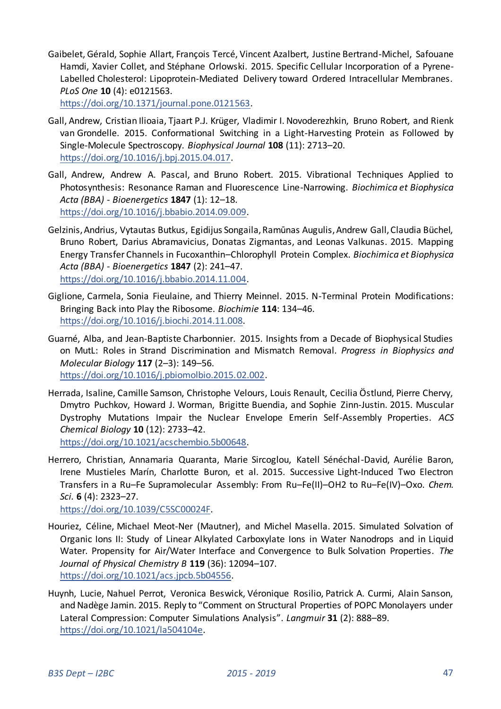Gaibelet, Gérald, Sophie Allart, François Tercé, Vincent Azalbert, Justine Bertrand-Michel, Safouane Hamdi, Xavier Collet, and Stéphane Orlowski. 2015. Specific Cellular Incorporation of a Pyrene-Labelled Cholesterol: Lipoprotein-Mediated Delivery toward Ordered Intracellular Membranes. *PLoS One* **10** (4): e0121563.

[https://doi.org/10.1371/journal.pone.0121563.](https://doi.org/10.1371/journal.pone.0121563) 

- Gall, Andrew, Cristian Ilioaia, Tjaart P.J. Krüger, Vladimir I. Novoderezhkin, Bruno Robert, and Rienk van Grondelle. 2015. Conformational Switching in a Light-Harvesting Protein as Followed by Single-Molecule Spectroscopy. *Biophysical Journal* **108** (11): 2713–20. [https://doi.org/10.1016/j.bpj.2015.04.017.](https://doi.org/10.1016/j.bpj.2015.04.017)
- Gall, Andrew, Andrew A. Pascal, and Bruno Robert. 2015. Vibrational Techniques Applied to Photosynthesis: Resonance Raman and Fluorescence Line-Narrowing. *Biochimica et Biophysica Acta (BBA) - Bioenergetics* **1847** (1): 12–18. [https://doi.org/10.1016/j.bbabio.2014.09.009.](https://doi.org/10.1016/j.bbabio.2014.09.009)
- Gelzinis, Andrius, Vytautas Butkus, Egidijus Songaila, Ramūnas Augulis, Andrew Gall, Claudia Büchel, Bruno Robert, Darius Abramavicius, Donatas Zigmantas, and Leonas Valkunas. 2015. Mapping Energy Transfer Channels in Fucoxanthin–Chlorophyll Protein Complex. *Biochimica et Biophysica Acta (BBA) - Bioenergetics* **1847** (2): 241–47. [https://doi.org/10.1016/j.bbabio.2014.11.004.](https://doi.org/10.1016/j.bbabio.2014.11.004)
- Giglione, Carmela, Sonia Fieulaine, and Thierry Meinnel. 2015. N-Terminal Protein Modifications: Bringing Back into Play the Ribosome. *Biochimie* **114**: 134–46. [https://doi.org/10.1016/j.biochi.2014.11.008.](https://doi.org/10.1016/j.biochi.2014.11.008)
- Guarné, Alba, and Jean-Baptiste Charbonnier. 2015. Insights from a Decade of Biophysical Studies on MutL: Roles in Strand Discrimination and Mismatch Removal. *Progress in Biophysics and Molecular Biology* **117** (2–3): 149–56.

[https://doi.org/10.1016/j.pbiomolbio.2015.02.002.](https://doi.org/10.1016/j.pbiomolbio.2015.02.002) 

- Herrada, Isaline, Camille Samson, Christophe Velours, Louis Renault, Cecilia Östlund, Pierre Chervy, Dmytro Puchkov, Howard J. Worman, Brigitte Buendia, and Sophie Zinn-Justin. 2015. Muscular Dystrophy Mutations Impair the Nuclear Envelope Emerin Self-Assembly Properties. *ACS Chemical Biology* **10** (12): 2733–42. [https://doi.org/10.1021/acschembio.5b00648.](https://doi.org/10.1021/acschembio.5b00648)
- Herrero, Christian, Annamaria Quaranta, Marie Sircoglou, Katell Sénéchal-David, Aurélie Baron, Irene Mustieles Marín, Charlotte Buron, et al. 2015. Successive Light-Induced Two Electron Transfers in a Ru–Fe Supramolecular Assembly: From Ru–Fe(II)–OH2 to Ru–Fe(IV)–Oxo. *Chem. Sci.* **6** (4): 2323–27.

[https://doi.org/10.1039/C5SC00024F.](https://doi.org/10.1039/C5SC00024F) 

- Houriez, Céline, Michael Meot-Ner (Mautner), and Michel Masella. 2015. Simulated Solvation of Organic Ions II: Study of Linear Alkylated Carboxylate Ions in Water Nanodrops and in Liquid Water. Propensity for Air/Water Interface and Convergence to Bulk Solvation Properties. *The Journal of Physical Chemistry B* **119** (36): 12094–107. [https://doi.org/10.1021/acs.jpcb.5b04556.](https://doi.org/10.1021/acs.jpcb.5b04556)
- Huynh, Lucie, Nahuel Perrot, Veronica Beswick, Véronique Rosilio, Patrick A. Curmi, Alain Sanson, and Nadège Jamin. 2015. Reply to "Comment on Structural Properties of POPC Monolayers under Lateral Compression: Computer Simulations Analysis". *Langmuir* **31** (2): 888–89. [https://doi.org/10.1021/la504104e.](https://doi.org/10.1021/la504104e)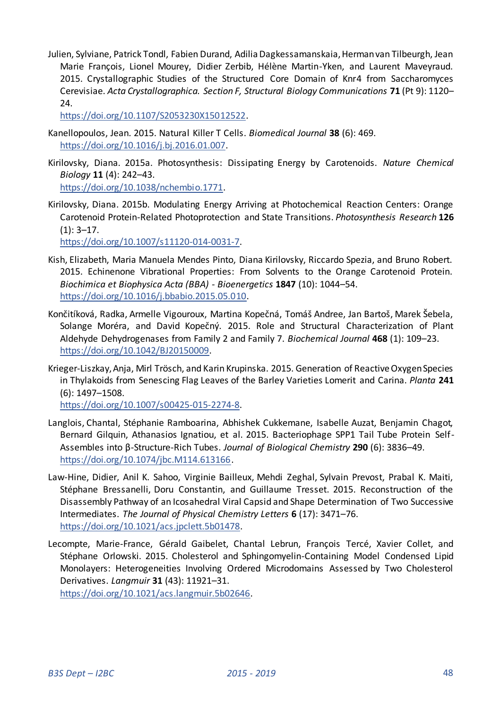Julien, Sylviane, Patrick Tondl, Fabien Durand, Adilia Dagkessamanskaia, Herman van Tilbeurgh, Jean Marie François, Lionel Mourey, Didier Zerbib, Hélène Martin-Yken, and Laurent Maveyraud. 2015. Crystallographic Studies of the Structured Core Domain of Knr4 from Saccharomyces Cerevisiae. *Acta Crystallographica. Section F, Structural Biology Communications* **71** (Pt 9): 1120– 24.

[https://doi.org/10.1107/S2053230X15012522.](https://doi.org/10.1107/S2053230X15012522) 

- Kanellopoulos, Jean. 2015. Natural Killer T Cells. *Biomedical Journal* **38** (6): 469. [https://doi.org/10.1016/j.bj.2016.01.007.](https://doi.org/10.1016/j.bj.2016.01.007)
- Kirilovsky, Diana. 2015a. Photosynthesis: Dissipating Energy by Carotenoids. *Nature Chemical Biology* **11** (4): 242–43. [https://doi.org/10.1038/nchembio.1771.](https://doi.org/10.1038/nchembio.1771)
- Kirilovsky, Diana. 2015b. Modulating Energy Arriving at Photochemical Reaction Centers: Orange Carotenoid Protein-Related Photoprotection and State Transitions. *Photosynthesis Research* **126**  $(1): 3-17.$

[https://doi.org/10.1007/s11120-014-0031-7.](https://doi.org/10.1007/s11120-014-0031-7) 

- Kish, Elizabeth, Maria Manuela Mendes Pinto, Diana Kirilovsky, Riccardo Spezia, and Bruno Robert. 2015. Echinenone Vibrational Properties: From Solvents to the Orange Carotenoid Protein. *Biochimica et Biophysica Acta (BBA) - Bioenergetics* **1847** (10): 1044–54. [https://doi.org/10.1016/j.bbabio.2015.05.010.](https://doi.org/10.1016/j.bbabio.2015.05.010)
- Končitíková, Radka, Armelle Vigouroux, Martina Kopečná, Tomáš Andree, Jan Bartoš, Marek Šebela, Solange Moréra, and David Kopečný. 2015. Role and Structural Characterization of Plant Aldehyde Dehydrogenases from Family 2 and Family 7. *Biochemical Journal* **468** (1): 109–23. [https://doi.org/10.1042/BJ20150009.](https://doi.org/10.1042/BJ20150009)
- Krieger-Liszkay, Anja, Mirl Trösch, and Karin Krupinska. 2015. Generation of Reactive Oxygen Species in Thylakoids from Senescing Flag Leaves of the Barley Varieties Lomerit and Carina. *Planta* **241** (6): 1497–1508.

[https://doi.org/10.1007/s00425-015-2274-8.](https://doi.org/10.1007/s00425-015-2274-8) 

- Langlois, Chantal, Stéphanie Ramboarina, Abhishek Cukkemane, Isabelle Auzat, Benjamin Chagot, Bernard Gilquin, Athanasios Ignatiou, et al. 2015. Bacteriophage SPP1 Tail Tube Protein Self-Assembles into β-Structure-Rich Tubes. *Journal of Biological Chemistry* **290** (6): 3836–49. [https://doi.org/10.1074/jbc.M114.613166.](https://doi.org/10.1074/jbc.M114.613166)
- Law-Hine, Didier, Anil K. Sahoo, Virginie Bailleux, Mehdi Zeghal, Sylvain Prevost, Prabal K. Maiti, Stéphane Bressanelli, Doru Constantin, and Guillaume Tresset. 2015. Reconstruction of the Disassembly Pathway of an Icosahedral Viral Capsid and Shape Determination of Two Successive Intermediates. *The Journal of Physical Chemistry Letters* **6** (17): 3471–76. [https://doi.org/10.1021/acs.jpclett.5b01478.](https://doi.org/10.1021/acs.jpclett.5b01478)
- Lecompte, Marie-France, Gérald Gaibelet, Chantal Lebrun, François Tercé, Xavier Collet, and Stéphane Orlowski. 2015. Cholesterol and Sphingomyelin-Containing Model Condensed Lipid Monolayers: Heterogeneities Involving Ordered Microdomains Assessed by Two Cholesterol Derivatives. *Langmuir* **31** (43): 11921–31.

[https://doi.org/10.1021/acs.langmuir.5b02646.](https://doi.org/10.1021/acs.langmuir.5b02646)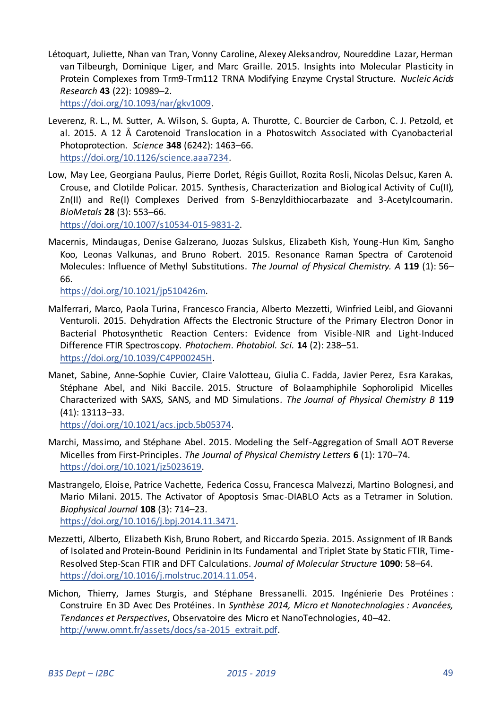Létoquart, Juliette, Nhan van Tran, Vonny Caroline, Alexey Aleksandrov, Noureddine Lazar, Herman van Tilbeurgh, Dominique Liger, and Marc Graille. 2015. Insights into Molecular Plasticity in Protein Complexes from Trm9-Trm112 TRNA Modifying Enzyme Crystal Structure. *Nucleic Acids Research* **43** (22): 10989–2.

[https://doi.org/10.1093/nar/gkv1009.](https://doi.org/10.1093/nar/gkv1009) 

- Leverenz, R. L., M. Sutter, A. Wilson, S. Gupta, A. Thurotte, C. Bourcier de Carbon, C. J. Petzold, et al. 2015. A 12 Å Carotenoid Translocation in a Photoswitch Associated with Cyanobacterial Photoprotection. *Science* **348** (6242): 1463–66. [https://doi.org/10.1126/science.aaa7234.](https://doi.org/10.1126/science.aaa7234)
- Low, May Lee, Georgiana Paulus, Pierre Dorlet, Régis Guillot, Rozita Rosli, Nicolas Delsuc, Karen A. Crouse, and Clotilde Policar. 2015. Synthesis, Characterization and Biological Activity of Cu(II), Zn(II) and Re(I) Complexes Derived from S-Benzyldithiocarbazate and 3-Acetylcoumarin. *BioMetals* **28** (3): 553–66.

[https://doi.org/10.1007/s10534-015-9831-2.](https://doi.org/10.1007/s10534-015-9831-2) 

Macernis, Mindaugas, Denise Galzerano, Juozas Sulskus, Elizabeth Kish, Young-Hun Kim, Sangho Koo, Leonas Valkunas, and Bruno Robert. 2015. Resonance Raman Spectra of Carotenoid Molecules: Influence of Methyl Substitutions. *The Journal of Physical Chemistry. A* **119** (1): 56– 66.

[https://doi.org/10.1021/jp510426m.](https://doi.org/10.1021/jp510426m) 

- Malferrari, Marco, Paola Turina, Francesco Francia, Alberto Mezzetti, Winfried Leibl, and Giovanni Venturoli. 2015. Dehydration Affects the Electronic Structure of the Primary Electron Donor in Bacterial Photosynthetic Reaction Centers: Evidence from Visible-NIR and Light-Induced Difference FTIR Spectroscopy. *Photochem. Photobiol. Sci.* **14** (2): 238–51. [https://doi.org/10.1039/C4PP00245H.](https://doi.org/10.1039/C4PP00245H)
- Manet, Sabine, Anne-Sophie Cuvier, Claire Valotteau, Giulia C. Fadda, Javier Perez, Esra Karakas, Stéphane Abel, and Niki Baccile. 2015. Structure of Bolaamphiphile Sophorolipid Micelles Characterized with SAXS, SANS, and MD Simulations. *The Journal of Physical Chemistry B* **119** (41): 13113–33.

[https://doi.org/10.1021/acs.jpcb.5b05374.](https://doi.org/10.1021/acs.jpcb.5b05374) 

- Marchi, Massimo, and Stéphane Abel. 2015. Modeling the Self-Aggregation of Small AOT Reverse Micelles from First-Principles. *The Journal of Physical Chemistry Letters* **6** (1): 170–74. [https://doi.org/10.1021/jz5023619.](https://doi.org/10.1021/jz5023619)
- Mastrangelo, Eloise, Patrice Vachette, Federica Cossu, Francesca Malvezzi, Martino Bolognesi, and Mario Milani. 2015. The Activator of Apoptosis Smac-DIABLO Acts as a Tetramer in Solution. *Biophysical Journal* **108** (3): 714–23. [https://doi.org/10.1016/j.bpj.2014.11.3471.](https://doi.org/10.1016/j.bpj.2014.11.3471)
- Mezzetti, Alberto, Elizabeth Kish, Bruno Robert, and Riccardo Spezia. 2015. Assignment of IR Bands of Isolated and Protein-Bound Peridinin in Its Fundamental and Triplet State by Static FTIR, Time-Resolved Step-Scan FTIR and DFT Calculations. *Journal of Molecular Structure* **1090**: 58–64. [https://doi.org/10.1016/j.molstruc.2014.11.054.](https://doi.org/10.1016/j.molstruc.2014.11.054)
- Michon, Thierry, James Sturgis, and Stéphane Bressanelli. 2015. Ingénierie Des Protéines : Construire En 3D Avec Des Protéines. In *Synthèse 2014, Micro et Nanotechnologies : Avancées, Tendances et Perspectives*, Observatoire des Micro et NanoTechnologies, 40–42. [http://www.omnt.fr/assets/docs/sa-2015\\_extrait.pdf.](http://www.omnt.fr/assets/docs/sa-2015_extrait.pdf)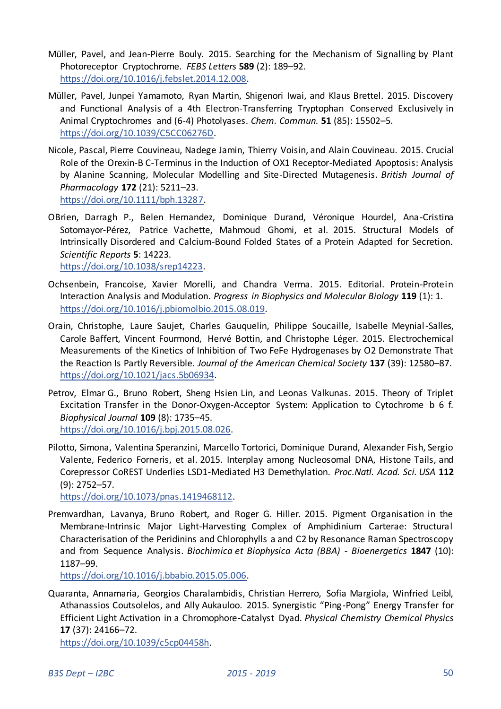- Müller, Pavel, and Jean-Pierre Bouly. 2015. Searching for the Mechanism of Signalling by Plant Photoreceptor Cryptochrome. *FEBS Letters* **589** (2): 189–92. [https://doi.org/10.1016/j.febslet.2014.12.008.](https://doi.org/10.1016/j.febslet.2014.12.008)
- Müller, Pavel, Junpei Yamamoto, Ryan Martin, Shigenori Iwai, and Klaus Brettel. 2015. Discovery and Functional Analysis of a 4th Electron-Transferring Tryptophan Conserved Exclusively in Animal Cryptochromes and (6-4) Photolyases. *Chem. Commun.* **51** (85): 15502–5. [https://doi.org/10.1039/C5CC06276D.](https://doi.org/10.1039/C5CC06276D)
- Nicole, Pascal, Pierre Couvineau, Nadege Jamin, Thierry Voisin, and Alain Couvineau. 2015. Crucial Role of the Orexin-B C-Terminus in the Induction of OX1 Receptor-Mediated Apoptosis: Analysis by Alanine Scanning, Molecular Modelling and Site-Directed Mutagenesis. *British Journal of Pharmacology* **172** (21): 5211–23. [https://doi.org/10.1111/bph.13287.](https://doi.org/10.1111/bph.13287)
- OBrien, Darragh P., Belen Hernandez, Dominique Durand, Véronique Hourdel, Ana-Cristina Sotomayor-Pérez, Patrice Vachette, Mahmoud Ghomi, et al. 2015. Structural Models of Intrinsically Disordered and Calcium-Bound Folded States of a Protein Adapted for Secretion. *Scientific Reports* **5**: 14223. [https://doi.org/10.1038/srep14223.](https://doi.org/10.1038/srep14223)
- Ochsenbein, Francoise, Xavier Morelli, and Chandra Verma. 2015. Editorial. Protein-Protein Interaction Analysis and Modulation. *Progress in Biophysics and Molecular Biology* **119** (1): 1. [https://doi.org/10.1016/j.pbiomolbio.2015.08.019.](https://doi.org/10.1016/j.pbiomolbio.2015.08.019)
- Orain, Christophe, Laure Saujet, Charles Gauquelin, Philippe Soucaille, Isabelle Meynial-Salles, Carole Baffert, Vincent Fourmond, Hervé Bottin, and Christophe Léger. 2015. Electrochemical Measurements of the Kinetics of Inhibition of Two FeFe Hydrogenases by O2 Demonstrate That the Reaction Is Partly Reversible. *Journal of the American Chemical Society* **137** (39): 12580–87. [https://doi.org/10.1021/jacs.5b06934.](https://doi.org/10.1021/jacs.5b06934)
- Petrov, Elmar G., Bruno Robert, Sheng Hsien Lin, and Leonas Valkunas. 2015. Theory of Triplet Excitation Transfer in the Donor-Oxygen-Acceptor System: Application to Cytochrome b 6 f. *Biophysical Journal* **109** (8): 1735–45. [https://doi.org/10.1016/j.bpj.2015.08.026.](https://doi.org/10.1016/j.bpj.2015.08.026)
- Pilotto, Simona, Valentina Speranzini, Marcello Tortorici, Dominique Durand, Alexander Fish, Sergio Valente, Federico Forneris, et al. 2015. Interplay among Nucleosomal DNA, Histone Tails, and Corepressor CoREST Underlies LSD1-Mediated H3 Demethylation. *Proc.Natl. Acad. Sci. USA* **112** (9): 2752–57.

[https://doi.org/10.1073/pnas.1419468112.](https://doi.org/10.1073/pnas.1419468112) 

Premvardhan, Lavanya, Bruno Robert, and Roger G. Hiller. 2015. Pigment Organisation in the Membrane-Intrinsic Major Light-Harvesting Complex of Amphidinium Carterae: Structural Characterisation of the Peridinins and Chlorophylls a and C2 by Resonance Raman Spectroscopy and from Sequence Analysis. *Biochimica et Biophysica Acta (BBA) - Bioenergetics* **1847** (10): 1187–99.

[https://doi.org/10.1016/j.bbabio.2015.05.006.](https://doi.org/10.1016/j.bbabio.2015.05.006) 

Quaranta, Annamaria, Georgios Charalambidis, Christian Herrero, Sofia Margiola, Winfried Leibl, Athanassios Coutsolelos, and Ally Aukauloo. 2015. Synergistic "Ping-Pong" Energy Transfer for Efficient Light Activation in a Chromophore-Catalyst Dyad. *Physical Chemistry Chemical Physics*  **17** (37): 24166–72.

[https://doi.org/10.1039/c5cp04458h.](https://doi.org/10.1039/c5cp04458h)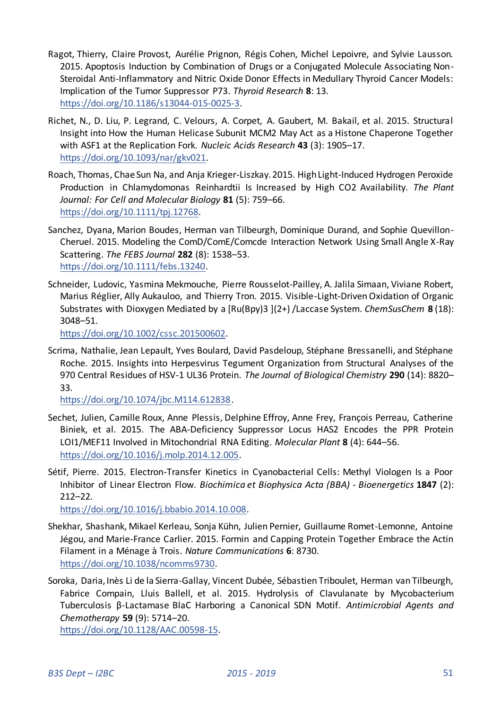- Ragot, Thierry, Claire Provost, Aurélie Prignon, Régis Cohen, Michel Lepoivre, and Sylvie Lausson. 2015. Apoptosis Induction by Combination of Drugs or a Conjugated Molecule Associating Non-Steroidal Anti-Inflammatory and Nitric Oxide Donor Effects in Medullary Thyroid Cancer Models: Implication of the Tumor Suppressor P73. *Thyroid Research* **8**: 13. [https://doi.org/10.1186/s13044-015-0025-3.](https://doi.org/10.1186/s13044-015-0025-3)
- Richet, N., D. Liu, P. Legrand, C. Velours, A. Corpet, A. Gaubert, M. Bakail, et al. 2015. Structural Insight into How the Human Helicase Subunit MCM2 May Act as a Histone Chaperone Together with ASF1 at the Replication Fork. *Nucleic Acids Research* **43** (3): 1905–17. [https://doi.org/10.1093/nar/gkv021.](https://doi.org/10.1093/nar/gkv021)
- Roach, Thomas, Chae Sun Na, and Anja Krieger-Liszkay. 2015. High Light-Induced Hydrogen Peroxide Production in Chlamydomonas Reinhardtii Is Increased by High CO2 Availability. *The Plant Journal: For Cell and Molecular Biology* **81** (5): 759–66. [https://doi.org/10.1111/tpj.12768.](https://doi.org/10.1111/tpj.12768)
- Sanchez, Dyana, Marion Boudes, Herman van Tilbeurgh, Dominique Durand, and Sophie Quevillon-Cheruel. 2015. Modeling the ComD/ComE/Comcde Interaction Network Using Small Angle X-Ray Scattering. *The FEBS Journal* **282** (8): 1538–53. [https://doi.org/10.1111/febs.13240.](https://doi.org/10.1111/febs.13240)
- Schneider, Ludovic, Yasmina Mekmouche, Pierre Rousselot-Pailley, A. Jalila Simaan, Viviane Robert, Marius Réglier, Ally Aukauloo, and Thierry Tron. 2015. Visible-Light-Driven Oxidation of Organic Substrates with Dioxygen Mediated by a [Ru(Bpy)3 ](2+) /Laccase System. *ChemSusChem* **8** (18): 3048–51.

[https://doi.org/10.1002/cssc.201500602.](https://doi.org/10.1002/cssc.201500602) 

Scrima, Nathalie, Jean Lepault, Yves Boulard, David Pasdeloup, Stéphane Bressanelli, and Stéphane Roche. 2015. Insights into Herpesvirus Tegument Organization from Structural Analyses of the 970 Central Residues of HSV-1 UL36 Protein. *The Journal of Biological Chemistry* **290** (14): 8820– 33.

[https://doi.org/10.1074/jbc.M114.612838.](https://doi.org/10.1074/jbc.M114.612838)

- Sechet, Julien, Camille Roux, Anne Plessis, Delphine Effroy, Anne Frey, François Perreau, Catherine Biniek, et al. 2015. The ABA-Deficiency Suppressor Locus HAS2 Encodes the PPR Protein LOI1/MEF11 Involved in Mitochondrial RNA Editing. *Molecular Plant* **8** (4): 644–56. [https://doi.org/10.1016/j.molp.2014.12.005.](https://doi.org/10.1016/j.molp.2014.12.005)
- Sétif, Pierre. 2015. Electron-Transfer Kinetics in Cyanobacterial Cells: Methyl Viologen Is a Poor Inhibitor of Linear Electron Flow. *Biochimica et Biophysica Acta (BBA) - Bioenergetics* **1847** (2): 212–22.

[https://doi.org/10.1016/j.bbabio.2014.10.008.](https://doi.org/10.1016/j.bbabio.2014.10.008) 

- Shekhar, Shashank, Mikael Kerleau, Sonja Kühn, Julien Pernier, Guillaume Romet-Lemonne, Antoine Jégou, and Marie-France Carlier. 2015. Formin and Capping Protein Together Embrace the Actin Filament in a Ménage à Trois. *Nature Communications* **6**: 8730. [https://doi.org/10.1038/ncomms9730.](https://doi.org/10.1038/ncomms9730)
- Soroka, Daria, Inès Li de la Sierra-Gallay, Vincent Dubée, Sébastien Triboulet, Herman van Tilbeurgh, Fabrice Compain, Lluis Ballell, et al. 2015. Hydrolysis of Clavulanate by Mycobacterium Tuberculosis β-Lactamase BlaC Harboring a Canonical SDN Motif. *Antimicrobial Agents and Chemotherapy* **59** (9): 5714–20.

[https://doi.org/10.1128/AAC.00598-15.](https://doi.org/10.1128/AAC.00598-15)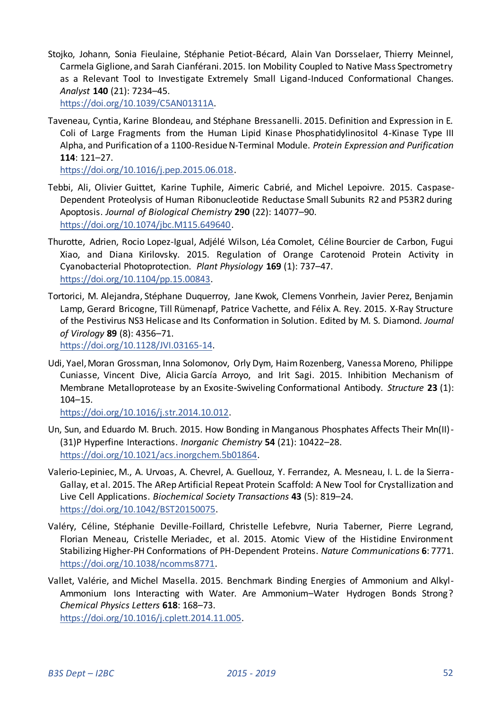Stojko, Johann, Sonia Fieulaine, Stéphanie Petiot-Bécard, Alain Van Dorsselaer, Thierry Meinnel, Carmela Giglione, and Sarah Cianférani. 2015. Ion Mobility Coupled to Native Mass Spectrometry as a Relevant Tool to Investigate Extremely Small Ligand-Induced Conformational Changes. *Analyst* **140** (21): 7234–45.

[https://doi.org/10.1039/C5AN01311A.](https://doi.org/10.1039/C5AN01311A) 

Taveneau, Cyntia, Karine Blondeau, and Stéphane Bressanelli. 2015. Definition and Expression in E. Coli of Large Fragments from the Human Lipid Kinase Phosphatidylinositol 4-Kinase Type III Alpha, and Purification of a 1100-Residue N-Terminal Module. *Protein Expression and Purification* **114**: 121–27.

[https://doi.org/10.1016/j.pep.2015.06.018.](https://doi.org/10.1016/j.pep.2015.06.018) 

- Tebbi, Ali, Olivier Guittet, Karine Tuphile, Aimeric Cabrié, and Michel Lepoivre. 2015. Caspase-Dependent Proteolysis of Human Ribonucleotide Reductase Small Subunits R2 and P53R2 during Apoptosis. *Journal of Biological Chemistry* **290** (22): 14077–90. [https://doi.org/10.1074/jbc.M115.649640.](https://doi.org/10.1074/jbc.M115.649640)
- Thurotte, Adrien, Rocio Lopez-Igual, Adjélé Wilson, Léa Comolet, Céline Bourcier de Carbon, Fugui Xiao, and Diana Kirilovsky. 2015. Regulation of Orange Carotenoid Protein Activity in Cyanobacterial Photoprotection. *Plant Physiology* **169** (1): 737–47. [https://doi.org/10.1104/pp.15.00843.](https://doi.org/10.1104/pp.15.00843)
- Tortorici, M. Alejandra, Stéphane Duquerroy, Jane Kwok, Clemens Vonrhein, Javier Perez, Benjamin Lamp, Gerard Bricogne, Till Rümenapf, Patrice Vachette, and Félix A. Rey. 2015. X-Ray Structure of the Pestivirus NS3 Helicase and Its Conformation in Solution. Edited by M. S. Diamond. *Journal of Virology* **89** (8): 4356–71.

[https://doi.org/10.1128/JVI.03165-14.](https://doi.org/10.1128/JVI.03165-14) 

Udi, Yael, Moran Grossman, Inna Solomonov, Orly Dym, Haim Rozenberg, Vanessa Moreno, Philippe Cuniasse, Vincent Dive, Alicia García Arroyo, and Irit Sagi. 2015. Inhibition Mechanism of Membrane Metalloprotease by an Exosite-Swiveling Conformational Antibody. *Structure* **23** (1): 104–15.

[https://doi.org/10.1016/j.str.2014.10.012.](https://doi.org/10.1016/j.str.2014.10.012) 

- Un, Sun, and Eduardo M. Bruch. 2015. How Bonding in Manganous Phosphates Affects Their Mn(II)- (31)P Hyperfine Interactions. *Inorganic Chemistry* **54** (21): 10422–28. [https://doi.org/10.1021/acs.inorgchem.5b01864.](https://doi.org/10.1021/acs.inorgchem.5b01864)
- Valerio-Lepiniec, M., A. Urvoas, A. Chevrel, A. Guellouz, Y. Ferrandez, A. Mesneau, I. L. de la Sierra-Gallay, et al. 2015. The ΑRep Artificial Repeat Protein Scaffold: A New Tool for Crystallization and Live Cell Applications. *Biochemical Society Transactions* **43** (5): 819–24. [https://doi.org/10.1042/BST20150075.](https://doi.org/10.1042/BST20150075)
- Valéry, Céline, Stéphanie Deville-Foillard, Christelle Lefebvre, Nuria Taberner, Pierre Legrand, Florian Meneau, Cristelle Meriadec, et al. 2015. Atomic View of the Histidine Environment Stabilizing Higher-PH Conformations of PH-Dependent Proteins. *Nature Communications* **6**: 7771. [https://doi.org/10.1038/ncomms8771.](https://doi.org/10.1038/ncomms8771)
- Vallet, Valérie, and Michel Masella. 2015. Benchmark Binding Energies of Ammonium and Alkyl-Ammonium Ions Interacting with Water. Are Ammonium–Water Hydrogen Bonds Strong? *Chemical Physics Letters* **618**: 168–73.

[https://doi.org/10.1016/j.cplett.2014.11.005.](https://doi.org/10.1016/j.cplett.2014.11.005)